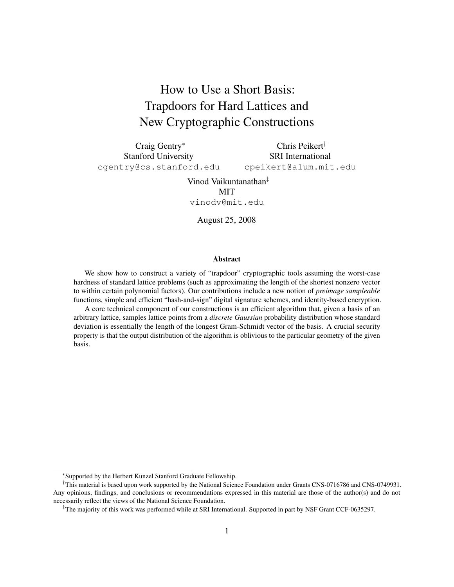# How to Use a Short Basis: Trapdoors for Hard Lattices and New Cryptographic Constructions

Craig Gentry<sup>∗</sup> Stanford University cgentry@cs.stanford.edu

Chris Peikert† SRI International cpeikert@alum.mit.edu

Vinod Vaikuntanathan‡ **MIT** vinodv@mit.edu

August 25, 2008

#### Abstract

We show how to construct a variety of "trapdoor" cryptographic tools assuming the worst-case hardness of standard lattice problems (such as approximating the length of the shortest nonzero vector to within certain polynomial factors). Our contributions include a new notion of *preimage sampleable* functions, simple and efficient "hash-and-sign" digital signature schemes, and identity-based encryption.

A core technical component of our constructions is an efficient algorithm that, given a basis of an arbitrary lattice, samples lattice points from a *discrete Gaussian* probability distribution whose standard deviation is essentially the length of the longest Gram-Schmidt vector of the basis. A crucial security property is that the output distribution of the algorithm is oblivious to the particular geometry of the given basis.

<sup>∗</sup> Supported by the Herbert Kunzel Stanford Graduate Fellowship.

<sup>†</sup>This material is based upon work supported by the National Science Foundation under Grants CNS-0716786 and CNS-0749931. Any opinions, findings, and conclusions or recommendations expressed in this material are those of the author(s) and do not necessarily reflect the views of the National Science Foundation.

<sup>‡</sup>The majority of this work was performed while at SRI International. Supported in part by NSF Grant CCF-0635297.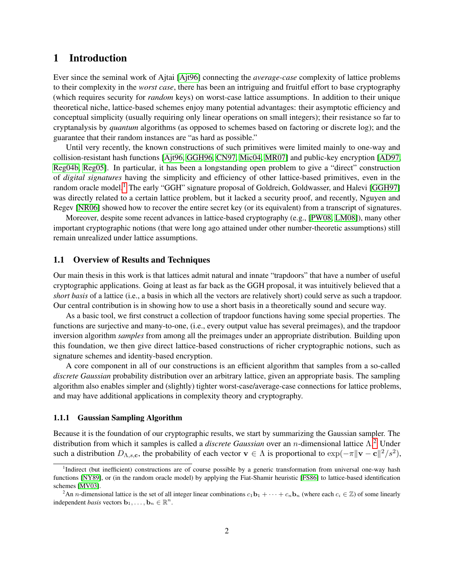## 1 Introduction

Ever since the seminal work of Ajtai [\[Ajt96\]](#page-37-0) connecting the *average-case* complexity of lattice problems to their complexity in the *worst case*, there has been an intriguing and fruitful effort to base cryptography (which requires security for *random* keys) on worst-case lattice assumptions. In addition to their unique theoretical niche, lattice-based schemes enjoy many potential advantages: their asymptotic efficiency and conceptual simplicity (usually requiring only linear operations on small integers); their resistance so far to cryptanalysis by *quantum* algorithms (as opposed to schemes based on factoring or discrete log); and the guarantee that their random instances are "as hard as possible."

Until very recently, the known constructions of such primitives were limited mainly to one-way and collision-resistant hash functions [\[Ajt96,](#page-37-0) [GGH96,](#page-38-0) [CN97,](#page-38-1) [Mic04,](#page-39-0) [MR07\]](#page-39-1) and public-key encryption [\[AD97,](#page-37-1) [Reg04b,](#page-40-0) [Reg05\]](#page-40-1). In particular, it has been a longstanding open problem to give a "direct" construction of *digital signatures* having the simplicity and efficiency of other lattice-based primitives, even in the random oracle model.<sup>[1](#page-1-0)</sup> The early "GGH" signature proposal of Goldreich, Goldwasser, and Halevi [\[GGH97\]](#page-38-2) was directly related to a certain lattice problem, but it lacked a security proof, and recently, Nguyen and Regev [\[NR06\]](#page-39-2) showed how to recover the entire secret key (or its equivalent) from a transcript of signatures.

Moreover, despite some recent advances in lattice-based cryptography (e.g., [\[PW08,](#page-40-2) [LM08\]](#page-39-3)), many other important cryptographic notions (that were long ago attained under other number-theoretic assumptions) still remain unrealized under lattice assumptions.

#### 1.1 Overview of Results and Techniques

Our main thesis in this work is that lattices admit natural and innate "trapdoors" that have a number of useful cryptographic applications. Going at least as far back as the GGH proposal, it was intuitively believed that a *short basis* of a lattice (i.e., a basis in which all the vectors are relatively short) could serve as such a trapdoor. Our central contribution is in showing how to use a short basis in a theoretically sound and secure way.

As a basic tool, we first construct a collection of trapdoor functions having some special properties. The functions are surjective and many-to-one, (i.e., every output value has several preimages), and the trapdoor inversion algorithm *samples* from among all the preimages under an appropriate distribution. Building upon this foundation, we then give direct lattice-based constructions of richer cryptographic notions, such as signature schemes and identity-based encryption.

A core component in all of our constructions is an efficient algorithm that samples from a so-called *discrete Gaussian* probability distribution over an arbitrary lattice, given an appropriate basis. The sampling algorithm also enables simpler and (slightly) tighter worst-case/average-case connections for lattice problems, and may have additional applications in complexity theory and cryptography.

#### 1.1.1 Gaussian Sampling Algorithm

Because it is the foundation of our cryptographic results, we start by summarizing the Gaussian sampler. The distribution from which it samples is called a *discrete Gaussian* over an n-dimensional lattice Λ. [2](#page-1-1) Under such a distribution  $D_{\Lambda,s,c}$ , the probability of each vector  $\mathbf{v} \in \Lambda$  is proportional to  $\exp(-\pi \|\mathbf{v} - \mathbf{c}\|^2/s^2)$ ,

<span id="page-1-0"></span><sup>&</sup>lt;sup>1</sup>Indirect (but inefficient) constructions are of course possible by a generic transformation from universal one-way hash functions [\[NY89\]](#page-39-4), or (in the random oracle model) by applying the Fiat-Shamir heuristic [\[FS86\]](#page-38-3) to lattice-based identification schemes [\[MV03\]](#page-39-5).

<span id="page-1-1"></span><sup>&</sup>lt;sup>2</sup>An *n*-dimensional lattice is the set of all integer linear combinations  $c_1$  b<sub>1</sub> +  $\cdots$  +  $c_n$  b<sub>n</sub> (where each  $c_i \in \mathbb{Z}$ ) of some linearly independent *basis* vectors  $\mathbf{b}_1, \dots, \mathbf{b}_n \in \mathbb{R}^n$ .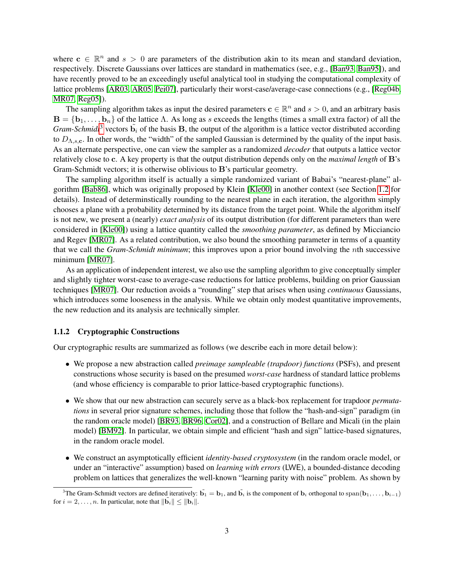where  $c \in \mathbb{R}^n$  and  $s > 0$  are parameters of the distribution akin to its mean and standard deviation, respectively. Discrete Gaussians over lattices are standard in mathematics (see, e.g., [\[Ban93,](#page-37-2) [Ban95\]](#page-37-3)), and have recently proved to be an exceedingly useful analytical tool in studying the computational complexity of lattice problems [\[AR03,](#page-37-4) [AR05,](#page-37-5) [Pei07\]](#page-39-6), particularly their worst-case/average-case connections (e.g., [\[Reg04b,](#page-40-0) [MR07,](#page-39-1) [Reg05\]](#page-40-1)).

The sampling algorithm takes as input the desired parameters  $c \in \mathbb{R}^n$  and  $s > 0$ , and an arbitrary basis  $\mathbf{B} = \{\mathbf{b}_1, \dots, \mathbf{b}_n\}$  of the lattice  $\Lambda$ . As long as s exceeds the lengths (times a small extra factor) of all the *Gram-Schmidt*<sup>[3](#page-2-0)</sup> vectors  $\tilde{b}_i$  of the basis **B**, the output of the algorithm is a lattice vector distributed according to  $D_{\Lambda,s,c}$ . In other words, the "width" of the sampled Gaussian is determined by the quality of the input basis. As an alternate perspective, one can view the sampler as a randomized *decoder* that outputs a lattice vector relatively close to c. A key property is that the output distribution depends only on the *maximal length* of B's Gram-Schmidt vectors; it is otherwise oblivious to B's particular geometry.

The sampling algorithm itself is actually a simple randomized variant of Babai's "nearest-plane" algorithm [\[Bab86\]](#page-37-6), which was originally proposed by Klein [\[Kle00\]](#page-38-4) in another context (see Section [1.2](#page-5-0) for details). Instead of determinstically rounding to the nearest plane in each iteration, the algorithm simply chooses a plane with a probability determined by its distance from the target point. While the algorithm itself is not new, we present a (nearly) *exact analysis* of its output distribution (for different parameters than were considered in [\[Kle00\]](#page-38-4)) using a lattice quantity called the *smoothing parameter*, as defined by Micciancio and Regev [\[MR07\]](#page-39-1). As a related contribution, we also bound the smoothing parameter in terms of a quantity that we call the *Gram-Schmidt minimum*; this improves upon a prior bound involving the nth successive minimum [\[MR07\]](#page-39-1).

As an application of independent interest, we also use the sampling algorithm to give conceptually simpler and slightly tighter worst-case to average-case reductions for lattice problems, building on prior Gaussian techniques [\[MR07\]](#page-39-1). Our reduction avoids a "rounding" step that arises when using *continuous* Gaussians, which introduces some looseness in the analysis. While we obtain only modest quantitative improvements, the new reduction and its analysis are technically simpler.

#### 1.1.2 Cryptographic Constructions

Our cryptographic results are summarized as follows (we describe each in more detail below):

- We propose a new abstraction called *preimage sampleable (trapdoor) functions* (PSFs), and present constructions whose security is based on the presumed *worst-case* hardness of standard lattice problems (and whose efficiency is comparable to prior lattice-based cryptographic functions).
- We show that our new abstraction can securely serve as a black-box replacement for trapdoor *permutations* in several prior signature schemes, including those that follow the "hash-and-sign" paradigm (in the random oracle model) [\[BR93,](#page-37-7) [BR96,](#page-38-5) [Cor02\]](#page-38-6), and a construction of Bellare and Micali (in the plain model) [\[BM92\]](#page-37-8). In particular, we obtain simple and efficient "hash and sign" lattice-based signatures, in the random oracle model.
- We construct an asymptotically efficient *identity-based cryptosystem* (in the random oracle model, or under an "interactive" assumption) based on *learning with errors* (LWE), a bounded-distance decoding problem on lattices that generalizes the well-known "learning parity with noise" problem. As shown by

<span id="page-2-0"></span><sup>&</sup>lt;sup>3</sup>The Gram-Schmidt vectors are defined iteratively:  $\tilde{b_1} = b_1$ , and  $\tilde{b_i}$  is the component of  $b_i$  orthogonal to span $(b_1, \ldots, b_{i-1})$ for  $i = 2, \ldots, n$ . In particular, note that  $\|\tilde{\mathbf{b}}_i\| \leq \|\mathbf{b}_i\|$ .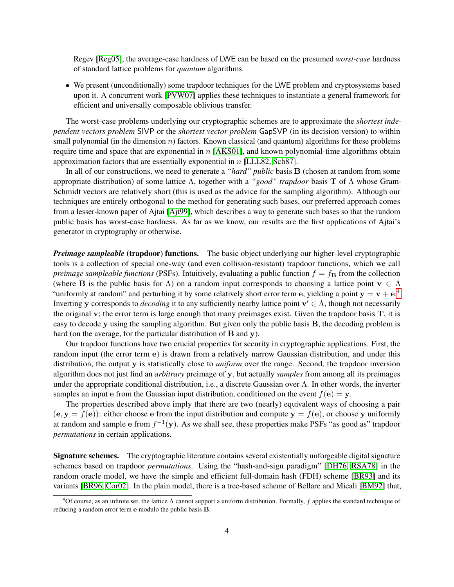Regev [\[Reg05\]](#page-40-1), the average-case hardness of LWE can be based on the presumed *worst-case* hardness of standard lattice problems for *quantum* algorithms.

• We present (unconditionally) some trapdoor techniques for the LWE problem and cryptosystems based upon it. A concurrent work [\[PVW07\]](#page-40-3) applies these techniques to instantiate a general framework for efficient and universally composable oblivious transfer.

The worst-case problems underlying our cryptographic schemes are to approximate the *shortest independent vectors problem* SIVP or the *shortest vector problem* GapSVP (in its decision version) to within small polynomial (in the dimension  $n$ ) factors. Known classical (and quantum) algorithms for these problems require time and space that are exponential in  $n$  [\[AKS01\]](#page-37-9), and known polynomial-time algorithms obtain approximation factors that are essentially exponential in n [\[LLL82,](#page-39-7) [Sch87\]](#page-40-4).

In all of our constructions, we need to generate a *"hard" public* basis B (chosen at random from some appropriate distribution) of some lattice Λ, together with a *"good" trapdoor* basis T of Λ whose Gram-Schmidt vectors are relatively short (this is used as the advice for the sampling algorithm). Although our techniques are entirely orthogonal to the method for generating such bases, our preferred approach comes from a lesser-known paper of Ajtai [\[Ajt99\]](#page-37-10), which describes a way to generate such bases so that the random public basis has worst-case hardness. As far as we know, our results are the first applications of Ajtai's generator in cryptography or otherwise.

*Preimage sampleable* (trapdoor) functions. The basic object underlying our higher-level cryptographic tools is a collection of special one-way (and even collision-resistant) trapdoor functions, which we call *preimage sampleable functions* (PSFs). Intuitively, evaluating a public function  $f = f<sub>B</sub>$  from the collection (where B is the public basis for  $\Lambda$ ) on a random input corresponds to choosing a lattice point  $\mathbf{v} \in \Lambda$ "uniformly at random" and perturbing it by some relatively short error term e, yielding a point  $y = v + e^{0.4}$  $y = v + e^{0.4}$  $y = v + e^{0.4}$ Inverting y corresponds to *decoding* it to any sufficiently nearby lattice point  $v' \in \Lambda$ , though not necessarily the original v; the error term is large enough that many preimages exist. Given the trapdoor basis  $T$ , it is easy to decode y using the sampling algorithm. But given only the public basis B, the decoding problem is hard (on the average, for the particular distribution of **B** and y).

Our trapdoor functions have two crucial properties for security in cryptographic applications. First, the random input (the error term e) is drawn from a relatively narrow Gaussian distribution, and under this distribution, the output y is statistically close to *uniform* over the range. Second, the trapdoor inversion algorithm does not just find an *arbitrary* preimage of y, but actually *samples* from among all its preimages under the appropriate conditional distribution, i.e., a discrete Gaussian over  $\Lambda$ . In other words, the inverter samples an input e from the Gaussian input distribution, conditioned on the event  $f(e) = y$ .

The properties described above imply that there are two (nearly) equivalent ways of choosing a pair  $(e, y = f(e))$ : either choose e from the input distribution and compute  $y = f(e)$ , or choose y uniformly at random and sample e from  $f^{-1}(\mathbf{y})$ . As we shall see, these properties make PSFs "as good as" trapdoor *permutations* in certain applications.

Signature schemes. The cryptographic literature contains several existentially unforgeable digital signature schemes based on trapdoor *permutations*. Using the "hash-and-sign paradigm" [\[DH76,](#page-38-7) [RSA78\]](#page-40-5) in the random oracle model, we have the simple and efficient full-domain hash (FDH) scheme [\[BR93\]](#page-37-7) and its variants [\[BR96,](#page-38-5) [Cor02\]](#page-38-6). In the plain model, there is a tree-based scheme of Bellare and Micali [\[BM92\]](#page-37-8) that,

<span id="page-3-0"></span><sup>&</sup>lt;sup>4</sup>Of course, as an infinite set, the lattice  $\Lambda$  cannot support a uniform distribution. Formally, f applies the standard technique of reducing a random error term e modulo the public basis B.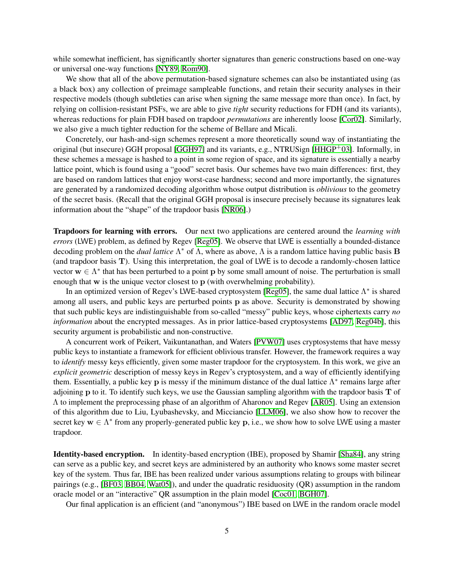while somewhat inefficient, has significantly shorter signatures than generic constructions based on one-way or universal one-way functions [\[NY89,](#page-39-4) [Rom90\]](#page-40-6).

We show that all of the above permutation-based signature schemes can also be instantiated using (as a black box) any collection of preimage sampleable functions, and retain their security analyses in their respective models (though subtleties can arise when signing the same message more than once). In fact, by relying on collision-resistant PSFs, we are able to give *tight* security reductions for FDH (and its variants), whereas reductions for plain FDH based on trapdoor *permutations* are inherently loose [\[Cor02\]](#page-38-6). Similarly, we also give a much tighter reduction for the scheme of Bellare and Micali.

Concretely, our hash-and-sign schemes represent a more theoretically sound way of instantiating the original (but insecure) GGH proposal [\[GGH97\]](#page-38-2) and its variants, e.g., NTRUSign [\[HHGP](#page-38-8)+03]. Informally, in these schemes a message is hashed to a point in some region of space, and its signature is essentially a nearby lattice point, which is found using a "good" secret basis. Our schemes have two main differences: first, they are based on random lattices that enjoy worst-case hardness; second and more importantly, the signatures are generated by a randomized decoding algorithm whose output distribution is *oblivious* to the geometry of the secret basis. (Recall that the original GGH proposal is insecure precisely because its signatures leak information about the "shape" of the trapdoor basis [\[NR06\]](#page-39-2).)

Trapdoors for learning with errors. Our next two applications are centered around the *learning with errors* (LWE) problem, as defined by Regev [\[Reg05\]](#page-40-1). We observe that LWE is essentially a bounded-distance decoding problem on the *dual lattice* Λ <sup>∗</sup> of Λ, where as above, Λ is a random lattice having public basis B (and trapdoor basis T). Using this interpretation, the goal of LWE is to decode a randomly-chosen lattice vector  $w \in \Lambda^*$  that has been perturbed to a point p by some small amount of noise. The perturbation is small enough that w is the unique vector closest to p (with overwhelming probability).

In an optimized version of Regev's LWE-based cryptosystem [\[Reg05\]](#page-40-1), the same dual lattice  $\Lambda^*$  is shared among all users, and public keys are perturbed points p as above. Security is demonstrated by showing that such public keys are indistinguishable from so-called "messy" public keys, whose ciphertexts carry *no information* about the encrypted messages. As in prior lattice-based cryptosystems [\[AD97,](#page-37-1) [Reg04b\]](#page-40-0), this security argument is probabilistic and non-constructive.

A concurrent work of Peikert, Vaikuntanathan, and Waters [\[PVW07\]](#page-40-3) uses cryptosystems that have messy public keys to instantiate a framework for efficient oblivious transfer. However, the framework requires a way to *identify* messy keys efficiently, given some master trapdoor for the cryptosystem. In this work, we give an *explicit geometric* description of messy keys in Regev's cryptosystem, and a way of efficiently identifying them. Essentially, a public key p is messy if the minimum distance of the dual lattice  $\Lambda^*$  remains large after adjoining  $p$  to it. To identify such keys, we use the Gaussian sampling algorithm with the trapdoor basis  $T$  of Λ to implement the preprocessing phase of an algorithm of Aharonov and Regev [\[AR05\]](#page-37-5). Using an extension of this algorithm due to Liu, Lyubashevsky, and Micciancio [\[LLM06\]](#page-39-8), we also show how to recover the secret key  $w \in \Lambda^*$  from any properly-generated public key p, i.e., we show how to solve LWE using a master trapdoor.

Identity-based encryption. In identity-based encryption (IBE), proposed by Shamir [\[Sha84\]](#page-40-7), any string can serve as a public key, and secret keys are administered by an authority who knows some master secret key of the system. Thus far, IBE has been realized under various assumptions relating to groups with bilinear pairings (e.g., [\[BF03,](#page-37-11) [BB04,](#page-37-12) [Wat05\]](#page-40-8)), and under the quadratic residuosity (QR) assumption in the random oracle model or an "interactive" QR assumption in the plain model [\[Coc01,](#page-38-9) [BGH07\]](#page-37-13).

Our final application is an efficient (and "anonymous") IBE based on LWE in the random oracle model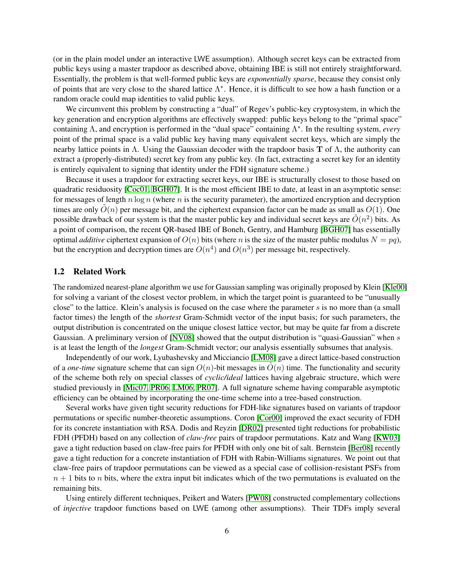(or in the plain model under an interactive LWE assumption). Although secret keys can be extracted from public keys using a master trapdoor as described above, obtaining IBE is still not entirely straightforward. Essentially, the problem is that well-formed public keys are *exponentially sparse*, because they consist only of points that are very close to the shared lattice  $\Lambda^*$ . Hence, it is difficult to see how a hash function or a random oracle could map identities to valid public keys.

We circumvent this problem by constructing a "dual" of Regev's public-key cryptosystem, in which the key generation and encryption algorithms are effectively swapped: public keys belong to the "primal space" containing Λ, and encryption is performed in the "dual space" containing Λ ∗ . In the resulting system, *every* point of the primal space is a valid public key having many equivalent secret keys, which are simply the nearby lattice points in Λ. Using the Gaussian decoder with the trapdoor basis **T** of Λ, the authority can extract a (properly-distributed) secret key from any public key. (In fact, extracting a secret key for an identity is entirely equivalent to signing that identity under the FDH signature scheme.)

Because it uses a trapdoor for extracting secret keys, our IBE is structurally closest to those based on quadratic residuosity [\[Coc01,](#page-38-9) [BGH07\]](#page-37-13). It is the most efficient IBE to date, at least in an asymptotic sense: for messages of length  $n \log n$  (where  $n$  is the security parameter), the amortized encryption and decryption times are only  $\tilde{O}(n)$  per message bit, and the ciphertext expansion factor can be made as small as  $O(1)$ . One possible drawback of our system is that the master public key and individual secret keys are  $\tilde{O}(n^2)$  bits. As a point of comparison, the recent QR-based IBE of Boneh, Gentry, and Hamburg [\[BGH07\]](#page-37-13) has essentially optimal *additive* ciphertext expansion of  $O(n)$  bits (where n is the size of the master public modulus  $N = pq$ ), but the encryption and decryption times are  $O(n^4)$  and  $O(n^3)$  per message bit, respectively.

#### <span id="page-5-0"></span>1.2 Related Work

The randomized nearest-plane algorithm we use for Gaussian sampling was originally proposed by Klein [\[Kle00\]](#page-38-4) for solving a variant of the closest vector problem, in which the target point is guaranteed to be "unusually close" to the lattice. Klein's analysis is focused on the case where the parameter  $s$  is no more than (a small factor times) the length of the *shortest* Gram-Schmidt vector of the input basis; for such parameters, the output distribution is concentrated on the unique closest lattice vector, but may be quite far from a discrete Gaussian. A preliminary version of [\[NV08\]](#page-39-9) showed that the output distribution is "quasi-Gaussian" when s is at least the length of the *longest* Gram-Schmidt vector; our analysis essentially subsumes that analysis.

Independently of our work, Lyubashevsky and Micciancio [\[LM08\]](#page-39-3) gave a direct lattice-based construction of a *one-time* signature scheme that can sign  $O(n)$ -bit messages in  $O(n)$  time. The functionality and security of the scheme both rely on special classes of *cyclic/ideal* lattices having algebraic structure, which were studied previously in [\[Mic07,](#page-39-10) [PR06,](#page-39-11) [LM06,](#page-39-12) [PR07\]](#page-39-13). A full signature scheme having comparable asymptotic efficiency can be obtained by incorporating the one-time scheme into a tree-based construction.

Several works have given tight security reductions for FDH-like signatures based on variants of trapdoor permutations or specific number-theoretic assumptions. Coron [\[Cor00\]](#page-38-10) improved the exact security of FDH for its concrete instantiation with RSA. Dodis and Reyzin [\[DR02\]](#page-38-11) presented tight reductions for probabilistic FDH (PFDH) based on any collection of *claw-free* pairs of trapdoor permutations. Katz and Wang [\[KW03\]](#page-39-14) gave a tight reduction based on claw-free pairs for PFDH with only one bit of salt. Bernstein [\[Ber08\]](#page-37-14) recently gave a tight reduction for a concrete instantiation of FDH with Rabin-Williams signatures. We point out that claw-free pairs of trapdoor permutations can be viewed as a special case of collision-resistant PSFs from  $n + 1$  bits to n bits, where the extra input bit indicates which of the two permutations is evaluated on the remaining bits.

Using entirely different techniques, Peikert and Waters [\[PW08\]](#page-40-2) constructed complementary collections of *injective* trapdoor functions based on LWE (among other assumptions). Their TDFs imply several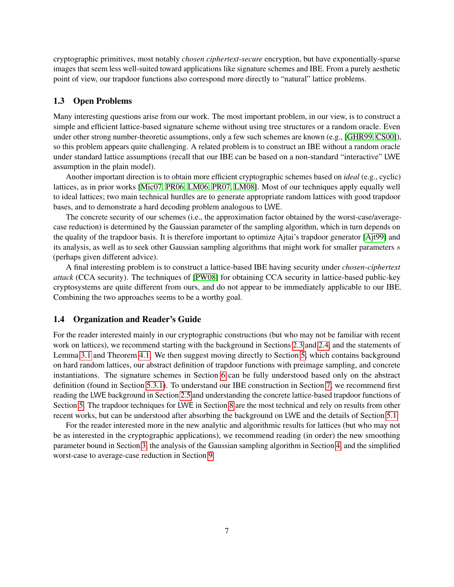cryptographic primitives, most notably *chosen ciphertext-secure* encryption, but have exponentially-sparse images that seem less well-suited toward applications like signature schemes and IBE. From a purely aesthetic point of view, our trapdoor functions also correspond more directly to "natural" lattice problems.

#### 1.3 Open Problems

Many interesting questions arise from our work. The most important problem, in our view, is to construct a simple and efficient lattice-based signature scheme without using tree structures or a random oracle. Even under other strong number-theoretic assumptions, only a few such schemes are known (e.g., [\[GHR99,](#page-38-12) [CS00\]](#page-38-13)), so this problem appears quite challenging. A related problem is to construct an IBE without a random oracle under standard lattice assumptions (recall that our IBE can be based on a non-standard "interactive" LWE assumption in the plain model).

Another important direction is to obtain more efficient cryptographic schemes based on *ideal* (e.g., cyclic) lattices, as in prior works [\[Mic07,](#page-39-10) [PR06,](#page-39-11) [LM06,](#page-39-12) [PR07,](#page-39-13) [LM08\]](#page-39-3). Most of our techniques apply equally well to ideal lattices; two main technical hurdles are to generate appropriate random lattices with good trapdoor bases, and to demonstrate a hard decoding problem analogous to LWE.

The concrete security of our schemes (i.e., the approximation factor obtained by the worst-case/averagecase reduction) is determined by the Gaussian parameter of the sampling algorithm, which in turn depends on the quality of the trapdoor basis. It is therefore important to optimize Ajtai's trapdoor generator [\[Ajt99\]](#page-37-10) and its analysis, as well as to seek other Gaussian sampling algorithms that might work for smaller parameters s (perhaps given different advice).

A final interesting problem is to construct a lattice-based IBE having security under *chosen-ciphertext attack* (CCA security). The techniques of [\[PW08\]](#page-40-2) for obtaining CCA security in lattice-based public-key cryptosystems are quite different from ours, and do not appear to be immediately applicable to our IBE. Combining the two approaches seems to be a worthy goal.

### 1.4 Organization and Reader's Guide

For the reader interested mainly in our cryptographic constructions (but who may not be familiar with recent work on lattices), we recommend starting with the background in Sections [2.3](#page-8-0) and [2.4,](#page-9-0) and the statements of Lemma [3.1](#page-11-0) and Theorem [4.1.](#page-13-0) We then suggest moving directly to Section [5,](#page-16-0) which contains background on hard random lattices, our abstract definition of trapdoor functions with preimage sampling, and concrete instantiations. The signature schemes in Section [6](#page-22-0) can be fully understood based only on the abstract definition (found in Section [5.3.1\)](#page-19-0). To understand our IBE construction in Section [7,](#page-24-0) we recommend first reading the LWE background in Section [2.5](#page-10-0) and understanding the concrete lattice-based trapdoor functions of Section [5.](#page-16-0) The trapdoor techniques for LWE in Section [8](#page-28-0) are the most technical and rely on results from other recent works, but can be understood after absorbing the background on LWE and the details of Section [5.1.](#page-16-1)

For the reader interested more in the new analytic and algorithmic results for lattices (but who may not be as interested in the cryptographic applications), we recommend reading (in order) the new smoothing parameter bound in Section [3,](#page-11-1) the analysis of the Gaussian sampling algorithm in Section [4,](#page-12-0) and the simplified worst-case to average-case reduction in Section [9.](#page-34-0)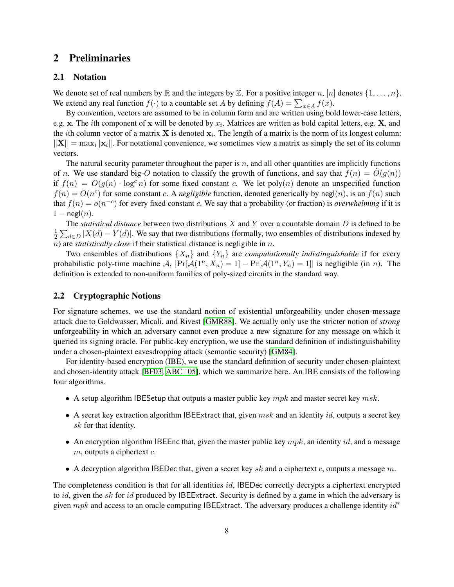## 2 Preliminaries

### 2.1 Notation

We denote set of real numbers by  $\mathbb R$  and the integers by  $\mathbb Z$ . For a positive integer n,  $[n]$  denotes  $\{1,\ldots,n\}$ . We extend any real function  $f(\cdot)$  to a countable set A by defining  $f(A) = \sum_{x \in A} f(x)$ .

By convention, vectors are assumed to be in column form and are written using bold lower-case letters, e.g. x. The *i*th component of x will be denoted by  $x_i$ . Matrices are written as bold capital letters, e.g. X, and the *i*th column vector of a matrix **X** is denoted  $x_i$ . The length of a matrix is the norm of its longest column:  $\|\mathbf{X}\| = \max_i \|\mathbf{x}_i\|$ . For notational convenience, we sometimes view a matrix as simply the set of its column vectors.

The natural security parameter throughout the paper is  $n$ , and all other quantities are implicitly functions of n. We use standard big-O notation to classify the growth of functions, and say that  $f(n) = O(g(n))$ if  $f(n) = O(g(n) \cdot \log^c n)$  for some fixed constant c. We let poly $(n)$  denote an unspecified function  $f(n) = O(n^c)$  for some constant c. A *negligible* function, denoted generically by negl(n), is an  $f(n)$  such that  $f(n) = o(n^{-c})$  for every fixed constant c. We say that a probability (or fraction) is *overwhelming* if it is  $1 - \mathsf{negl}(n)$ .

The *statistical distance* between two distributions X and Y over a countable domain D is defined to be 1  $\frac{1}{2}\sum_{d\in D}|X(d)-Y(d)|$ . We say that two distributions (formally, two ensembles of distributions indexed by n) are *statistically close* if their statistical distance is negligible in n.

Two ensembles of distributions  $\{X_n\}$  and  $\{Y_n\}$  are *computationally indistinguishable* if for every probabilistic poly-time machine A,  $|\Pr[\mathcal{A}(1^n, X_n) = 1] - \Pr[\mathcal{A}(1^n, Y_n) = 1]|$  is negligible (in *n*). The definition is extended to non-uniform families of poly-sized circuits in the standard way.

#### 2.2 Cryptographic Notions

For signature schemes, we use the standard notion of existential unforgeability under chosen-message attack due to Goldwasser, Micali, and Rivest [\[GMR88\]](#page-38-14). We actually only use the stricter notion of *strong* unforgeability in which an adversary cannot even produce a new signature for any message on which it queried its signing oracle. For public-key encryption, we use the standard definition of indistinguishability under a chosen-plaintext eavesdropping attack (semantic security) [\[GM84\]](#page-38-15).

For identity-based encryption (IBE), we use the standard definition of security under chosen-plaintext and chosen-identity attack [\[BF03,](#page-37-11) [ABC](#page-37-15)<sup>+</sup>05], which we summarize here. An IBE consists of the following four algorithms.

- A setup algorithm IBESetup that outputs a master public key  $mpk$  and master secret key  $msk$ .
- A secret key extraction algorithm IBEExtract that, given  $msk$  and an identity  $id$ , outputs a secret key sk for that identity.
- An encryption algorithm IBEEnc that, given the master public key  $mpk$ , an identity id, and a message  $m$ , outputs a ciphertext  $c$ .
- A decryption algorithm IBEDec that, given a secret key sk and a ciphertext c, outputs a message m.

The completeness condition is that for all identities *id*, IBEDec correctly decrypts a ciphertext encrypted to id, given the sk for id produced by IBEExtract. Security is defined by a game in which the adversary is given mpk and access to an oracle computing IBEExtract. The adversary produces a challenge identity  $id^*$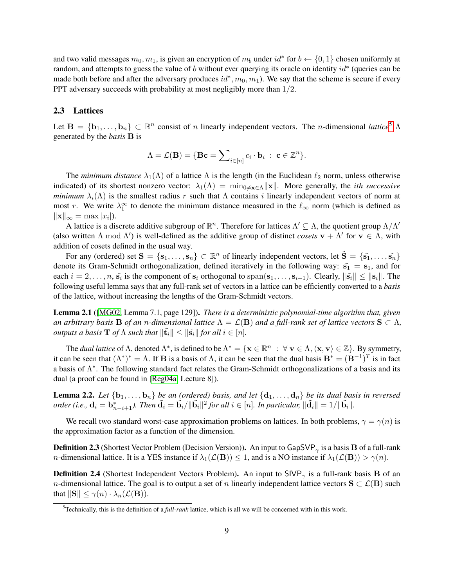and two valid messages  $m_0, m_1$ , is given an encryption of  $m_b$  under  $id^*$  for  $b \leftarrow \{0, 1\}$  chosen uniformly at random, and attempts to guess the value of b without ever querying its oracle on identity  $id^*$  (queries can be made both before and after the adversary produces  $id^*, m_0, m_1$ ). We say that the scheme is secure if every PPT adversary succeeds with probability at most negligibly more than 1/2.

#### <span id="page-8-0"></span>2.3 Lattices

Let  $\mathbf{B} = \{\mathbf{b}_1, \dots, \mathbf{b}_n\} \subset \mathbb{R}^n$  consist of n linearly independent vectors. The n-dimensional *lattice*<sup>[5](#page-8-1)</sup>  $\Lambda$ generated by the *basis* B is

$$
\Lambda = \mathcal{L}(\mathbf{B}) = \{ \mathbf{B}\mathbf{c} = \sum\nolimits_{i \in [n]} c_i \cdot \mathbf{b}_i \ : \ \mathbf{c} \in \mathbb{Z}^n \}.
$$

The *minimum distance*  $\lambda_1(\Lambda)$  of a lattice  $\Lambda$  is the length (in the Euclidean  $\ell_2$  norm, unless otherwise indicated) of its shortest nonzero vector:  $\lambda_1(\Lambda) = \min_{0 \neq x \in \Lambda} ||x||$ . More generally, the *ith successive minimum*  $\lambda_i(\Lambda)$  is the smallest radius r such that  $\Lambda$  contains i linearly independent vectors of norm at most r. We write  $\lambda_1^{\infty}$  to denote the minimum distance measured in the  $\ell_{\infty}$  norm (which is defined as  $\|\mathbf{x}\|_{\infty} = \max |x_i|.$ 

A lattice is a discrete additive subgroup of  $\mathbb{R}^n$ . Therefore for lattices  $\Lambda' \subseteq \Lambda$ , the quotient group  $\Lambda/\Lambda'$ (also written  $\Lambda$  mod  $\Lambda'$ ) is well-defined as the additive group of distinct *cosets*  $v + \Lambda'$  for  $v \in \Lambda$ , with addition of cosets defined in the usual way.

For any (ordered) set  $S = \{s_1, \ldots, s_n\} \subset \mathbb{R}^n$  of linearly independent vectors, let  $\tilde{S} = \{\tilde{s_1}, \ldots, \tilde{s_n}\}$ denote its Gram-Schmidt orthogonalization, defined iteratively in the following way:  $\tilde{s_1} = s_1$ , and for each  $i=2,\ldots,n$ ,  $\tilde{\mathbf{s}}_i$  is the component of  $\mathbf{s}_i$  orthogonal to  $\text{span}(\mathbf{s}_1,\ldots,\mathbf{s}_{i-1})$ . Clearly,  $\|\tilde{\mathbf{s}}_i\| \leq \|\mathbf{s}_i\|$ . The following useful lemma says that any full-rank set of vectors in a lattice can be efficiently converted to a *basis* of the lattice, without increasing the lengths of the Gram-Schmidt vectors.

<span id="page-8-2"></span>Lemma 2.1 ([\[MG02,](#page-39-15) Lemma 7.1, page 129]). *There is a deterministic polynomial-time algorithm that, given an arbitrary basis* **B** *of an n-dimensional lattice*  $\Lambda = \mathcal{L}(\mathbf{B})$  *and a full-rank set of lattice vectors*  $\mathbf{S} \subset \Lambda$ , *outputs a basis*  $\mathbf{T}$  *of*  $\Lambda$  *such that*  $\|\tilde{\mathbf{t}}_i\| \leq \|\tilde{\mathbf{s}}_i\|$  *for all*  $i \in [n]$ *.* 

The *dual lattice* of  $\Lambda$ , denoted  $\Lambda^*$ , is defined to be  $\Lambda^* = {\mathbf{x} \in \mathbb{R}^n : \forall \mathbf{v} \in \Lambda, \langle \mathbf{x}, \mathbf{v} \rangle \in \mathbb{Z}}$ . By symmetry, it can be seen that  $(\Lambda^*)^* = \Lambda$ . If **B** is a basis of  $\Lambda$ , it can be seen that the dual basis  $\mathbf{B}^* = (\mathbf{B}^{-1})^T$  is in fact a basis of Λ ∗ . The following standard fact relates the Gram-Schmidt orthogonalizations of a basis and its dual (a proof can be found in [\[Reg04a,](#page-40-9) Lecture 8]).

**Lemma 2.2.** Let  $\{b_1, \ldots, b_n\}$  be an (ordered) basis, and let  $\{d_1, \ldots, d_n\}$  be its dual basis in reversed *order (i.e.,*  $\mathbf{d}_i = \dot{\mathbf{b}}_{n-i+1}^*$ ). Then  $\tilde{\mathbf{d}}_i = \tilde{\mathbf{b}}_i / \|\tilde{\mathbf{b}}_i\|^2$  for all  $i \in [n]$ . In particular,  $\|\tilde{\mathbf{d}}_i\| = 1 / \|\tilde{\mathbf{b}}_i\|$ .

We recall two standard worst-case approximation problems on lattices. In both problems,  $\gamma = \gamma(n)$  is the approximation factor as a function of the dimension.

**Definition 2.3** (Shortest Vector Problem (Decision Version)). An input to GapSVP<sub> $_{\gamma}$ </sub> is a basis **B** of a full-rank *n*-dimensional lattice. It is a YES instance if  $\lambda_1(\mathcal{L}(\mathbf{B})) \leq 1$ , and is a NO instance if  $\lambda_1(\mathcal{L}(\mathbf{B})) > \gamma(n)$ .

**Definition 2.4** (Shortest Independent Vectors Problem). An input to SIVP<sub> $\gamma$ </sub> is a full-rank basis **B** of an n-dimensional lattice. The goal is to output a set of n linearly independent lattice vectors  $S \subset \mathcal{L}(B)$  such that  $\|\mathbf{S}\| \leq \gamma(n) \cdot \lambda_n(\mathcal{L}(\mathbf{B})).$ 

<span id="page-8-1"></span><sup>5</sup>Technically, this is the definition of a *full-rank* lattice, which is all we will be concerned with in this work.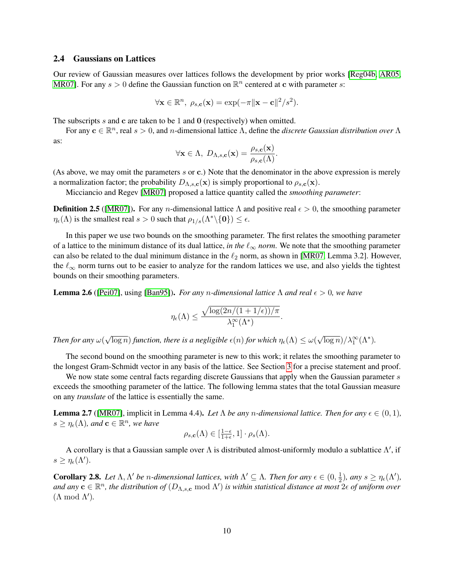#### <span id="page-9-0"></span>2.4 Gaussians on Lattices

Our review of Gaussian measures over lattices follows the development by prior works [\[Reg04b,](#page-40-0) [AR05,](#page-37-5) [MR07\]](#page-39-1). For any  $s > 0$  define the Gaussian function on  $\mathbb{R}^n$  centered at c with parameter s:

$$
\forall \mathbf{x} \in \mathbb{R}^n, \ \rho_{s,c}(\mathbf{x}) = \exp(-\pi \|\mathbf{x} - \mathbf{c}\|^2 / s^2).
$$

The subscripts s and c are taken to be 1 and 0 (respectively) when omitted.

For any  $\mathbf{c} \in \mathbb{R}^n$ , real  $s > 0$ , and *n*-dimensional lattice  $\Lambda$ , define the *discrete Gaussian distribution over*  $\Lambda$ as:

$$
\forall \mathbf{x} \in \Lambda, \ D_{\Lambda,s,\mathbf{c}}(\mathbf{x}) = \frac{\rho_{s,\mathbf{c}}(\mathbf{x})}{\rho_{s,\mathbf{c}}(\Lambda)}.
$$

(As above, we may omit the parameters s or c.) Note that the denominator in the above expression is merely a normalization factor; the probability  $D_{\Lambda,s,\mathbf{c}}(\mathbf{x})$  is simply proportional to  $\rho_{s,\mathbf{c}}(\mathbf{x})$ .

Micciancio and Regev [\[MR07\]](#page-39-1) proposed a lattice quantity called the *smoothing parameter*:

**Definition 2.5** ([\[MR07\]](#page-39-1)). For any *n*-dimensional lattice  $\Lambda$  and positive real  $\epsilon > 0$ , the smoothing parameter  $\eta_{\epsilon}(\Lambda)$  is the smallest real  $s > 0$  such that  $\rho_{1/s}(\Lambda^* \setminus \{0\}) \leq \epsilon$ .

In this paper we use two bounds on the smoothing parameter. The first relates the smoothing parameter of a lattice to the minimum distance of its dual lattice, *in the*  $\ell_{\infty}$  *norm*. We note that the smoothing parameter can also be related to the dual minimum distance in the  $\ell_2$  norm, as shown in [\[MR07,](#page-39-1) Lemma 3.2]. However, the  $\ell_{\infty}$  norm turns out to be easier to analyze for the random lattices we use, and also yields the tightest bounds on their smoothing parameters.

<span id="page-9-2"></span>**Lemma 2.6** ([\[Pei07\]](#page-39-6), using [\[Ban95\]](#page-37-3)). *For any n-dimensional lattice*  $\Lambda$  *and real*  $\epsilon > 0$ *, we have* 

$$
\eta_\epsilon(\Lambda) \leq \frac{\sqrt{\log(2n/(1+1/\epsilon))/\pi}}{\lambda_1^\infty(\Lambda^*)}
$$

.

*Then for any* ω( √  $\overline{\log n})$  *function, there is a negligible*  $\epsilon(n)$  *for which*  $\eta_\epsilon(\Lambda) \leq \omega(n)$  $\sqrt{\log n})/\lambda_1^{\infty}(\Lambda^*).$ 

The second bound on the smoothing parameter is new to this work; it relates the smoothing parameter to the longest Gram-Schmidt vector in any basis of the lattice. See Section [3](#page-11-1) for a precise statement and proof.

We now state some central facts regarding discrete Gaussians that apply when the Gaussian parameter s exceeds the smoothing parameter of the lattice. The following lemma states that the total Gaussian measure on any *translate* of the lattice is essentially the same.

<span id="page-9-1"></span>**Lemma 2.7** ([\[MR07\]](#page-39-1), implicit in Lemma 4.4). Let  $\Lambda$  be any *n*-dimensional lattice. Then for any  $\epsilon \in (0,1)$ ,  $s \geq \eta_{\epsilon}(\Lambda)$ , and  $\mathbf{c} \in \mathbb{R}^n$ , we have

$$
\rho_{s,\mathbf{c}}(\Lambda) \in [\frac{1-\epsilon}{1+\epsilon},1] \cdot \rho_s(\Lambda).
$$

A corollary is that a Gaussian sample over  $\Lambda$  is distributed almost-uniformly modulo a sublattice  $\Lambda'$ , if  $s \geq \eta_{\epsilon}(\Lambda').$ 

<span id="page-9-3"></span>**Corollary 2.8.** Let  $\Lambda, \Lambda'$  be *n*-dimensional lattices, with  $\Lambda' \subseteq \Lambda$ . Then for any  $\epsilon \in (0, \frac{1}{2})$  $\frac{1}{2}$ ), any  $s \geq \eta_{\epsilon}(\Lambda')$ , and any  $c \in \mathbb{R}^n$ , the distribution of  $(D_{\Lambda,s,c} \bmod \Lambda')$  is within statistical distance at most  $2\epsilon$  of uniform over  $(\Lambda \mod \Lambda')$ .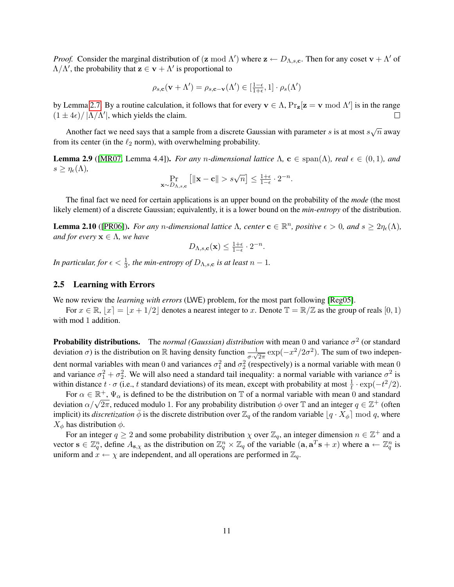*Proof.* Consider the marginal distribution of (z mod  $\Lambda'$ ) where  $z \leftarrow D_{\Lambda,s,c}$ . Then for any coset  $v + \Lambda'$  of  $\Lambda/\Lambda'$ , the probability that  $z \in v + \Lambda'$  is proportional to

$$
\rho_{s,\mathbf{c}}(\mathbf{v} + \Lambda') = \rho_{s,\mathbf{c}-\mathbf{v}}(\Lambda') \in [\frac{1-\epsilon}{1+\epsilon}, 1] \cdot \rho_s(\Lambda')
$$

by Lemma [2.7.](#page-9-1) By a routine calculation, it follows that for every  $\mathbf{v} \in \Lambda$ ,  $\Pr_{\mathbf{z}}[\mathbf{z} = \mathbf{v} \bmod{\Lambda}]$  is in the range  $(1 \pm 4\epsilon)/ |\Lambda/\Lambda'|$ , which yields the claim.  $\Box$ 

Another fact we need says that a sample from a discrete Gaussian with parameter s is at most  $s\sqrt{n}$  away from its center (in the  $\ell_2$  norm), with overwhelming probability.

<span id="page-10-1"></span>**Lemma 2.9** ([\[MR07,](#page-39-1) Lemma 4.4]). *For any n-dimensional lattice*  $\Lambda$ ,  $\mathbf{c} \in \text{span}(\Lambda)$ *, real*  $\epsilon \in (0,1)$ *, and*  $s \geq \eta_{\epsilon}(\Lambda)$ ,

$$
\Pr_{\mathbf{x} \sim D_{\Lambda, s, \mathbf{c}}} \left[ \|\mathbf{x} - \mathbf{c}\| > s\sqrt{n} \right] \le \frac{1+\epsilon}{1-\epsilon} \cdot 2^{-n}
$$

.

The final fact we need for certain applications is an upper bound on the probability of the *mode* (the most likely element) of a discrete Gaussian; equivalently, it is a lower bound on the *min-entropy* of the distribution.

<span id="page-10-2"></span>**Lemma 2.10** ([\[PR06\]](#page-39-11)). *For any n-dimensional lattice*  $\Lambda$ , center  $\mathbf{c} \in \mathbb{R}^n$ , positive  $\epsilon > 0$ , and  $s \geq 2\eta_{\epsilon}(\Lambda)$ , *and for every*  $x \in \Lambda$ *, we have* 

$$
D_{\Lambda,s,\mathbf{c}}(\mathbf{x}) \le \tfrac{1+\epsilon}{1-\epsilon} \cdot 2^{-n}.
$$

*In particular, for*  $\epsilon < \frac{1}{3}$ *, the min-entropy of*  $D_{\Lambda,s,c}$  *is at least*  $n-1$ *.* 

#### <span id="page-10-0"></span>2.5 Learning with Errors

We now review the *learning with errors* (LWE) problem, for the most part following [\[Reg05\]](#page-40-1).

For  $x \in \mathbb{R}$ ,  $|x| = |x + 1/2|$  denotes a nearest integer to x. Denote  $\mathbb{T} = \mathbb{R}/\mathbb{Z}$  as the group of reals  $[0, 1)$ with mod 1 addition.

**Probability distributions.** The *normal (Gaussian) distribution* with mean 0 and variance  $\sigma^2$  (or standard deviation  $\sigma$ ) is the distribution on R having density function  $\frac{1}{\sigma \cdot \sqrt{2\pi}} \exp(-x^2/2\sigma^2)$ . The sum of two independent normal variables with mean 0 and variances  $\sigma_1^2$  and  $\sigma_2^2$  (respectively) is a normal variable with mean 0 and variance  $\sigma_1^2 + \sigma_2^2$ . We will also need a standard tail inequality: a normal variable with variance  $\sigma^2$  is within distance  $t \cdot \sigma$  (i.e., t standard deviations) of its mean, except with probability at most  $\frac{1}{t} \cdot \exp(-t^2/2)$ .

For  $\alpha \in \mathbb{R}^+$ ,  $\Psi_\alpha$  is defined to be the distribution on T of a normal variable with mean 0 and standard For  $\alpha \in \mathbb{R}^n$ ,  $\Psi_{\alpha}$  is defined to be the distribution on  $\mathbb{I}$  or a normal variable with mean 0 and standard deviation  $\alpha/\sqrt{2\pi}$ , reduced modulo 1. For any probability distribution  $\phi$  over  $\mathbb{T}$  and an i implicit) its *discretization*  $\bar{\phi}$  is the discrete distribution over  $\mathbb{Z}_q$  of the random variable  $\lfloor q \cdot X_{\phi} \rfloor$  mod q, where  $X_{\phi}$  has distribution  $\phi$ .

For an integer  $q \ge 2$  and some probability distribution  $\chi$  over  $\mathbb{Z}_q$ , an integer dimension  $n \in \mathbb{Z}^+$  and a vector  $\mathbf{s} \in \mathbb{Z}_q^n$ , define  $A_{\mathbf{s},\chi}$  as the distribution on  $\mathbb{Z}_q^n \times \mathbb{Z}_q$  of the variable  $(\mathbf{a}, \mathbf{a}^T\mathbf{s} + x)$  where  $\mathbf{a} \leftarrow \mathbb{Z}_q^n$  is uniform and  $x \leftarrow \chi$  are independent, and all operations are performed in  $\mathbb{Z}_q$ .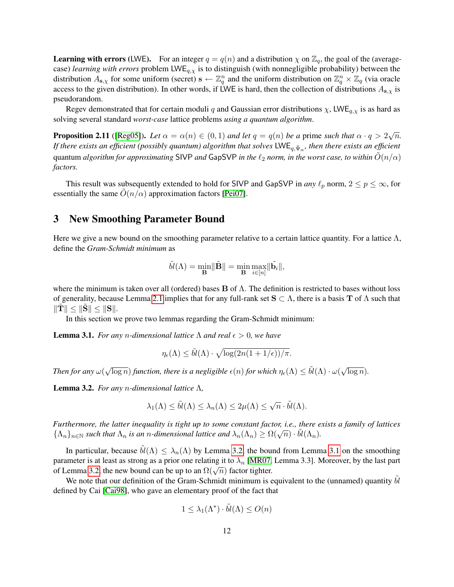**Learning with errors (LWE).** For an integer  $q = q(n)$  and a distribution  $\chi$  on  $\mathbb{Z}_q$ , the goal of the (averagecase) *learning with errors* problem LWEq,χ is to distinguish (with nonnegligible probability) between the distribution  $A_{s,\chi}$  for some uniform (secret)  $s \leftarrow \mathbb{Z}_q^n$  and the uniform distribution on  $\mathbb{Z}_q^n \times \mathbb{Z}_q$  (via oracle access to the given distribution). In other words, if LWE is hard, then the collection of distributions  $A_{s,x}$  is pseudorandom.

Regev demonstrated that for certain moduli q and Gaussian error distributions  $\chi$ , LWE<sub>q, $\chi$ </sub> is as hard as solving several standard *worst-case* lattice problems *using a quantum algorithm*.

<span id="page-11-3"></span>**Proposition 2.11** ([\[Reg05\]](#page-40-1)). Let  $\alpha = \alpha(n) \in (0,1)$  and let  $q = q(n)$  be a prime such that  $\alpha \cdot q > 2\sqrt{n}$ . If there exists an efficient (possibly quantum) algorithm that solves  $\sf{LWE}_{q,\bar\Psi_\alpha}$ , then there exists an efficient quantum *algorithm for approximating* SIVP *and* GapSVP *in the*  $\ell_2$  *norm, in the worst case, to within*  $\tilde{O}(n/\alpha)$ *factors.*

This result was subsequently extended to hold for SIVP and GapSVP in *any*  $\ell_p$  norm,  $2 \le p \le \infty$ , for essentially the same  $O(n/\alpha)$  approximation factors [\[Pei07\]](#page-39-6).

## <span id="page-11-1"></span>3 New Smoothing Parameter Bound

Here we give a new bound on the smoothing parameter relative to a certain lattice quantity. For a lattice  $\Lambda$ , define the *Gram-Schmidt minimum* as

$$
\tilde{bl}(\Lambda) = \min_{\mathbf{B}} \lVert \tilde{\mathbf{B}} \rVert = \min_{\mathbf{B}} \max_{i \in [n]} \lVert \tilde{\mathbf{b}}_i \rVert,
$$

where the minimum is taken over all (ordered) bases  $\bf{B}$  of  $\Lambda$ . The definition is restricted to bases without loss of generality, because Lemma [2.1](#page-8-2) implies that for any full-rank set  $S \subset \Lambda$ , there is a basis T of  $\Lambda$  such that  $\|\mathbf{T}\| \leq \|\mathbf{S}\| \leq \|\mathbf{S}\|.$ 

In this section we prove two lemmas regarding the Gram-Schmidt minimum:

<span id="page-11-0"></span>**Lemma 3.1.** *For any n-dimensional lattice*  $\Lambda$  *and real*  $\epsilon > 0$ *, we have* 

$$
\eta_{\epsilon}(\Lambda) \leq \tilde{bl}(\Lambda) \cdot \sqrt{\log(2n(1+1/\epsilon))/\pi}.
$$

*Then for any* ω(  $\sqrt{\log n}$ ) *function, there is a negligible*  $\epsilon(n)$  *for which*  $\eta_{\epsilon}(\Lambda) \leq \tilde{bl}(\Lambda) \cdot \omega(\sqrt{n})$  $\overline{\log n}$ ).

<span id="page-11-2"></span>Lemma 3.2. *For any* n*-dimensional lattice* Λ*,*

$$
\lambda_1(\Lambda) \leq \tilde{bl}(\Lambda) \leq \lambda_n(\Lambda) \leq 2\mu(\Lambda) \leq \sqrt{n} \cdot \tilde{bl}(\Lambda).
$$

*Furthermore, the latter inequality is tight up to some constant factor, i.e., there exists a family of lattices* Furthermore, the tatter inequality is tight up to some constant factor, i.e., there  $\{\Lambda_n\}_{n\in\mathbb{N}}$  such that  $\Lambda_n$  is an *n*-dimensional lattice and  $\lambda_n(\Lambda_n) \geq \Omega(\sqrt{n}) \cdot \tilde{bl}(\Lambda_n)$ .

In particular, because  $\tilde{bl}(\Lambda) \leq \lambda_n(\Lambda)$  by Lemma [3.2,](#page-11-2) the bound from Lemma [3.1](#page-11-0) on the smoothing parameter is at least as strong as a prior one relating it to  $\lambda_n$  [\[MR07,](#page-39-1) Lemma 3.3]. Moreover, by the last part parameter is at least as strong as a prior one relating it to  $\lambda_n$  [NIKO7, of Lemma [3.2,](#page-11-2) the new bound can be up to an  $\Omega(\sqrt{n})$  factor tighter.

We note that our definition of the Gram-Schmidt minimum is equivalent to the (unnamed) quantity  $bl$ defined by Cai [\[Cai98\]](#page-38-16), who gave an elementary proof of the fact that

$$
1 \leq \lambda_1(\Lambda^*) \cdot \tilde{bl}(\Lambda) \leq O(n)
$$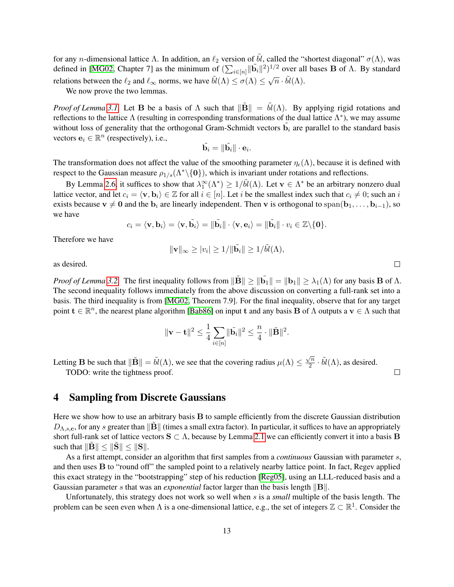for any *n*-dimensional lattice Λ. In addition, an  $\ell_2$  version of  $\tilde{b}l$ , called the "shortest diagonal"  $\sigma(\Lambda)$ , was defined in [\[MG02,](#page-39-15) Chapter 7] as the minimum of  $(\sum_{i \in [n]} ||\tilde{\mathbf{b}}_i||^2)^{1/2}$  over all bases **B** of  $\Lambda$ . By standard relations between the  $\ell_2$  and  $\ell_{\infty}$  norms, we have  $\tilde{bl}(\Lambda) \leq \sigma(\Lambda) \leq \sqrt{n} \cdot \tilde{bl}(\Lambda)$ .  $'$ 

We now prove the two lemmas.

*Proof of Lemma* [3.1.](#page-11-0) Let **B** be a basis of  $\Lambda$  such that  $\|\mathbf{B}\| = \tilde{bl}(\Lambda)$ . By applying rigid rotations and reflections to the lattice  $\Lambda$  (resulting in corresponding transformations of the dual lattice  $\Lambda^*$ ), we may assume without loss of generality that the orthogonal Gram-Schmidt vectors  $\tilde{b}_i$  are parallel to the standard basis vectors  $e_i \in \mathbb{R}^n$  (respectively), i.e.,

$$
\tilde{\mathbf{b}_i} = \|\tilde{\mathbf{b}_i}\| \cdot \mathbf{e}_i.
$$

The transformation does not affect the value of the smoothing parameter  $\eta_{\epsilon}(\Lambda)$ , because it is defined with respect to the Gaussian measure  $\rho_{1/s}(\Lambda^*\backslash\{0\})$ , which is invariant under rotations and reflections.

By Lemma [2.6,](#page-9-2) it suffices to show that  $\lambda_1^{\infty}(\Lambda^*) \geq 1/\tilde{bl}(\Lambda)$ . Let  $\mathbf{v} \in \Lambda^*$  be an arbitrary nonzero dual lattice vector, and let  $c_i = \langle v, b_i \rangle \in \mathbb{Z}$  for all  $i \in [n]$ . Let i be the smallest index such that  $c_i \neq 0$ ; such an i exists because  $v \neq 0$  and the  $b_i$  are linearly independent. Then v is orthogonal to span( $b_1, \ldots, b_{i-1}$ ), so we have

$$
c_i = \langle \mathbf{v}, \mathbf{b}_i \rangle = \langle \mathbf{v}, \tilde{\mathbf{b}}_i \rangle = \|\tilde{\mathbf{b}}_i\| \cdot \langle \mathbf{v}, \mathbf{e}_i \rangle = \|\tilde{\mathbf{b}}_i\| \cdot v_i \in \mathbb{Z} \setminus \{0\}.
$$

Therefore we have

$$
\|\mathbf{v}\|_{\infty} \ge |v_i| \ge 1/\|\tilde{\mathbf{b}}_i\| \ge 1/\tilde{\mathbf{b}}_i(\Lambda),
$$

as desired.

*Proof of Lemma* [3.2.](#page-11-2) The first inequality follows from  $\|\tilde{\mathbf{B}}\| \ge \|\tilde{\mathbf{b}}_1\| = \|\mathbf{b}_1\| \ge \lambda_1(\Lambda)$  for any basis **B** of  $\Lambda$ . The second inequality follows immediately from the above discussion on converting a full-rank set into a basis. The third inequality is from [\[MG02,](#page-39-15) Theorem 7.9]. For the final inequality, observe that for any target point  $\mathbf{t} \in \mathbb{R}^n$ , the nearest plane algorithm [\[Bab86\]](#page-37-6) on input t and any basis **B** of  $\Lambda$  outputs a  $\mathbf{v} \in \Lambda$  such that

$$
\|\mathbf{v}-\mathbf{t}\|^2 \leq \frac{1}{4} \sum_{i\in[n]} \|\tilde{\mathbf{b}}_i\|^2 \leq \frac{n}{4} \cdot \|\tilde{\mathbf{B}}\|^2.
$$

Letting **B** be such that  $\|\tilde{\mathbf{B}}\| = \tilde{bl}(\Lambda)$ , we see that the covering radius  $\mu(\Lambda) \leq \frac{\sqrt{n}}{2}$  $\frac{\sqrt{n}}{2} \cdot \tilde{bl}(\Lambda)$ , as desired.

TODO: write the tightness proof.

## <span id="page-12-0"></span>4 Sampling from Discrete Gaussians

Here we show how to use an arbitrary basis B to sample efficiently from the discrete Gaussian distribution  $D_{\Lambda,s,c}$ , for any s greater than  $\|\mathbf{B}\|$  (times a small extra factor). In particular, it suffices to have an appropriately short full-rank set of lattice vectors  $S \subset \Lambda$ , because by Lemma [2.1](#page-8-2) we can efficiently convert it into a basis B such that  $\|\mathbf{B}\| \leq \|\mathbf{S}\| \leq \|\mathbf{S}\|.$ 

As a first attempt, consider an algorithm that first samples from a *continuous* Gaussian with parameter s, and then uses B to "round off" the sampled point to a relatively nearby lattice point. In fact, Regev applied this exact strategy in the "bootstrapping" step of his reduction [\[Reg05\]](#page-40-1), using an LLL-reduced basis and a Gaussian parameter s that was an *exponential* factor larger than the basis length  $\|\mathbf{B}\|$ .

Unfortunately, this strategy does not work so well when s is a *small* multiple of the basis length. The problem can be seen even when  $\Lambda$  is a one-dimensional lattice, e.g., the set of integers  $\mathbb{Z} \subset \mathbb{R}^1$ . Consider the

 $\Box$ 

 $\Box$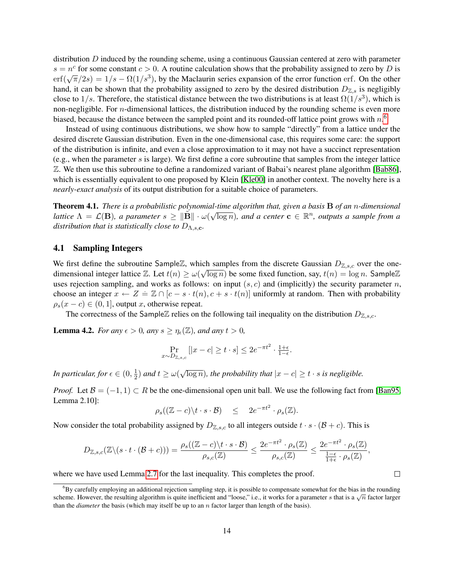distribution  $D$  induced by the rounding scheme, using a continuous Gaussian centered at zero with parameter  $s = n^c$  for some constant  $c > 0$ . A routine calculation shows that the probability assigned to zero by D is  $e = h$  for some constant  $e > 0$ . A fourthe calculation shows that the probability assigned to zero by *D* is erf( $\sqrt{\pi}/2s$ ) =  $1/s - \Omega(1/s^3)$ , by the Maclaurin series expansion of the error function erf. On the other hand, it can be shown that the probability assigned to zero by the desired distribution  $D_{\mathbb{Z},s}$  is negligibly close to  $1/s$ . Therefore, the statistical distance between the two distributions is at least  $\Omega(1/s^3)$ , which is non-negligible. For n-dimensional lattices, the distribution induced by the rounding scheme is even more biased, because the distance between the sampled point and its rounded-off lattice point grows with  $n$ .<sup>[6](#page-13-1)</sup>

Instead of using continuous distributions, we show how to sample "directly" from a lattice under the desired discrete Gaussian distribution. Even in the one-dimensional case, this requires some care: the support of the distribution is infinite, and even a close approximation to it may not have a succinct representation (e.g., when the parameter s is large). We first define a core subroutine that samples from the integer lattice Z. We then use this subroutine to define a randomized variant of Babai's nearest plane algorithm [\[Bab86\]](#page-37-6), which is essentially equivalent to one proposed by Klein [\[Kle00\]](#page-38-4) in another context. The novelty here is a *nearly-exact analysis* of its output distribution for a suitable choice of parameters.

<span id="page-13-0"></span>Theorem 4.1. *There is a probabilistic polynomial-time algorithm that, given a basis* B *of an* n*-dimensional* √ *lattice*  $\Lambda = \mathcal{L}(\mathbf{B})$ , a parameter  $s \geq ||\tilde{\mathbf{B}}|| \cdot \omega(\sqrt{\log n})$ , and a center  $\mathbf{c} \in \mathbb{R}^n$ , outputs a sample from a *distribution that is statistically close to*  $D_{\Lambda,s,c}$ *.* 

#### <span id="page-13-4"></span>4.1 Sampling Integers

We first define the subroutine SampleZ, which samples from the discrete Gaussian  $D_{\mathbb{Z},s,c}$  over the onedimensional integer lattice  $\mathbb{Z}$ . Let  $t(n) \ge \omega(\sqrt{\log n})$  be some fixed function, say,  $t(n) = \log n$ . Sample $\mathbb{Z}$ uses rejection sampling, and works as follows: on input  $(s, c)$  and (implicitly) the security parameter n, choose an integer  $x \leftarrow Z = \mathbb{Z} \cap [c - s \cdot t(n), c + s \cdot t(n)]$  uniformly at random. Then with probability  $\rho_s(x-c) \in (0,1]$ , output x, otherwise repeat.

The correctness of the SampleZ relies on the following tail inequality on the distribution  $D_{\mathbb{Z},s,c}$ .

<span id="page-13-2"></span>**Lemma 4.2.** *For any*  $\epsilon > 0$ *, any*  $s \geq \eta_{\epsilon}(\mathbb{Z})$ *, and any*  $t > 0$ *,* 

$$
\Pr_{x \sim D_{\mathbb{Z},s,c}} [|x - c| \ge t \cdot s] \le 2e^{-\pi t^2} \cdot \frac{1+\epsilon}{1-\epsilon}.
$$

*In particular, for*  $\epsilon \in (0, \frac{1}{2})$  $(\frac{1}{2})$  and  $t \geq \omega$ √  $\overline{\log n}$ *), the probability that*  $|x - c| \ge t \cdot s$  *is negligible.* 

*Proof.* Let  $\mathcal{B} = (-1, 1) \subset R$  be the one-dimensional open unit ball. We use the following fact from [\[Ban95,](#page-37-3) Lemma 2.10]:

$$
\rho_s((\mathbb{Z}-c)\backslash t\cdot s\cdot\mathcal{B})\quad \leq \quad 2e^{-\pi t^2}\cdot\rho_s(\mathbb{Z}).
$$

Now consider the total probability assigned by  $D_{\mathbb{Z},s,c}$  to all integers outside  $t \cdot s \cdot (\mathcal{B} + c)$ . This is

$$
D_{\mathbb{Z},s,c}(\mathbb{Z}\backslash (s\cdot t\cdot (\mathcal{B}+c)))=\frac{\rho_s((\mathbb{Z}-c)\backslash t\cdot s\cdot \mathcal{B})}{\rho_{s,c}(\mathbb{Z})}\leq \frac{2e^{-\pi t^2}\cdot \rho_s(\mathbb{Z})}{\rho_{s,c}(\mathbb{Z})}\leq \frac{2e^{-\pi t^2}\cdot \rho_s(\mathbb{Z})}{\frac{1-\epsilon}{1+\epsilon}\cdot \rho_s(\mathbb{Z})},
$$

where we have used Lemma [2.7](#page-9-1) for the last inequality. This completes the proof.

 $\Box$ 

<span id="page-13-3"></span><span id="page-13-1"></span> ${}^{6}$ By carefully employing an additional rejection sampling step, it is possible to compensate somewhat for the bias in the rounding scheme. However, the resulting algorithm is quite inefficient and "loose," i.e., it works for a parameter s that is a  $\sqrt{n}$  factor larger than the *diameter* the basis (which may itself be up to an n factor larger than length of the basis).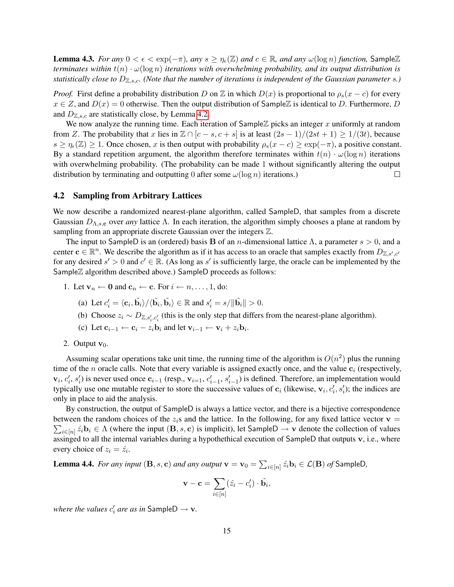**Lemma 4.3.** *For any*  $0 < \epsilon < \exp(-\pi)$ *, any*  $s \ge \eta_{\epsilon}(\mathbb{Z})$  *and*  $c \in \mathbb{R}$ *, and any*  $\omega(\log n)$  *function*, Sample $\mathbb{Z}$ *terminates within*  $t(n) \cdot \omega(\log n)$  *iterations with overwhelming probability, and its output distribution is statistically close to*  $D_{\mathbb{Z},s,c}$ . (Note that the number of iterations is independent of the Gaussian parameter s.)

*Proof.* First define a probability distribution D on Z in which  $D(x)$  is proportional to  $\rho_s(x-c)$  for every  $x \in Z$ , and  $D(x) = 0$  otherwise. Then the output distribution of SampleZ is identical to D. Furthermore, D and  $D_{\mathbb{Z},s,c}$  are statistically close, by Lemma [4.2.](#page-13-2)

We now analyze the running time. Each iteration of SampleZ picks an integer x uniformly at random from Z. The probability that x lies in  $\mathbb{Z} \cap [c-s, c+s]$  is at least  $(2s-1)/(2st+1) \geq 1/(3t)$ , because  $s \geq \eta_{\epsilon}(\mathbb{Z}) \geq 1$ . Once chosen, x is then output with probability  $\rho_s(x-c) \geq \exp(-\pi)$ , a positive constant. By a standard repetition argument, the algorithm therefore terminates within  $t(n) \cdot \omega(\log n)$  iterations with overwhelming probability. (The probability can be made 1 without significantly altering the output distribution by terminating and outputting 0 after some  $\omega(\log n)$  iterations.)  $\Box$ 

### 4.2 Sampling from Arbitrary Lattices

We now describe a randomized nearest-plane algorithm, called SampleD, that samples from a discrete Gaussian  $D_{\Lambda,s,c}$  over *any* lattice  $\Lambda$ . In each iteration, the algorithm simply chooses a plane at random by sampling from an appropriate discrete Gaussian over the integers Z.

The input to SampleD is an (ordered) basis **B** of an *n*-dimensional lattice  $\Lambda$ , a parameter  $s > 0$ , and a center  $c \in \mathbb{R}^n$ . We describe the algorithm as if it has access to an oracle that samples exactly from  $D_{\mathbb{Z},s',c'}$ for any desired  $s' > 0$  and  $c' \in \mathbb{R}$ . (As long as s' is sufficiently large, the oracle can be implemented by the SampleZ algorithm described above.) SampleD proceeds as follows:

- 1. Let  $\mathbf{v}_n \leftarrow \mathbf{0}$  and  $\mathbf{c}_n \leftarrow \mathbf{c}$ . For  $i \leftarrow n, \dots, 1$ , do:
	- (a) Let  $c_i' = \langle \mathbf{c}_i, \tilde{\mathbf{b}}_i \rangle / \langle \tilde{\mathbf{b}}_i, \tilde{\mathbf{b}}_i \rangle \in \mathbb{R}$  and  $s_i' = s / ||\tilde{\mathbf{b}}_i|| > 0$ .
	- (b) Choose  $z_i \sim D_{\mathbb{Z}, s_i', c_i'}$  (this is the only step that differs from the nearest-plane algorithm).
	- (c) Let  $\mathbf{c}_{i-1} \leftarrow \mathbf{c}_i z_i \mathbf{b}_i$  and let  $\mathbf{v}_{i-1} \leftarrow \mathbf{v}_i + z_i \mathbf{b}_i$ .

#### 2. Output  $\mathbf{v}_0$ .

Assuming scalar operations take unit time, the running time of the algorithm is  $O(n^2)$  plus the running time of the n oracle calls. Note that every variable is assigned exactly once, and the value  $c_i$  (respectively,  $\mathbf{v}_i, c'_i, s'_i$  is never used once  $\mathbf{c}_{i-1}$  (resp.,  $\mathbf{v}_{i=1}, c'_{i-1}, s'_{i-1}$ ) is defined. Therefore, an implementation would typically use one mutable register to store the successive values of  $c_i$  (likewise,  $v_i, c'_i, s'_i$ ); the indices are only in place to aid the analysis.

By construction, the output of SampleD is always a lattice vector, and there is a bijective correspondence  $\sum_{i\in[n]}\hat{z_i}\mathbf{b}_i \in \Lambda$  (where the input  $(\mathbf{B},s,\mathbf{c})$  is implicit), let SampleD  $\to \mathbf{v}$  denote the collection of values between the random choices of the  $z_i$ s and the lattice. In the following, for any fixed lattice vector  $\mathbf{v} =$ assinged to all the internal variables during a hypothethical execution of SampleD that outputs v, i.e., where every choice of  $z_i = \hat{z_i}$ .

<span id="page-14-0"></span>**Lemma 4.4.** For any input  $(\mathbf{B}, s, \mathbf{c})$  and any output  $\mathbf{v} = \mathbf{v}_0 = \sum_{i \in [n]} \hat{z}_i \mathbf{b}_i \in \mathcal{L}(\mathbf{B})$  of SampleD,

$$
\mathbf{v} - \mathbf{c} = \sum_{i \in [n]} (\hat{z}_i - c'_i) \cdot \tilde{\mathbf{b}}_i,
$$

*where the values*  $c_i'$  *are as in* SampleD  $\rightarrow \mathbf{v}$ *.*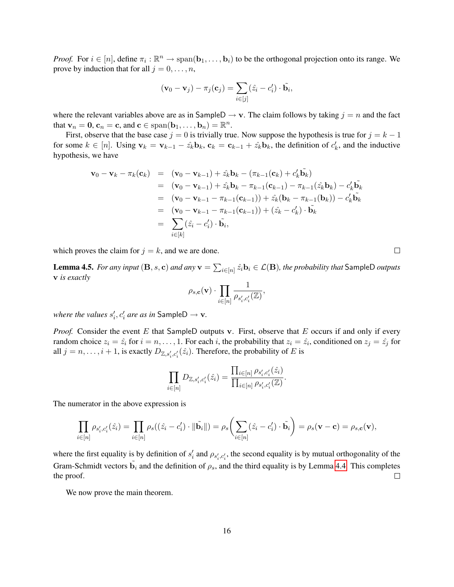*Proof.* For  $i \in [n]$ , define  $\pi_i : \mathbb{R}^n \to \text{span}(\mathbf{b}_1, \dots, \mathbf{b}_i)$  to be the orthogonal projection onto its range. We prove by induction that for all  $j = 0, \ldots, n$ ,

$$
(\mathbf{v}_0 - \mathbf{v}_j) - \pi_j(\mathbf{c}_j) = \sum_{i \in [j]} (\hat{z}_i - c'_i) \cdot \tilde{\mathbf{b}}_i,
$$

where the relevant variables above are as in SampleD  $\rightarrow$  v. The claim follows by taking  $j = n$  and the fact that  $\mathbf{v}_n = \mathbf{0}$ ,  $\mathbf{c}_n = \mathbf{c}$ , and  $\mathbf{c} \in \text{span}(\mathbf{b}_1, \dots, \mathbf{b}_n) = \mathbb{R}^n$ .

First, observe that the base case  $j = 0$  is trivially true. Now suppose the hypothesis is true for  $j = k - 1$ for some  $k \in [n]$ . Using  $\mathbf{v}_k = \mathbf{v}_{k-1} - \hat{z}_k \mathbf{b}_k$ ,  $\mathbf{c}_k = \mathbf{c}_{k-1} + \hat{z}_k \mathbf{b}_k$ , the definition of  $c'_k$ , and the inductive hypothesis, we have

$$
\mathbf{v}_{0} - \mathbf{v}_{k} - \pi_{k}(\mathbf{c}_{k}) = (\mathbf{v}_{0} - \mathbf{v}_{k-1}) + \hat{z}_{k}\mathbf{b}_{k} - (\pi_{k-1}(\mathbf{c}_{k}) + c'_{k}\tilde{\mathbf{b}}_{k})
$$
  
\n
$$
= (\mathbf{v}_{0} - \mathbf{v}_{k-1}) + \hat{z}_{k}\mathbf{b}_{k} - \pi_{k-1}(\mathbf{c}_{k-1}) - \pi_{k-1}(\hat{z}_{k}\mathbf{b}_{k}) - c'_{k}\tilde{\mathbf{b}}_{k}
$$
  
\n
$$
= (\mathbf{v}_{0} - \mathbf{v}_{k-1} - \pi_{k-1}(\mathbf{c}_{k-1})) + \hat{z}_{k}(\mathbf{b}_{k} - \pi_{k-1}(\mathbf{b}_{k})) - c'_{k}\tilde{\mathbf{b}}_{k}
$$
  
\n
$$
= (\mathbf{v}_{0} - \mathbf{v}_{k-1} - \pi_{k-1}(\mathbf{c}_{k-1})) + (\hat{z}_{k} - c'_{k}) \cdot \tilde{\mathbf{b}}_{k}
$$
  
\n
$$
= \sum_{i \in [k]} (\hat{z}_{i} - c'_{i}) \cdot \tilde{\mathbf{b}}_{i},
$$

which proves the claim for  $j = k$ , and we are done.

<span id="page-15-0"></span> ${\bf Lemma \ 4.5.}$  *For any input*  $({\bf B},s,{\bf c})$  *and any*  ${\bf v}=\sum_{i\in [n]} \hat{z}_i{\bf b}_i\in {\cal L}({\bf B}),$  *the probability that* <code>SampleD</code> *outputs* v *is exactly*

$$
\rho_{s,\mathbf{c}}(\mathbf{v}) \cdot \prod_{i \in [n]} \frac{1}{\rho_{s'_i,c'_i}(\mathbb{Z})},
$$

where the values  $s_i', c_i'$  are as in SampleD  $\rightarrow \mathbf{v}$ .

*Proof.* Consider the event  $E$  that SampleD outputs v. First, observe that  $E$  occurs if and only if every random choice  $z_i = \hat{z_i}$  for  $i = n, \dots, 1$ . For each i, the probability that  $z_i = \hat{z_i}$ , conditioned on  $z_j = \hat{z_j}$  for all  $j = n, \ldots, i + 1$ , is exactly  $D_{\mathbb{Z}, s'_i, c'_i}(\hat{z}_i)$ . Therefore, the probability of E is

$$
\prod_{i \in [n]} D_{\mathbb{Z},s'_i,c'_i}(\hat{z}_i) = \frac{\prod_{i \in [n]} \rho_{s'_i,c'_i}(\hat{z}_i)}{\prod_{i \in [n]} \rho_{s'_i,c'_i}(\mathbb{Z})}.
$$

The numerator in the above expression is

$$
\prod_{i\in[n]} \rho_{s'_i,c'_i}(\hat{z}_i) = \prod_{i\in[n]} \rho_s((\hat{z}_i-c'_i)\cdot \|\tilde{\mathbf{b}}_i\|) = \rho_s\left(\sum_{i\in[n]} (\hat{z}_i-c'_i)\cdot \tilde{\mathbf{b}}_i\right) = \rho_s(\mathbf{v}-\mathbf{c}) = \rho_{s,\mathbf{c}}(\mathbf{v}),
$$

where the first equality is by definition of  $s'_i$  and  $\rho_{s'_i,c'_i}$ , the second equality is by mutual orthogonality of the Gram-Schmidt vectors  $\tilde{b}_i$  and the definition of  $\rho_s$ , and the third equality is by Lemma [4.4.](#page-14-0) This completes the proof.  $\Box$ 

We now prove the main theorem.

 $\Box$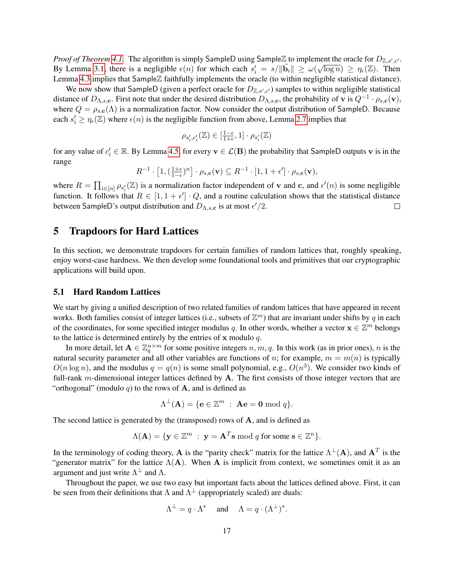*Proof of Theorem [4.1.](#page-13-0)* The algorithm is simply SampleD using SampleZ to implement the oracle for  $D_{\mathbb{Z},s',c'}$ . By Lemma [3.1,](#page-11-0) there is a negligible  $\epsilon(n)$  for which each  $s'_i = s / ||\tilde{\mathbf{b}}_i|| \ge \omega(\sqrt{\log n}) \ge \eta_{\epsilon}(\mathbb{Z})$ . Then Lemma [4.3](#page-13-3) implies that SampleZ faithfully implements the oracle (to within negligible statistical distance).

We now show that SampleD (given a perfect oracle for  $D_{\mathbb{Z},s',c'}$ ) samples to within negligible statistical distance of  $D_{\Lambda,s,c}$ . First note that under the desired distribution  $D_{\Lambda,s,c}$ , the probability of v is  $Q^{-1} \cdot \rho_{s,c}(v)$ , where  $Q = \rho_{s,c}(\Lambda)$  is a normalization factor. Now consider the output distribution of SampleD. Because each  $s'_i \geq \eta_{\epsilon}(\mathbb{Z})$  where  $\epsilon(n)$  is the negligible function from above, Lemma [2.7](#page-9-1) implies that

$$
\rho_{s'_i, c'_i}(\mathbb{Z}) \in [\tfrac{1-\epsilon}{1+\epsilon}, 1] \cdot \rho_{s'_i}(\mathbb{Z})
$$

for any value of  $c_i' \in \mathbb{R}$ . By Lemma [4.5,](#page-15-0) for every  $\mathbf{v} \in \mathcal{L}(\mathbf{B})$  the probability that SampleD outputs  $\mathbf{v}$  is in the range

$$
R^{-1}\cdot \left[1, \left(\frac{1+\epsilon}{1-\epsilon}\right)^n\right]\cdot \rho_{s,\mathbf{c}}(\mathbf{v})\subseteq R^{-1}\cdot [1, 1+\epsilon']\cdot \rho_{s,\mathbf{c}}(\mathbf{v}),
$$

where  $R = \prod_{i \in [n]} \rho_{s_i'}(\mathbb{Z})$  is a normalization factor independent of v and c, and  $\epsilon'(n)$  is some negligible function. It follows that  $R \in [1, 1 + \epsilon'] \cdot Q$ , and a routine calculation shows that the statistical distance between SampleD's output distribution and  $D_{\Lambda,s,c}$  is at most  $\epsilon'/2$ .  $\Box$ 

## <span id="page-16-0"></span>5 Trapdoors for Hard Lattices

In this section, we demonstrate trapdoors for certain families of random lattices that, roughly speaking, enjoy worst-case hardness. We then develop some foundational tools and primitives that our cryptographic applications will build upon.

#### <span id="page-16-1"></span>5.1 Hard Random Lattices

We start by giving a unified description of two related families of random lattices that have appeared in recent works. Both families consist of integer lattices (i.e., subsets of  $\mathbb{Z}^m$ ) that are invariant under shifts by q in each of the coordinates, for some specified integer modulus q. In other words, whether a vector  $\mathbf{x} \in \mathbb{Z}^m$  belongs to the lattice is determined entirely by the entries of  $x$  modulo  $q$ .

In more detail, let  $A \in \mathbb{Z}_q^{n \times m}$  for some positive integers  $n, m, q$ . In this work (as in prior ones), n is the natural security parameter and all other variables are functions of n; for example,  $m = m(n)$  is typically  $O(n \log n)$ , and the modulus  $q = q(n)$  is some small polynomial, e.g.,  $O(n^3)$ . We consider two kinds of full-rank  $m$ -dimensional integer lattices defined by  $A$ . The first consists of those integer vectors that are "orthogonal" (modulo q) to the rows of  $A$ , and is defined as

$$
\Lambda^{\perp}(\mathbf{A}) = \{ \mathbf{e} \in \mathbb{Z}^m \; : \; \mathbf{A}\mathbf{e} = \mathbf{0} \bmod q \}.
$$

The second lattice is generated by the (transposed) rows of  $A$ , and is defined as

$$
\Lambda(\mathbf{A}) = \{ \mathbf{y} \in \mathbb{Z}^m \; : \; \mathbf{y} = \mathbf{A}^T \mathbf{s} \bmod q \text{ for some } \mathbf{s} \in \mathbb{Z}^n \}.
$$

In the terminology of coding theory, A is the "parity check" matrix for the lattice  $\Lambda^{\perp}(A)$ , and  $A^T$  is the "generator matrix" for the lattice  $\Lambda(A)$ . When A is implicit from context, we sometimes omit it as an argument and just write  $\Lambda^{\perp}$  and  $\Lambda$ .

Throughout the paper, we use two easy but important facts about the lattices defined above. First, it can be seen from their definitions that  $\Lambda$  and  $\Lambda^{\perp}$  (appropriately scaled) are duals:

$$
\Lambda^{\perp} = q \cdot \Lambda^*
$$
 and  $\Lambda = q \cdot (\Lambda^{\perp})^*$ .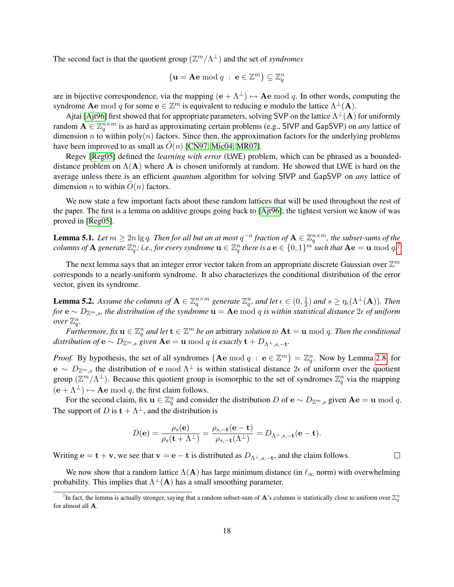The second fact is that the quotient group  $(\mathbb{Z}^m/\Lambda^{\perp})$  and the set of *syndromes* 

$$
\{ \mathbf{u} = \mathbf{A}\mathbf{e} \bmod q \; : \; \mathbf{e} \in \mathbb{Z}^m \} \subseteq \mathbb{Z}_q^n
$$

are in bijective correspondence, via the mapping  $(e + \Lambda^{\perp}) \mapsto Ae \mod q$ . In other words, computing the syndrome **Ae** mod q for some  $e \in \mathbb{Z}^m$  is equivalent to reducing e modulo the lattice  $\Lambda^{\perp}(A)$ .

Ajtai [\[Ajt96\]](#page-37-0) first showed that for appropriate parameters, solving SVP on the lattice  $\Lambda^\perp({\bf A})$  for uniformly random  $A \in \mathbb{Z}_q^{n \times m}$  is as hard as approximating certain problems (e.g., SIVP and GapSVP) on *any* lattice of dimension n to within  $poly(n)$  factors. Since then, the approximation factors for the underlying problems have been improved to as small as  $O(n)$  [\[CN97,](#page-38-1) [Mic04,](#page-39-0) [MR07\]](#page-39-1).

Regev [\[Reg05\]](#page-40-1) defined the *learning with error* (LWE) problem, which can be phrased as a boundeddistance problem on  $\Lambda(A)$  where A is chosen uniformly at random. He showed that LWE is hard on the average unless there is an efficient *quantum* algorithm for solving SIVP and GapSVP on *any* lattice of dimension *n* to within  $\hat{O}(n)$  factors.

We now state a few important facts about these random lattices that will be used throughout the rest of the paper. The first is a lemma on additive groups going back to [\[Ajt96\]](#page-37-0); the tightest version we know of was proved in [\[Reg05\]](#page-40-1).

<span id="page-17-1"></span>**Lemma 5.1.** Let  $m \ge 2n \lg q$ . Then for all but an at most  $q^{-n}$  fraction of  $A \in \mathbb{Z}_q^{n \times m}$ , the subset-sums of the  $\it columns$  of  ${\bf A}$  generate  $\Z_q^n\!$  i.e., for every syndrome  ${\bf u}\in\Z_q^n$  there is  $a$   ${\bf e}\in\{0,1\}^m$  such that  ${\bf A}{\bf e}={\bf u}\bmod q$ .  $^7$  $^7$ 

The next lemma says that an integer error vector taken from an appropriate discrete Gaussian over  $\mathbb{Z}^m$ corresponds to a nearly-uniform syndrome. It also characterizes the conditional distribution of the error vector, given its syndrome.

<span id="page-17-3"></span>**Lemma 5.2.** Assume the columns of  $A \in \mathbb{Z}_q^{n \times m}$  generate  $\mathbb{Z}_q^n$ , and let  $\epsilon \in (0, \frac{1}{2})$  $(\frac{1}{2})$  and  $s \geq \eta_{\epsilon}(\Lambda^{\perp}(\mathbf{A}))$ . Then *for*  $e \sim D_{\mathbb{Z}^m,s}$ , the distribution of the syndrome  $u = Ae$  mod q is within statistical distance 2 $\epsilon$  of uniform *over*  $\mathbb{Z}_q^n$ .

*Furthermore, fix*  $u \in \mathbb{Z}_q^n$  and let  $t \in \mathbb{Z}^m$  be an arbitrary solution to  $At = u \bmod q$ . Then the conditional *distribution of*  $e \sim D_{\mathbb{Z}^m,s}$  *given*  $Ae = u \bmod q$  *is exactly*  $t + D_{\Lambda^{\perp},s,-t}$ *.* 

*Proof.* By hypothesis, the set of all syndromes  $\{Ae \mod q : e \in \mathbb{Z}^m\} = \mathbb{Z}_q^n$ . Now by Lemma [2.8,](#page-9-3) for e ~  $D_{\mathbb{Z}^m,s}$  the distribution of e mod  $\Lambda^{\perp}$  is within statistical distance  $2\epsilon$  of uniform over the quotient group  $(\mathbb{Z}^m/\Lambda^{\perp})$ . Because this quotient group is isomorphic to the set of syndromes  $\mathbb{Z}_q^n$  via the mapping  $(e + \Lambda^{\perp}) \mapsto$  **Ae** mod q, the first claim follows.

For the second claim, fix  $u \in \mathbb{Z}_q^n$  and consider the distribution D of  $e \sim D_{\mathbb{Z}^m,s}$  given  $Ae = u \bmod q$ . The support of D is  $t + \Lambda^{\perp}$ , and the distribution is

$$
D(\mathbf{e}) = \frac{\rho_s(\mathbf{e})}{\rho_s(\mathbf{t} + \Lambda^\perp)} = \frac{\rho_{s,-\mathbf{t}}(\mathbf{e}-\mathbf{t})}{\rho_{s,-\mathbf{t}}(\Lambda^\perp)} = D_{\Lambda^\perp,s,-\mathbf{t}}(\mathbf{e}-\mathbf{t}).
$$

Writing  $\mathbf{e} = \mathbf{t} + \mathbf{v}$ , we see that  $\mathbf{v} = \mathbf{e} - \mathbf{t}$  is distributed as  $D_{\Lambda^{\perp}, s, -\mathbf{t}}$ , and the claim follows.  $\Box$ 

We now show that a random lattice  $\Lambda(A)$  has large minimum distance (in  $\ell_{\infty}$  norm) with overwhelming probability. This implies that  $\Lambda^{\perp}(A)$  has a small smoothing parameter.

<span id="page-17-2"></span><span id="page-17-0"></span><sup>&</sup>lt;sup>7</sup>In fact, the lemma is actually stronger, saying that a random subset-sum of **A**'s columns is statistically close to uniform over  $\mathbb{Z}_q^n$ for almost all A.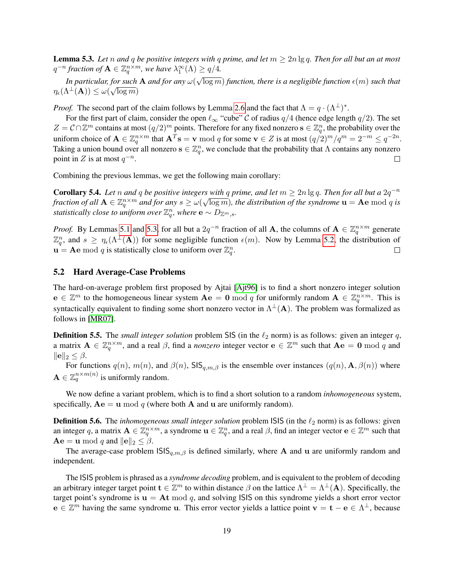**Lemma 5.3.** *Let n and q be positive integers with q prime, and let*  $m \geq 2n \lg q$ *. Then for all but an at most*  $q^{-n}$  fraction of  $\mathbf{A} \in \mathbb{Z}_q^{n \times m}$ , we have  $\lambda_1^{\infty}(\Lambda) \geq q/4$ . √

*In particular, for such* A *and for any* ω( for such **A** and for any  $\omega(\sqrt{\log m})$  function, there is a negligible function  $\epsilon(m)$  such that  $\eta_\epsilon(\Lambda^\perp(\mathbf{A})) \leq \omega(\sqrt{\log m})$ 

*Proof.* The second part of the claim follows by Lemma [2.6](#page-9-2) and the fact that  $\Lambda = q \cdot (\Lambda^{\perp})^*$ .

For the first part of claim, consider the open  $\ell_{\infty}$  "cube" C of radius  $q/4$  (hence edge length  $q/2$ ). The set  $Z = C \cap \mathbb{Z}^m$  contains at most  $(q/2)^m$  points. Therefore for any fixed nonzero  $s \in \mathbb{Z}_q^n$ , the probability over the uniform choice of  $\mathbf{A} \in \mathbb{Z}_q^{n \times m}$  that  $\mathbf{A}^T \mathbf{s} = \mathbf{v} \bmod q$  for some  $\mathbf{v} \in Z$  is at most  $(q/2)^m/q^m = 2^{-m} \le q^{-2n}$ . Taking a union bound over all nonzero  $s \in \mathbb{Z}_q^n$ , we conclude that the probability that  $\Lambda$  contains any nonzero point in Z is at most  $q^{-n}$ .  $\Box$ 

<span id="page-18-0"></span>Combining the previous lemmas, we get the following main corollary:

**Corollary 5.4.** *Let* n *and* q *be positive integers with* q *prime, and let*  $m \ge 2n \lg q$ . *Then for all but a* 2q<sup>-n</sup> *fraction of all*  $A \in \mathbb{Z}_q^{n \times m}$  and for any  $s \ge \omega(\sqrt{\log m})$ , the distribution of the syndrome  $u = Ae$  mod q is *statistically close to uniform over*  $\mathbb{Z}_q^n$ *, where*  $e \sim D_{\mathbb{Z}^m,s}$ *.* 

*Proof.* By Lemmas [5.1](#page-17-1) and [5.3,](#page-17-2) for all but a  $2q^{-n}$  fraction of all **A**, the columns of  $\mathbf{A} \in \mathbb{Z}_q^{n \times m}$  generate  $\mathbb{Z}_q^n$ , and  $s \geq \eta_\epsilon(\Lambda^{\perp}(\mathbf{A}))$  for some negligible function  $\epsilon(m)$ . Now by Lemma [5.2,](#page-17-3) the distribution of  $\mathbf{u} = \mathbf{A}\mathbf{e} \bmod q$  is statistically close to uniform over  $\mathbb{Z}_q^n$ .  $\Box$ 

#### 5.2 Hard Average-Case Problems

The hard-on-average problem first proposed by Ajtai [\[Ajt96\]](#page-37-0) is to find a short nonzero integer solution  $e \in \mathbb{Z}^m$  to the homogeneous linear system  $Ae = 0 \bmod q$  for uniformly random  $A \in \mathbb{Z}_q^{n \times m}$ . This is syntactically equivalent to finding some short nonzero vector in  $\Lambda^{\perp}(A)$ . The problem was formalized as follows in [\[MR07\]](#page-39-1).

**Definition 5.5.** The *small integer solution* problem SIS (in the  $\ell_2$  norm) is as follows: given an integer q, a matrix  $\mathbf{A} \in \mathbb{Z}_q^{n \times m}$ , and a real  $\beta$ , find a *nonzero* integer vector  $\mathbf{e} \in \mathbb{Z}^m$  such that  $\mathbf{A}\mathbf{e} = \mathbf{0} \bmod q$  and  $\|\mathbf{e}\|_2 \leq \beta.$ 

For functions  $q(n)$ ,  $m(n)$ , and  $\beta(n)$ , SIS $_{q,m,\beta}$  is the ensemble over instances  $(q(n), \mathbf{A}, \beta(n))$  where  $\mathbf{A} \in \mathbb{Z}_q^{n \times m(n)}$  is uniformly random.

We now define a variant problem, which is to find a short solution to a random *inhomogeneous* system, specifically,  $Ae = u \mod q$  (where both A and u are uniformly random).

**Definition 5.6.** The *inhomogeneous small integer solution* problem ISIS (in the  $\ell_2$  norm) is as follows: given an integer q, a matrix  $\mathbf{A} \in \mathbb{Z}_q^{n \times m}$ , a syndrome  $\mathbf{u} \in \mathbb{Z}_q^n$ , and a real  $\beta$ , find an integer vector  $\mathbf{e} \in \mathbb{Z}^m$  such that  $\mathbf{A}\mathbf{e} = \mathbf{u} \bmod q$  and  $\|\mathbf{e}\|_2 \leq \beta$ .

The average-case problem  $\text{ISS}_{q,m,\beta}$  is defined similarly, where A and u are uniformly random and independent.

The ISIS problem is phrased as a *syndrome decoding* problem, and is equivalent to the problem of decoding an arbitrary integer target point  $\mathbf{t} \in \mathbb{Z}^m$  to within distance  $\beta$  on the lattice  $\Lambda^{\perp} = \Lambda^{\perp}(\mathbf{A})$ . Specifically, the target point's syndrome is  $u = At \mod q$ , and solving ISIS on this syndrome yields a short error vector  $e \in \mathbb{Z}^m$  having the same syndrome u. This error vector yields a lattice point  $v = t - e \in \Lambda^{\perp}$ , because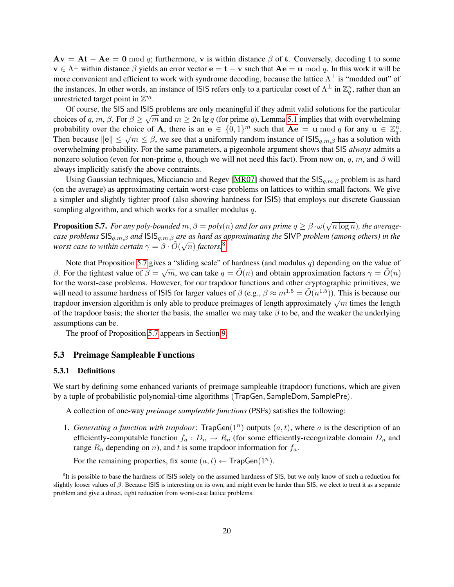$A\mathbf{v} = \mathbf{A}\mathbf{t} - \mathbf{A}\mathbf{e} = \mathbf{0} \bmod q$ ; furthermore, v is within distance  $\beta$  of t. Conversely, decoding t to some  $\mathbf{v} \in \Lambda^{\perp}$  within distance  $\beta$  yields an error vector  $\mathbf{e} = \mathbf{t} - \mathbf{v}$  such that  $\mathbf{A}\mathbf{e} = \mathbf{u} \bmod q$ . In this work it will be more convenient and efficient to work with syndrome decoding, because the lattice  $\Lambda^{\perp}$  is "modded out" of the instances. In other words, an instance of ISIS refers only to a particular coset of  $\Lambda^{\perp}$  in  $\mathbb{Z}_q^n$ , rather than an unrestricted target point in  $\mathbb{Z}^m$ .

Of course, the SIS and ISIS problems are only meaningful if they admit valid solutions for the particular choices of q, m,  $\beta$ . For  $\beta \ge \sqrt{m}$  and  $m \ge 2n \lg q$  (for prime q), Lemma [5.1](#page-17-1) implies that with overwhelming probability over the choice of A, there is an  $e \in \{0,1\}^m$  such that  $Ae = u \bmod q$  for any  $u \in \mathbb{Z}_q^n$ . Then because  $||e|| \le \sqrt{m} \le \beta$ , we see that a uniformly random instance of  $|S|S_{q,m,\beta}$  has a solution with overwhelming probability. For the same parameters, a pigeonhole argument shows that SIS *always* admits a nonzero solution (even for non-prime q, though we will not need this fact). From now on, q, m, and  $\beta$  will always implicitly satisfy the above contraints.

Using Gaussian techniques, Micciancio and Regev [\[MR07\]](#page-39-1) showed that the  $\text{SIS}_{a,m,\beta}$  problem is as hard (on the average) as approximating certain worst-case problems on lattices to within small factors. We give a simpler and slightly tighter proof (also showing hardness for ISIS) that employs our discrete Gaussian sampling algorithm, and which works for a smaller modulus q.

<span id="page-19-2"></span>**Proposition 5.7.** *For any poly-bounded*  $m, \beta = poly(n)$  *and for any prime*  $q \ge \beta \cdot \omega$ √  $\overline{n \log n}$ ), the average*case problems* SISq,m,β *and* ISISq,m,β *are as hard as approximating the* SIVP *problem (among others) in the* √ worst case to within certain  $\gamma = \beta \cdot \tilde{O}(\sqrt{n})$  factors.<sup>[8](#page-19-1)</sup>

Note that Proposition [5.7](#page-19-2) gives a "sliding scale" of hardness (and modulus q) depending on the value of β. For the tightest value of  $\beta = \sqrt{m}$ , we can take  $q = \tilde{O}(n)$  and obtain approximation factors  $\gamma = \tilde{O}(n)$ for the worst-case problems. However, for our trapdoor functions and other cryptographic primitives, we will need to assume hardness of ISIS for larger values of  $\beta$  (e.g.,  $\beta \approx m^{1.5} = \tilde{O}(n^{1.5})$ ). This is because our will heed to assume hardness of 1313 for larger values of  $p$  (e.g.,  $p \approx m = O(n-p)$ ). This is because our trapdoor inversion algorithm is only able to produce preimages of length approximately  $\sqrt{m}$  times the length of the trapdoor basis; the shorter the basis, the smaller we may take  $\beta$  to be, and the weaker the underlying assumptions can be.

The proof of Proposition [5.7](#page-19-2) appears in Section [9.](#page-34-0)

#### <span id="page-19-3"></span>5.3 Preimage Sampleable Functions

#### <span id="page-19-0"></span>5.3.1 Definitions

We start by defining some enhanced variants of preimage sampleable (trapdoor) functions, which are given by a tuple of probabilistic polynomial-time algorithms (TrapGen, SampleDom, SamplePre).

A collection of one-way *preimage sampleable functions* (PSFs) satisfies the following:

1. Generating a function with trapdoor:  $\text{TrapGen}(1^n)$  outputs  $(a, t)$ , where a is the description of an efficiently-computable function  $f_a: D_n \to R_n$  (for some efficiently-recognizable domain  $D_n$  and range  $R_n$  depending on n), and t is some trapdoor information for  $f_a$ .

For the remaining properties, fix some  $(a, t) \leftarrow \textsf{TrapGen}(1^n)$ .

<span id="page-19-1"></span><sup>&</sup>lt;sup>8</sup>It is possible to base the hardness of ISIS solely on the assumed hardness of SIS, but we only know of such a reduction for slightly looser values of  $\beta$ . Because ISIS is interesting on its own, and might even be harder than SIS, we elect to treat it as a separate problem and give a direct, tight reduction from worst-case lattice problems.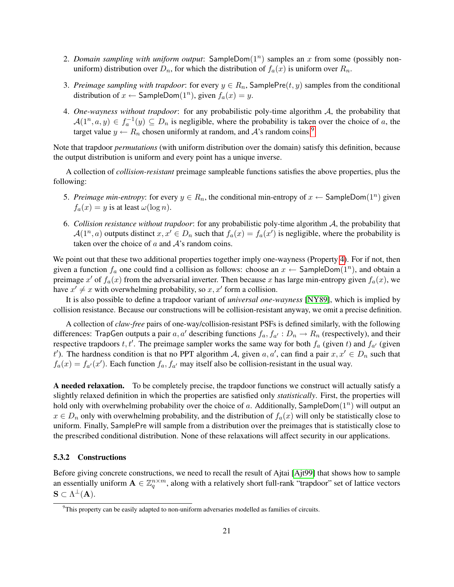- 2. *Domain sampling with uniform output*:  $SampleDom(1<sup>n</sup>)$  samples an x from some (possibly nonuniform) distribution over  $D_n$ , for which the distribution of  $f_a(x)$  is uniform over  $R_n$ .
- 3. *Preimage sampling with trapdoor*: for every  $y \in R_n$ , SamplePre( $t, y$ ) samples from the conditional distribution of  $x \leftarrow$  SampleDom $(1^n)$ , given  $f_a(x) = y$ .
- <span id="page-20-1"></span>4. *One-wayness without trapdoor*: for any probabilistic poly-time algorithm A, the probability that  $\mathcal{A}(1^n, a, y) \in f_a^{-1}(y) \subseteq D_n$  is negligible, where the probability is taken over the choice of a, the target value  $y \leftarrow R_n$  chosen uniformly at random, and A's random coins.<sup>[9](#page-20-0)</sup>

Note that trapdoor *permutations* (with uniform distribution over the domain) satisfy this definition, because the output distribution is uniform and every point has a unique inverse.

A collection of *collision-resistant* preimage sampleable functions satisfies the above properties, plus the following:

- 5. *Preimage min-entropy*: for every  $y \in R_n$ , the conditional min-entropy of  $x \leftarrow$  SampleDom $(1^n)$  given  $f_a(x) = y$  is at least  $\omega(\log n)$ .
- 6. *Collision resistance without trapdoor*: for any probabilistic poly-time algorithm A, the probability that  $\mathcal{A}(1^n, a)$  outputs distinct  $x, x' \in D_n$  such that  $f_a(x) = f_a(x')$  is negligible, where the probability is taken over the choice of  $a$  and  $A$ 's random coins.

We point out that these two additional properties together imply one-wayness (Property [4\)](#page-20-1). For if not, then given a function  $f_a$  one could find a collision as follows: choose an  $x \leftarrow$  SampleDom $(1^n)$ , and obtain a preimage  $x'$  of  $f_a(x)$  from the adversarial inverter. Then because x has large min-entropy given  $f_a(x)$ , we have  $x' \neq x$  with overwhelming probability, so  $x, x'$  form a collision.

It is also possible to define a trapdoor variant of *universal one-wayness* [\[NY89\]](#page-39-4), which is implied by collision resistance. Because our constructions will be collision-resistant anyway, we omit a precise definition.

A collection of *claw-free* pairs of one-way/collision-resistant PSFs is defined similarly, with the following differences: TrapGen outputs a pair  $a, a'$  describing functions  $f_a, f_{a'} : D_n \to R_n$  (respectively), and their respective trapdoors  $t, t'$ . The preimage sampler works the same way for both  $f_a$  (given t) and  $f_{a'}$  (given t'). The hardness condition is that no PPT algorithm A, given  $a, a'$ , can find a pair  $x, x' \in D_n$  such that  $f_a(x) = f_{a'}(x')$ . Each function  $f_a, f_{a'}$  may itself also be collision-resistant in the usual way.

A needed relaxation. To be completely precise, the trapdoor functions we construct will actually satisfy a slightly relaxed definition in which the properties are satisfied only *statistically*. First, the properties will hold only with overwhelming probability over the choice of a. Additionally, SampleDom $(1^n)$  will output an  $x \in D_n$  only with overwhelming probability, and the distribution of  $f_a(x)$  will only be statistically close to uniform. Finally, SamplePre will sample from a distribution over the preimages that is statistically close to the prescribed conditional distribution. None of these relaxations will affect security in our applications.

#### <span id="page-20-3"></span>5.3.2 Constructions

Before giving concrete constructions, we need to recall the result of Ajtai [\[Ajt99\]](#page-37-10) that shows how to sample an essentially uniform  $A \in \mathbb{Z}_q^{n \times m}$ , along with a relatively short full-rank "trapdoor" set of lattice vectors  $\mathbf{S} \subset \Lambda^{\perp}(\mathbf{A}).$ 

<span id="page-20-2"></span><span id="page-20-0"></span> $9$ This property can be easily adapted to non-uniform adversaries modelled as families of circuits.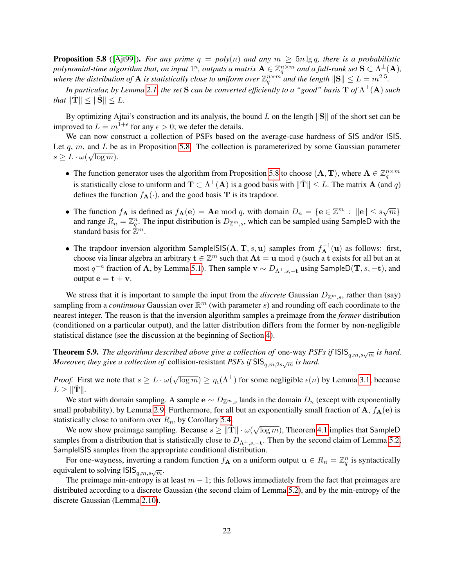**Proposition 5.8** ([\[Ajt99\]](#page-37-10)). *For any prime*  $q = poly(n)$  *and any*  $m \ge 5n \lg q$ , *there is a probabilistic* polynomial-time algorithm that, on input  $1^n$ , outputs a matrix  $\mathbf{A}\in\mathbb{Z}_q^{n\times m}$  and a full-rank set  $\mathbf{S}\subset\Lambda^\perp(\mathbf{A}),$ where the distribution of  $A$  is statistically close to uniform over  $\mathbb{Z}_q^{n\times m}$  and the length  $\|\mathbf{S}\|\leq L=m^{2.5}.$ 

*In particular, by Lemma [2.1,](#page-8-2) the set*  ${\bf S}$  *can be converted efficiently to a "good" basis*  ${\bf T}$  *of*  $\Lambda^\perp({\bf A})$  *such that*  $\|\mathbf{T}\| \leq \|\mathbf{S}\| \leq L$ .

By optimizing Ajtai's construction and its analysis, the bound L on the length  $\|\mathbf{S}\|$  of the short set can be improved to  $L = m^{1+\epsilon}$  for any  $\epsilon > 0$ ; we defer the details.

We can now construct a collection of PSFs based on the average-case hardness of SIS and/or ISIS. Let q, m, and L be as in Proposition [5.8.](#page-20-2) The collection is parameterized by some Gaussian parameter  $s \geq L \cdot \omega(\sqrt{\log m}).$ 

- The function generator uses the algorithm from Proposition [5.8](#page-20-2) to choose  $(A, T)$ , where  $A \in \mathbb{Z}_q^{n \times m}$ is statistically close to uniform and  $T \subset \Lambda^{\perp}(A)$  is a good basis with  $\|\tilde{T}\| \leq L$ . The matrix A (and q) defines the function  $f_{\mathbf{A}}(\cdot)$ , and the good basis T is its trapdoor.
- The function  $f_{\mathbf{A}}$  is defined as  $f_{\mathbf{A}}(\mathbf{e}) = \mathbf{A}\mathbf{e} \bmod q$ , with domain  $D_n = \{\mathbf{e} \in \mathbb{Z}^m : ||\mathbf{e}|| \leq s\sqrt{m}\}\$ and range  $R_n = \mathbb{Z}_q^n$ . The input distribution is  $D_{\mathbb{Z}^m,s}$ , which can be sampled using SampleD with the standard basis for  $\mathbb{Z}^m$ .
- The trapdoor inversion algorithm SampleISIS( $A, T, s, u$ ) samples from  $f_A^{-1}(u)$  as follows: first, choose via linear algebra an arbitrary  $t \in \mathbb{Z}^m$  such that  $At = u \mod q$  (such a t exists for all but an at most  $q^{-n}$  fraction of A, by Lemma [5.1\)](#page-17-1). Then sample  $\mathbf{v} \sim D_{\Lambda^{\perp},s,-\mathbf{t}}$  using SampleD( $\mathbf{T}, s, -\mathbf{t}$ ), and output  $\mathbf{e} = \mathbf{t} + \mathbf{v}$ .

We stress that it is important to sample the input from the *discrete* Gaussian  $D_{\mathbb{Z}^m,s}$ , rather than (say) sampling from a *continuous* Gaussian over  $\mathbb{R}^m$  (with parameter s) and rounding off each coordinate to the nearest integer. The reason is that the inversion algorithm samples a preimage from the *former* distribution (conditioned on a particular output), and the latter distribution differs from the former by non-negligible statistical distance (see the discussion at the beginning of Section [4\)](#page-12-0).

<span id="page-21-0"></span>**Theorem 5.9.** The algorithms described above give a collection of one-way  $PSFs$  if  $|SIS_{q,m,s\sqrt{m}}$  is hard. *Moreover, they give a collection of collision-resistant PSFs if*  $\text{SIS}_{q,m,2s\sqrt{m}}$  *is hard.* 

*Proof.* First we note that  $s \geq L \cdot \omega$  $\sqrt{\log m}$ )  $\geq \eta_{\epsilon}(\Lambda^{\perp})$  for some negligible  $\epsilon(n)$  by Lemma [3.1,](#page-11-0) because  $L \geq ||\mathbf{T}||.$ 

We start with domain sampling. A sample  $e \sim D_{\mathbb{Z}^m}$  lands in the domain  $D_n$  (except with exponentially small probability), by Lemma [2.9.](#page-10-1) Furthermore, for all but an exponentially small fraction of A,  $f_{A}(e)$  is statistically close to uniform over  $R_n$ , by Corollary [5.4.](#page-18-0)

Sucary close to unflorm over  $n_n$ , by Coronary 5.4.<br>We now show preimage sampling. Because  $s \ge ||\tilde{T}|| \cdot \omega(\sqrt{n})$  $\overline{\log m}$ ), Theorem [4.1](#page-13-0) implies that SampleD samples from a distribution that is statistically close to  $D_{\Lambda^{\perp},s,-\mathbf{t}}$ . Then by the second claim of Lemma [5.2,](#page-17-3) SampleISIS samples from the appropriate conditional distribution.

For one-wayness, inverting a random function  $f_{\bf A}$  on a uniform output  ${\bf u} \in R_n = \mathbb{Z}_q^n$  is syntactically equivalent to solving  $\textsf{ISIS}_{q,m,s\sqrt{m}}$ .

The preimage min-entropy is at least  $m - 1$ ; this follows immediately from the fact that preimages are distributed according to a discrete Gaussian (the second claim of Lemma [5.2\)](#page-17-3), and by the min-entropy of the discrete Gaussian (Lemma [2.10\)](#page-10-2).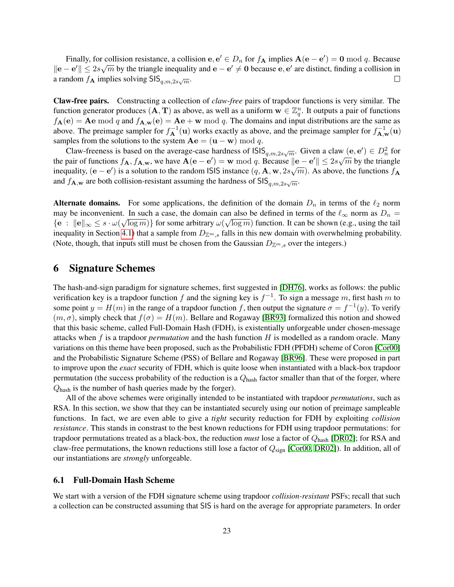Finally, for collision resistance, a collision e,  $e' \in D_n$  for  $f_A$  implies  $A(e - e') = 0 \mod q$ . Because  $\|\mathbf{e} - \mathbf{e}'\| \leq 2s\sqrt{m}$  by the triangle inequality and  $\mathbf{e} - \mathbf{e}' \neq \mathbf{0}$  because  $\mathbf{e}, \mathbf{e}'$  are distinct, finding a collision in a random  $f_{\mathbf{A}}$  implies solving  $\mathsf{SIS}_{q,m,2s\sqrt{m}}$ .  $\Box$ 

Claw-free pairs. Constructing a collection of *claw-free* pairs of trapdoor functions is very similar. The function generator produces  $(A, T)$  as above, as well as a uniform  $w \in \mathbb{Z}_q^n$ . It outputs a pair of functions  $f_{\bf A}({\bf e}) = {\bf Ae} \bmod q$  and  $f_{\bf A,w}({\bf e}) = {\bf Ae} + {\bf w} \bmod q$ . The domains and input distributions are the same as above. The preimage sampler for  $f_{\bf A}^{-1}({\bf u})$  works exactly as above, and the preimage sampler for  $f_{\bf A,w}^{-1}({\bf u})$ samples from the solutions to the system  $\mathbf{A}\mathbf{e} = (\mathbf{u} - \mathbf{w}) \bmod q$ .

Claw-freeness is based on the average-case hardness of  $\text{ISIS}_{q,m,2s\sqrt{m}}$ . Given a claw  $(e, e') \in D_n^2$  for the pair of functions  $f_{\mathbf{A}}, f_{\mathbf{A},\mathbf{w}}$ , we have  $\mathbf{A}(\mathbf{e} - \mathbf{e}') = \mathbf{w} \bmod q$ . Because  $\|\mathbf{e} - \mathbf{e}'\| \le 2s\sqrt{m}$  by the triangle inequality,  $(e - e')$  is a solution to the random ISIS instance  $(q, A, w, 2s\sqrt{m})$ . As above, the functions  $f_A$ and  $f_{\mathbf{A}, \mathbf{w}}$  are both collision-resistant assuming the hardness of SIS $_{q,m,2s\sqrt{m}}$ .

Alternate domains. For some applications, the definition of the domain  $D_n$  in terms of the  $\ell_2$  norm may be inconvenient. In such a case, the domain can also be defined in terms of the  $\ell_{\infty}$  norm as  $D_n =$  ${e : \|e\|_\infty \leq s \cdot \omega(\sqrt{\log m})\}$  for some arbitrary  $\omega(\sqrt{\log m})$  function. It can be shown (e.g., using the tail inequality in Section [4.1\)](#page-13-4) that a sample from  $D_{\mathbb{Z}^m,s}$  falls in this new domain with overwhelming probability. (Note, though, that inputs still must be chosen from the Gaussian  $D_{\mathbb{Z}^m,s}$  over the integers.)

## <span id="page-22-0"></span>6 Signature Schemes

The hash-and-sign paradigm for signature schemes, first suggested in [\[DH76\]](#page-38-7), works as follows: the public verification key is a trapdoor function f and the signing key is  $f^{-1}$ . To sign a message m, first hash m to some point  $y = H(m)$  in the range of a trapdoor function f, then output the signature  $\sigma = f^{-1}(y)$ . To verify  $(m, \sigma)$ , simply check that  $f(\sigma) = H(m)$ . Bellare and Rogaway [\[BR93\]](#page-37-7) formalized this notion and showed that this basic scheme, called Full-Domain Hash (FDH), is existentially unforgeable under chosen-message attacks when f is a trapdoor *permutation* and the hash function H is modelled as a random oracle. Many variations on this theme have been proposed, such as the Probabilistic FDH (PFDH) scheme of Coron [\[Cor00\]](#page-38-10) and the Probabilistic Signature Scheme (PSS) of Bellare and Rogaway [\[BR96\]](#page-38-5). These were proposed in part to improve upon the *exact* security of FDH, which is quite loose when instantiated with a black-box trapdoor permutation (the success probability of the reduction is a  $Q_{\text{hash}}$  factor smaller than that of the forger, where Qhash is the number of hash queries made by the forger).

All of the above schemes were originally intended to be instantiated with trapdoor *permutations*, such as RSA. In this section, we show that they can be instantiated securely using our notion of preimage sampleable functions. In fact, we are even able to give a *tight* security reduction for FDH by exploiting *collision resistance*. This stands in constrast to the best known reductions for FDH using trapdoor permutations: for trapdoor permutations treated as a black-box, the reduction *must* lose a factor of Qhash [\[DR02\]](#page-38-11); for RSA and claw-free permutations, the known reductions still lose a factor of  $Q_{\text{sign}}$  [\[Cor00,](#page-38-10) [DR02\]](#page-38-11)). In addition, all of our instantiations are *strongly* unforgeable.

#### 6.1 Full-Domain Hash Scheme

We start with a version of the FDH signature scheme using trapdoor *collision-resistant* PSFs; recall that such a collection can be constructed assuming that SIS is hard on the average for appropriate parameters. In order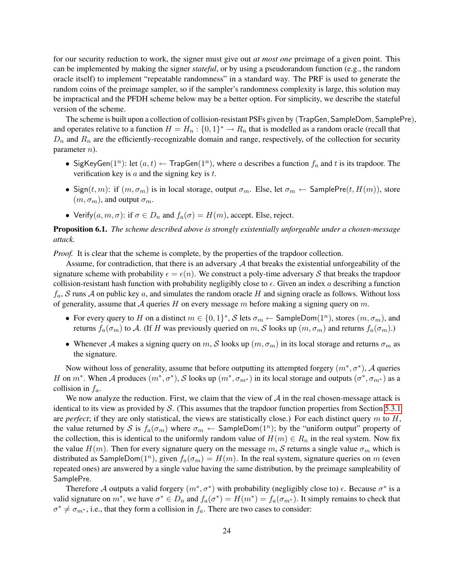for our security reduction to work, the signer must give out *at most one* preimage of a given point. This can be implemented by making the signer *stateful*, or by using a pseudorandom function (e.g., the random oracle itself) to implement "repeatable randomness" in a standard way. The PRF is used to generate the random coins of the preimage sampler, so if the sampler's randomness complexity is large, this solution may be impractical and the PFDH scheme below may be a better option. For simplicity, we describe the stateful version of the scheme.

The scheme is built upon a collection of collision-resistant PSFs given by (TrapGen, SampleDom, SamplePre), and operates relative to a function  $H = H_n : \{0,1\}^* \to R_n$  that is modelled as a random oracle (recall that  $D_n$  and  $R_n$  are the efficiently-recognizable domain and range, respectively, of the collection for security parameter n).

- SigKeyGen(1<sup>n</sup>): let  $(a, t) \leftarrow$  TrapGen(1<sup>n</sup>), where a describes a function  $f_a$  and t is its trapdoor. The verification key is  $a$  and the signing key is  $t$ .
- Sign $(t, m)$ : if  $(m, \sigma_m)$  is in local storage, output  $\sigma_m$ . Else, let  $\sigma_m \leftarrow$  SamplePre $(t, H(m))$ , store  $(m, \sigma_m)$ , and output  $\sigma_m$ .
- Verify $(a, m, \sigma)$ : if  $\sigma \in D_n$  and  $f_a(\sigma) = H(m)$ , accept. Else, reject.

## Proposition 6.1. *The scheme described above is strongly existentially unforgeable under a chosen-message attack.*

*Proof.* It is clear that the scheme is complete, by the properties of the trapdoor collection.

Assume, for contradiction, that there is an adversary  $A$  that breaks the existential unforgeability of the signature scheme with probability  $\epsilon = \epsilon(n)$ . We construct a poly-time adversary S that breaks the trapdoor collision-resistant hash function with probability negligibly close to  $\epsilon$ . Given an index a describing a function  $f_a$ , S runs A on public key a, and simulates the random oracle H and signing oracle as follows. Without loss of generality, assume that A queries H on every message m before making a signing query on m.

- For every query to H on a distinct  $m \in \{0,1\}^*$ , S lets  $\sigma_m \leftarrow$  SampleDom $(1^n)$ , stores  $(m, \sigma_m)$ , and returns  $f_a(\sigma_m)$  to A. (If H was previously queried on m, S looks up  $(m, \sigma_m)$  and returns  $f_a(\sigma_m)$ .)
- Whenever A makes a signing query on m, S looks up  $(m, \sigma_m)$  in its local storage and returns  $\sigma_m$  as the signature.

Now without loss of generality, assume that before outputting its attempted forgery  $(m^*, \sigma^*)$ , A queries H on  $m^*$ . When A produces  $(m^*, \sigma^*)$ , S looks up  $(m^*, \sigma_{m^*})$  in its local storage and outputs  $(\sigma^*, \sigma_{m^*})$  as a collision in  $f_a$ .

We now analyze the reduction. First, we claim that the view of  $A$  in the real chosen-message attack is identical to its view as provided by  $S$ . (This assumes that the trapdoor function properties from Section [5.3.1](#page-19-0) are *perfect*; if they are only statistical, the views are statistically close.) For each distinct query m to H, the value returned by S is  $f_a(\sigma_m)$  where  $\sigma_m \leftarrow$  SampleDom $(1^n)$ ; by the "uniform output" property of the collection, this is identical to the uniformly random value of  $H(m) \in R_n$  in the real system. Now fix the value  $H(m)$ . Then for every signature query on the message m, S returns a single value  $\sigma_m$  which is distributed as SampleDom $(1^n)$ , given  $f_a(\sigma_m) = H(m)$ . In the real system, signature queries on m (even repeated ones) are answered by a single value having the same distribution, by the preimage sampleability of SamplePre.

Therefore A outputs a valid forgery  $(m^*, \sigma^*)$  with probability (negligibly close to)  $\epsilon$ . Because  $\sigma^*$  is a valid signature on  $m^*$ , we have  $\sigma^* \in D_n$  and  $f_a(\sigma^*) = H(m^*) = f_a(\sigma_{m^*})$ . It simply remains to check that  $\sigma^* \neq \sigma_{m^*}$ , i.e., that they form a collision in  $f_a$ . There are two cases to consider: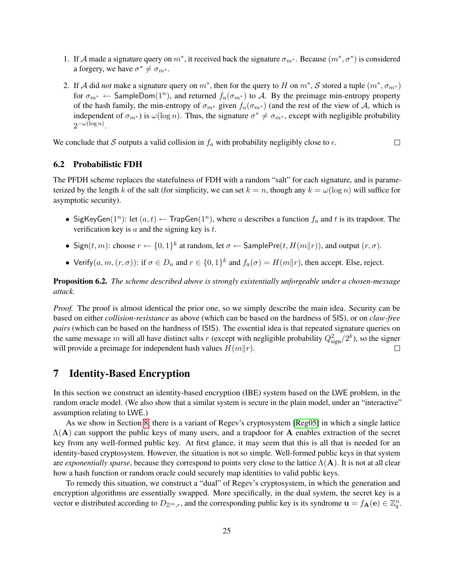- 1. If A made a signature query on  $m^*$ , it received back the signature  $\sigma_{m^*}$ . Because  $(m^*, \sigma^*)$  is considered a forgery, we have  $\sigma^* \neq \sigma_{m^*}$ .
- 2. If A did *not* make a signature query on  $m^*$ , then for the query to H on  $m^*$ , S stored a tuple  $(m^*, \sigma_{m^*})$ for  $\sigma_{m^*} \leftarrow$  SampleDom $(1^n)$ , and returned  $f_a(\sigma_{m^*})$  to A. By the preimage min-entropy property of the hash family, the min-entropy of  $\sigma_{m^*}$  given  $f_a(\sigma_{m^*})$  (and the rest of the view of A, which is independent of  $\sigma_{m^*}$ ) is  $\omega(\log n)$ . Thus, the signature  $\sigma^* \neq \sigma_{m^*}$ , except with negligible probability  $2^{-\omega(\log n)}$ .

We conclude that S outputs a valid collision in  $f_a$  with probability negligibly close to  $\epsilon$ .  $\Box$ 

## 6.2 Probabilistic FDH

The PFDH scheme replaces the statefulness of FDH with a random "salt" for each signature, and is parameterized by the length k of the salt (for simplicity, we can set  $k = n$ , though any  $k = \omega(\log n)$  will suffice for asymptotic security).

- SigKeyGen(1<sup>n</sup>): let  $(a, t) \leftarrow$  TrapGen(1<sup>n</sup>), where a describes a function  $f_a$  and t is its trapdoor. The verification key is  $a$  and the signing key is  $t$ .
- Sign $(t, m)$ : choose  $r \leftarrow \{0, 1\}^k$  at random, let  $\sigma \leftarrow$  SamplePre $(t, H(m||r))$ , and output  $(r, \sigma)$ .
- Verify $(a, m, (r, \sigma))$ : if  $\sigma \in D_n$  and  $r \in \{0, 1\}^k$  and  $f_a(\sigma) = H(m||r)$ , then accept. Else, reject.

Proposition 6.2. *The scheme described above is strongly existentially unforgeable under a chosen-message attack.*

*Proof.* The proof is almost identical the prior one, so we simply describe the main idea. Security can be based on either *collision-resistance* as above (which can be based on the hardness of SIS), or on *claw-free pairs* (which can be based on the hardness of ISIS). The essential idea is that repeated signature queries on the same message m will all have distinct salts r (except with negligible probability  $Q_{\text{sign}}^2/2^k$ ), so the signer will provide a preimage for independent hash values  $H(m||r)$ .  $\Box$ 

## <span id="page-24-0"></span>7 Identity-Based Encryption

In this section we construct an identity-based encryption (IBE) system based on the LWE problem, in the random oracle model. (We also show that a similar system is secure in the plain model, under an "interactive" assumption relating to LWE.)

As we show in Section [8,](#page-28-0) there is a variant of Regev's cryptosystem [\[Reg05\]](#page-40-1) in which a single lattice  $\Lambda(A)$  can support the public keys of many users, and a trapdoor for A enables extraction of the secret key from any well-formed public key. At first glance, it may seem that this is all that is needed for an identity-based cryptosystem. However, the situation is not so simple. Well-formed public keys in that system are *exponentially sparse*, because they correspond to points very close to the lattice Λ(A). It is not at all clear how a hash function or random oracle could securely map identities to valid public keys.

To remedy this situation, we construct a "dual" of Regev's cryptosystem, in which the generation and encryption algorithms are essentially swapped. More specifically, in the dual system, the secret key is a vector e distributed according to  $D_{\mathbb{Z}^m,r}$ , and the corresponding public key is its syndrome  $\mathbf{u} = f_{\mathbf{A}}(\mathbf{e}) \in \mathbb{Z}_q^n$ .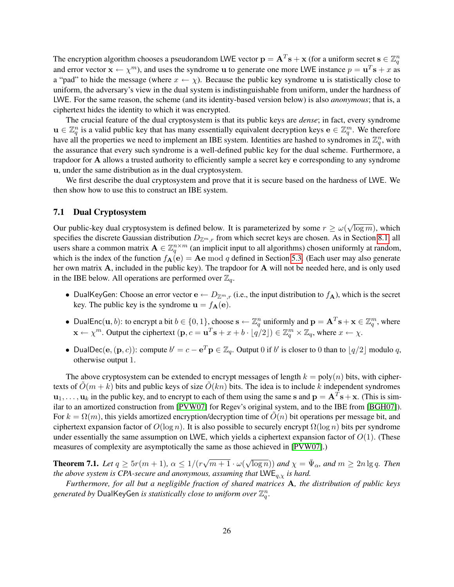The encryption algorithm chooses a pseudorandom LWE vector  $\mathbf{p} = \mathbf{A}^T\mathbf{s} + \mathbf{x}$  (for a uniform secret  $\mathbf{s} \in \mathbb{Z}_q^n$ and error vector  $\mathbf{x} \leftarrow \chi^m$ ), and uses the syndrome u to generate one more LWE instance  $p = \mathbf{u}^T \mathbf{s} + x$  as a "pad" to hide the message (where  $x \leftarrow \chi$ ). Because the public key syndrome u is statistically close to uniform, the adversary's view in the dual system is indistinguishable from uniform, under the hardness of LWE. For the same reason, the scheme (and its identity-based version below) is also *anonymous*; that is, a ciphertext hides the identity to which it was encrypted.

The crucial feature of the dual cryptosystem is that its public keys are *dense*; in fact, every syndrome  $u \in \mathbb{Z}_q^n$  is a valid public key that has many essentially equivalent decryption keys  $e \in \mathbb{Z}_q^m$ . We therefore have all the properties we need to implement an IBE system. Identities are hashed to syndromes in  $\mathbb{Z}_q^n$ , with the assurance that every such syndrome is a well-defined public key for the dual scheme. Furthermore, a trapdoor for A allows a trusted authority to efficiently sample a secret key e corresponding to any syndrome u, under the same distribution as in the dual cryptosystem.

We first describe the dual cryptosystem and prove that it is secure based on the hardness of LWE. We then show how to use this to construct an IBE system.

#### 7.1 Dual Cryptosystem

Our public-key dual cryptosystem is defined below. It is parameterized by some  $r \ge \omega(r)$ √  $\overline{\log m}$ ), which specifies the discrete Gaussian distribution  $D_{\mathbb{Z}^m,r}$  from which secret keys are chosen. As in Section [8.1,](#page-28-1) all users share a common matrix  $\mathbf{A} \in \mathbb{Z}_q^{n \times m}$  (an implicit input to all algorithms) chosen uniformly at random, which is the index of the function  $f_{\mathbf{A}}(\mathbf{e}) = \mathbf{A}\mathbf{e} \bmod q$  defined in Section [5.3.](#page-19-3) (Each user may also generate her own matrix A, included in the public key). The trapdoor for A will not be needed here, and is only used in the IBE below. All operations are performed over  $\mathbb{Z}_q$ .

- DualKeyGen: Choose an error vector  $e \leftarrow D_{\mathbb{Z}^m,r}$  (i.e., the input distribution to  $f_A$ ), which is the secret key. The public key is the syndrome  $\mathbf{u} = f_{\mathbf{A}}(\mathbf{e})$ .
- DualEnc $(\mathbf{u}, b)$ : to encrypt a bit  $b \in \{0, 1\}$ , choose  $\mathbf{s} \leftarrow \mathbb{Z}_q^n$  uniformly and  $\mathbf{p} = \mathbf{A}^T \mathbf{s} + \mathbf{x} \in \mathbb{Z}_q^m$ , where  $\mathbf{x} \leftarrow \chi^m$ . Output the ciphertext  $(\mathbf{p}, c = \mathbf{u}^T \mathbf{s} + x + b \cdot \lfloor q/2 \rfloor) \in \mathbb{Z}_q^m \times \mathbb{Z}_q$ , where  $x \leftarrow \chi$ .
- DualDec $(e, (\mathbf{p}, c))$ : compute  $b' = c e^T \mathbf{p} \in \mathbb{Z}_q$ . Output 0 if  $b'$  is closer to 0 than to  $\lfloor q/2 \rfloor$  modulo q, otherwise output 1.

The above cryptosystem can be extended to encrypt messages of length  $k = \text{poly}(n)$  bits, with ciphertexts of  $O(m + k)$  bits and public keys of size  $O(kn)$  bits. The idea is to include k independent syndromes  $\mathbf{u}_1,\ldots,\mathbf{u}_k$  in the public key, and to encrypt to each of them using the same s and  $\mathbf{p} = \mathbf{A}^T\mathbf{s} + \mathbf{x}$ . (This is similar to an amortized construction from [\[PVW07\]](#page-40-3) for Regev's original system, and to the IBE from [\[BGH07\]](#page-37-13)). For  $k = \Omega(m)$ , this yields amortized encryption/decryption time of  $O(n)$  bit operations per message bit, and ciphertext expansion factor of  $O(\log n)$ . It is also possible to securely encrypt  $\Omega(\log n)$  bits per syndrome under essentially the same assumption on LWE, which yields a ciphertext expansion factor of  $O(1)$ . (These measures of complexity are asymptotically the same as those achieved in [\[PVW07\]](#page-40-3).)

<span id="page-25-0"></span>**Theorem 7.1.** Let  $q \geq 5r(m+1)$ ,  $\alpha \leq 1/(r)$ √  $m+1\cdot\omega($  $(\sqrt{\log n}))$  and  $\chi = \bar{\Psi}_{\alpha}$ , and  $m \geq 2n \lg q$ . Then *the above system is CPA-secure and anonymous, assuming that*  $LWE_{q,y}$  *is hard.* 

*Furthermore, for all but a negligible fraction of shared matrices* A*, the distribution of public keys* generated by  $\mathsf{DualKeyGen}\text{ }is\text{ }statistically\text{ }close\text{ }to\text{ }uniform\text{ }over\ \mathbb{Z}_q^n.$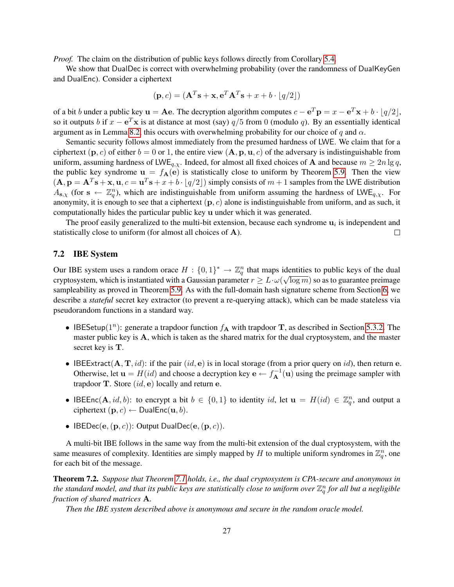*Proof.* The claim on the distribution of public keys follows directly from Corollary [5.4.](#page-18-0)

We show that DualDec is correct with overwhelming probability (over the randomness of DualKeyGen and DualEnc). Consider a ciphertext

$$
(\mathbf{p}, c) = (\mathbf{A}^T \mathbf{s} + \mathbf{x}, \mathbf{e}^T \mathbf{A}^T \mathbf{s} + x + b \cdot \lfloor q/2 \rfloor)
$$

of a bit b under a public key  $\mathbf{u} = \mathbf{A}\mathbf{e}$ . The decryption algorithm computes  $c - \mathbf{e}^T \mathbf{p} = x - \mathbf{e}^T \mathbf{x} + b \cdot (q/2)$ , so it outputs b if  $x - e^T x$  is at distance at most (say)  $q/5$  from 0 (modulo q). By an essentially identical argument as in Lemma [8.2,](#page-29-0) this occurs with overwhelming probability for our choice of q and  $\alpha$ .

Semantic security follows almost immediately from the presumed hardness of LWE. We claim that for a ciphertext  $(\mathbf{p}, c)$  of either  $b = 0$  or 1, the entire view  $(\mathbf{A}, \mathbf{p}, \mathbf{u}, c)$  of the adversary is indistinguishable from uniform, assuming hardness of LWE<sub>q,x</sub>. Indeed, for almost all fixed choices of A and because  $m \ge 2n \lg q$ , the public key syndrome  $u = f_A(e)$  is statistically close to uniform by Theorem [5.9.](#page-21-0) Then the view  $(A, \mathbf{p} = \mathbf{A}^T \mathbf{s} + \mathbf{x}, \mathbf{u}, c = \mathbf{u}^T \mathbf{s} + x + b \cdot \lfloor q/2 \rfloor$  simply consists of  $m + 1$  samples from the LWE distribution  $A_{s,\chi}$  (for  $s \leftarrow \mathbb{Z}_q^n$ ), which are indistinguishable from uniform assuming the hardness of LWE<sub>q, $\chi$ </sub>. For anonymity, it is enough to see that a ciphertext  $(p, c)$  alone is indistinguishable from uniform, and as such, it computationally hides the particular public key u under which it was generated.

The proof easily generalized to the multi-bit extension, because each syndrome  $\mathbf{u}_i$  is independent and statistically close to uniform (for almost all choices of A).  $\Box$ 

#### 7.2 IBE System

Our IBE system uses a random orace  $H: \{0,1\}^* \to \mathbb{Z}_q^n$  that maps identities to public keys of the dual cryptosystem, which is instantiated with a Gaussian parameter  $r \geq L \cdot \omega(\sqrt{\log m})$  so as to guarantee preimage sampleability as proved in Theorem [5.9.](#page-21-0) As with the full-domain hash signature scheme from Section [6,](#page-22-0) we describe a *stateful* secret key extractor (to prevent a re-querying attack), which can be made stateless via pseudorandom functions in a standard way.

- IBESetup( $1^n$ ): generate a trapdoor function  $f_{\mathbf{A}}$  with trapdoor T, as described in Section [5.3.2.](#page-20-3) The master public key is A, which is taken as the shared matrix for the dual cryptosystem, and the master secret key is T.
- IBEExtract( $A, T, id$ ): if the pair (id, e) is in local storage (from a prior query on id), then return e. Otherwise, let  $\mathbf{u} = H(id)$  and choose a decryption key  $\mathbf{e} \leftarrow f_{\mathbf{A}}^{-1}(\mathbf{u})$  using the preimage sampler with trapdoor **T**. Store  $(id, e)$  locally and return e.
- IBEEnc(A, id, b): to encrypt a bit  $b \in \{0,1\}$  to identity id, let  $\mathbf{u} = H(id) \in \mathbb{Z}_q^n$ , and output a ciphertext  $(\mathbf{p}, c) \leftarrow \mathsf{DualEnc}(\mathbf{u}, b)$ .
- IBEDec(e,  $(p, c)$ ): Output DualDec(e,  $(p, c)$ ).

A multi-bit IBE follows in the same way from the multi-bit extension of the dual cryptosystem, with the same measures of complexity. Identities are simply mapped by H to multiple uniform syndromes in  $\mathbb{Z}_q^n$ , one for each bit of the message.

Theorem 7.2. *Suppose that Theorem [7.1](#page-25-0) holds, i.e., the dual cryptosystem is CPA-secure and anonymous in* the standard model, and that its public keys are statistically close to uniform over  $\mathbb{Z}_q^n$  for all but a negligible *fraction of shared matrices* A*.*

*Then the IBE system described above is anonymous and secure in the random oracle model.*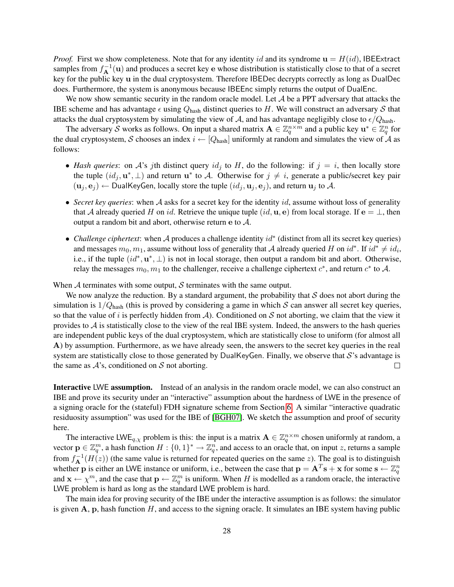*Proof.* First we show completeness. Note that for any identity id and its syndrome  $\mathbf{u} = H(id)$ , IBEExtract samples from  $f_{\bf A}^{-1}({\bf u})$  and produces a secret key e whose distribution is statistically close to that of a secret key for the public key u in the dual cryptosystem. Therefore IBEDec decrypts correctly as long as DualDec does. Furthermore, the system is anonymous because IBEEnc simply returns the output of DualEnc.

We now show semantic security in the random oracle model. Let  $A$  be a PPT adversary that attacks the IBE scheme and has advantage  $\epsilon$  using  $Q_{\text{hash}}$  distinct queries to H. We will construct an adversary S that attacks the dual cryptosystem by simulating the view of A, and has advantage negligibly close to  $\epsilon/Q_{\text{hash}}$ .

The adversary S works as follows. On input a shared matrix  $A \in \mathbb{Z}_q^{n \times m}$  and a public key  $\mathbf{u}^* \in \mathbb{Z}_q^n$  for the dual cryptosystem, S chooses an index  $i \leftarrow [Q_{\text{hash}}]$  uniformly at random and simulates the view of A as follows:

- *Hash queries*: on A's jth distinct query  $id_j$  to H, do the following: if  $j = i$ , then locally store the tuple  $(id_j, \mathbf{u}^*, \perp)$  and return  $\mathbf{u}^*$  to A. Otherwise for  $j \neq i$ , generate a public/secret key pair  $(\mathbf{u}_j, \mathbf{e}_j) \leftarrow$  DualKeyGen, locally store the tuple  $(id_j, \mathbf{u}_j, \mathbf{e}_j)$ , and return  $\mathbf{u}_j$  to A.
- *Secret key queries*: when A asks for a secret key for the identity id, assume without loss of generality that A already queried H on id. Retrieve the unique tuple  $(id, \mathbf{u}, \mathbf{e})$  from local storage. If  $\mathbf{e} = \perp$ , then output a random bit and abort, otherwise return e to A.
- *Challenge ciphertext*: when A produces a challenge identity id<sup>∗</sup> (distinct from all its secret key queries) and messages  $m_0, m_1$ , assume without loss of generality that A already queried H on  $id^*$ . If  $id^* \neq id_i$ , i.e., if the tuple  $(id^*, \mathbf{u}^*, \perp)$  is not in local storage, then output a random bit and abort. Otherwise, relay the messages  $m_0, m_1$  to the challenger, receive a challenge ciphertext  $c^*$ , and return  $c^*$  to A.

When  $A$  terminates with some output,  $S$  terminates with the same output.

We now analyze the reduction. By a standard argument, the probability that  $S$  does not abort during the simulation is  $1/Q<sub>hash</sub>$  (this is proved by considering a game in which S can answer all secret key queries, so that the value of i is perfectly hidden from  $A$ ). Conditioned on S not aborting, we claim that the view it provides to  $A$  is statistically close to the view of the real IBE system. Indeed, the answers to the hash queries are independent public keys of the dual cryptosystem, which are statistically close to uniform (for almost all A) by assumption. Furthermore, as we have already seen, the answers to the secret key queries in the real system are statistically close to those generated by DualKeyGen. Finally, we observe that  $S$ 's advantage is the same as  $A$ 's, conditioned on  $S$  not aborting.  $\Box$ 

Interactive LWE assumption. Instead of an analysis in the random oracle model, we can also construct an IBE and prove its security under an "interactive" assumption about the hardness of LWE in the presence of a signing oracle for the (stateful) FDH signature scheme from Section [6.](#page-22-0) A similar "interactive quadratic residuosity assumption" was used for the IBE of [\[BGH07\]](#page-37-13). We sketch the assumption and proof of security here.

The interactive LWE<sub>q, $\chi$ </sub> problem is this: the input is a matrix  $\mathbf{A} \in \mathbb{Z}_q^{n \times m}$  chosen uniformly at random, a vector  $\mathbf{p} \in \mathbb{Z}_q^m$ , a hash function  $H: \{0,1\}^* \to \mathbb{Z}_q^n$ , and access to an oracle that, on input z, returns a sample from  $f_{\mathbf{A}}^{-1}(H(z))$  (the same value is returned for repeated queries on the same z). The goal is to distinguish whether p is either an LWE instance or uniform, i.e., between the case that  $\mathbf{p} = \mathbf{A}^T \mathbf{s} + \mathbf{x}$  for some  $\mathbf{s} \leftarrow \mathbb{Z}_q^n$ and  $\mathbf{x} \leftarrow \chi^m$ , and the case that  $\mathbf{p} \leftarrow \mathbb{Z}_q^m$  is uniform. When H is modelled as a random oracle, the interactive LWE problem is hard as long as the standard LWE problem is hard.

The main idea for proving security of the IBE under the interactive assumption is as follows: the simulator is given  $A$ ,  $p$ , hash function  $H$ , and access to the signing oracle. It simulates an IBE system having public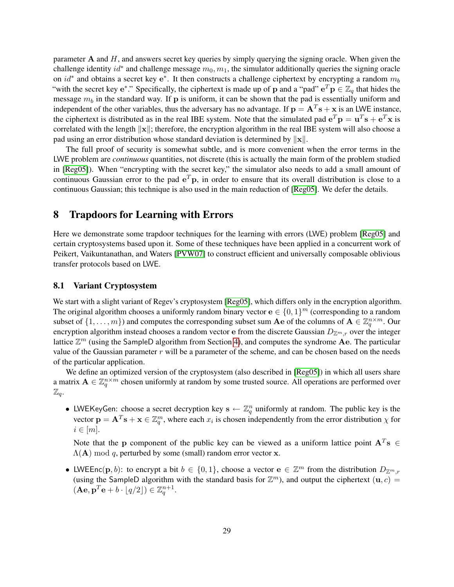parameter  $A$  and  $H$ , and answers secret key queries by simply querying the signing oracle. When given the challenge identity  $id^*$  and challenge message  $m_0, m_1$ , the simulator additionally queries the signing oracle on  $id^*$  and obtains a secret key e<sup>\*</sup>. It then constructs a challenge ciphertext by encrypting a random  $m_b$ "with the secret key e<sup>\*</sup>." Specifically, the ciphertext is made up of p and a "pad"  $e^T p \in \mathbb{Z}_q$  that hides the message  $m_b$  in the standard way. If p is uniform, it can be shown that the pad is essentially uniform and independent of the other variables, thus the adversary has no advantage. If  $p = A<sup>T</sup>s + x$  is an LWE instance, the ciphertext is distributed as in the real IBE system. Note that the simulated pad  $e^T p = u^T s + e^T x$  is correlated with the length  $\|x\|$ ; therefore, the encryption algorithm in the real IBE system will also choose a pad using an error distribution whose standard deviation is determined by  $\|\mathbf{x}\|$ .

The full proof of security is somewhat subtle, and is more convenient when the error terms in the LWE problem are *continuous* quantities, not discrete (this is actually the main form of the problem studied in [\[Reg05\]](#page-40-1)). When "encrypting with the secret key," the simulator also needs to add a small amount of continuous Gaussian error to the pad  $e^T p$ , in order to ensure that its overall distribution is close to a continuous Gaussian; this technique is also used in the main reduction of [\[Reg05\]](#page-40-1). We defer the details.

## <span id="page-28-0"></span>8 Trapdoors for Learning with Errors

Here we demonstrate some trapdoor techniques for the learning with errors (LWE) problem [\[Reg05\]](#page-40-1) and certain cryptosystems based upon it. Some of these techniques have been applied in a concurrent work of Peikert, Vaikuntanathan, and Waters [\[PVW07\]](#page-40-3) to construct efficient and universally composable oblivious transfer protocols based on LWE.

#### <span id="page-28-1"></span>8.1 Variant Cryptosystem

We start with a slight variant of Regev's cryptosystem [\[Reg05\]](#page-40-1), which differs only in the encryption algorithm. The original algorithm chooses a uniformly random binary vector  $e \in \{0,1\}^m$  (corresponding to a random subset of  $\{1,\ldots,m\}$ ) and computes the corresponding subset sum  $Ae$  of the columns of  $A \in \mathbb{Z}_q^{n \times m}$ . Our encryption algorithm instead chooses a random vector e from the discrete Gaussian  $D_{\mathbb{Z}^m,r}$  over the integer lattice  $\mathbb{Z}^m$  (using the SampleD algorithm from Section [4\)](#page-12-0), and computes the syndrome  $\dot{\mathbf{A}}$ e. The particular value of the Gaussian parameter  $r$  will be a parameter of the scheme, and can be chosen based on the needs of the particular application.

We define an optimized version of the cryptosystem (also described in [\[Reg05\]](#page-40-1)) in which all users share a matrix  $\mathbf{A} \in \mathbb{Z}_q^{n \times m}$  chosen uniformly at random by some trusted source. All operations are performed over  $\mathbb{Z}_q$ .

• LWEKeyGen: choose a secret decryption key  $s \leftarrow \mathbb{Z}_q^n$  uniformly at random. The public key is the vector  $\mathbf{p} = \mathbf{A}^T \mathbf{s} + \mathbf{x} \in \mathbb{Z}_q^m$ , where each  $x_i$  is chosen independently from the error distribution  $\chi$  for  $i \in [m]$ .

Note that the p component of the public key can be viewed as a uniform lattice point  $A<sup>T</sup>s \in$  $\Lambda$ (A) mod q, perturbed by some (small) random error vector x.

• LWEEnc $(\mathbf{p}, b)$ : to encrypt a bit  $b \in \{0, 1\}$ , choose a vector  $\mathbf{e} \in \mathbb{Z}^m$  from the distribution  $D_{\mathbb{Z}^m, r}$ (using the SampleD algorithm with the standard basis for  $\mathbb{Z}^m$ ), and output the ciphertext  $(\mathbf{u}, c)$  =  $(\mathbf{Ae}, \mathbf{p}^T\mathbf{e} + b \cdot \lfloor q/2 \rfloor) \in \mathbb{Z}_q^{n+1}.$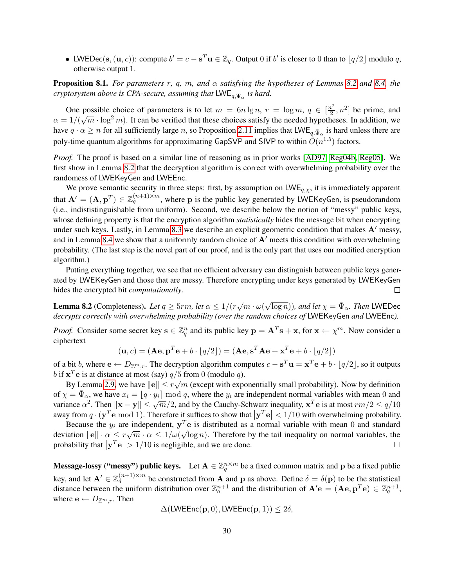• LWEDec(s,  $(\mathbf{u}, c)$ ): compute  $b' = c - s^T \mathbf{u} \in \mathbb{Z}_q$ . Output 0 if  $b'$  is closer to 0 than to  $\lfloor q/2 \rfloor$  modulo q, otherwise output 1.

Proposition 8.1. *For parameters* r*,* q*,* m*, and* α *satisfying the hypotheses of Lemmas [8.2](#page-29-0) and [8.4,](#page-30-0) the cryptosystem above is CPA-secure, assuming that*  $\mathsf{LWE}_{q,\bar{\Psi}_{\alpha}}$  *is hard.* 

One possible choice of parameters is to let  $m = 6n \lg n$ ,  $r = \log m$ ,  $q \in \left[\frac{n^2}{2}\right]$  $\left[\frac{n^2}{2}, n^2\right]$  be prime, and  $\alpha = 1/(\sqrt{m} \cdot \log^2 m)$ . It can be verified that these choices satisfy the needed hypotheses. In addition, we have  $q \cdot \alpha \ge n$  for all sufficiently large n, so Proposition [2.11](#page-11-3) implies that  $\mathsf{LWE}_{q, \bar{\Psi}_\alpha}$  is hard unless there are poly-time quantum algorithms for approximating GapSVP and SIVP to within  $\tilde{O}(n^{1.5})$  factors.

*Proof.* The proof is based on a similar line of reasoning as in prior works [\[AD97,](#page-37-1) [Reg04b,](#page-40-0) [Reg05\]](#page-40-1). We first show in Lemma [8.2](#page-29-0) that the decryption algorithm is correct with overwhelming probability over the randomess of LWEKeyGen and LWEEnc.

We prove semantic security in three steps: first, by assumption on  $LWE_{q, \chi}$ , it is immediately apparent that  $A' = (A, p^T) \in \mathbb{Z}_q^{(n+1)\times m}$ , where p is the public key generated by LWEKeyGen, is pseudorandom (i.e., indististinguishable from uniform). Second, we describe below the notion of "messy" public keys, whose defining property is that the encryption algorithm *statistically* hides the message bit when encrypting under such keys. Lastly, in Lemma [8.3](#page-30-1) we describe an explicit geometric condition that makes  $A'$  messy, and in Lemma [8.4](#page-30-0) we show that a uniformly random choice of  $A'$  meets this condition with overwhelming probability. (The last step is the novel part of our proof, and is the only part that uses our modified encryption algorithm.)

Putting everything together, we see that no efficient adversary can distinguish between public keys generated by LWEKeyGen and those that are messy. Therefore encrypting under keys generated by LWEKeyGen hides the encrypted bit *computationally*.  $\Box$ 

<span id="page-29-0"></span>**Lemma 8.2** (Completeness). Let  $q \ge 5$ rm, let  $\alpha \le 1/(r\sqrt{m} \cdot \omega)$  $\sqrt{\log n}$ )), and let  $\chi = \bar{\Psi}_{\alpha}$ . Then LWEDec *decrypts correctly with overwhelming probability (over the random choices of* LWEKeyGen *and* LWEEnc*).*

*Proof.* Consider some secret key  $\mathbf{s} \in \mathbb{Z}_q^n$  and its public key  $\mathbf{p} = \mathbf{A}^T \mathbf{s} + \mathbf{x}$ , for  $\mathbf{x} \leftarrow \chi^m$ . Now consider a ciphertext

$$
(\mathbf{u}, c) = (\mathbf{A}\mathbf{e}, \mathbf{p}^T\mathbf{e} + b \cdot \lfloor q/2 \rfloor) = (\mathbf{A}\mathbf{e}, \mathbf{s}^T\mathbf{A}\mathbf{e} + \mathbf{x}^T\mathbf{e} + b \cdot \lfloor q/2 \rfloor)
$$

of a bit b, where  $e \leftarrow D_{\mathbb{Z}^m,r}$ . The decryption algorithm computes  $c - s^T \mathbf{u} = \mathbf{x}^T \mathbf{e} + b \cdot \lfloor q/2 \rfloor$ , so it outputs b if  $\mathbf{x}^T \mathbf{e}$  is at distance at most (say)  $q/5$  from 0 (modulo q).

By Lemma [2.9,](#page-10-1) we have  $\|\mathbf{e}\| \leq r\sqrt{m}$  (except with exponentially small probability). Now by definition of  $\chi = \bar{\Psi}_{\alpha}$ , we have  $x_i = [q \cdot y_i] \mod q$ , where the  $y_i$  are independent normal variables with mean 0 and or  $\chi = \Psi_{\alpha}$ , we have  $x_i = [q \cdot y_i]$  mod q, where the  $y_i$  are independent normal variables with fired to and variance  $\alpha^2$ . Then  $\|\mathbf{x} - \mathbf{y}\| \le \sqrt{m}/2$ , and by the Cauchy-Schwarz inequality,  $\mathbf{x}^T \mathbf{e}$  is at mos away from  $q \cdot (\mathbf{y}^T \mathbf{e} \bmod 1)$ . Therefore it suffices to show that  $|\mathbf{y}^T \mathbf{e}| < 1/10$  with overwhelming probability.

Because the  $y_i$  are independent,  $y^T e$  is distributed as a normal variable with mean 0 and standard √ Beta is the  $y_i$  are modeled in  $y_i$ ,  $\alpha \leq r \sqrt{m} \cdot \alpha \leq 1/\omega$  $\overline{\log n}$ ). Therefore by the tail inequality on normal variables, the probability that  $|\mathbf{y}^T \mathbf{e}| > 1/10$  is negligible, and we are done.  $\Box$ 

**Message-lossy ("messy") public keys.** Let  $A \in \mathbb{Z}_q^{n \times m}$  be a fixed common matrix and p be a fixed public key, and let  $\mathbf{A}' \in \mathbb{Z}_q^{(n+1)\times m}$  be constructed from  $\mathbf{A}$  and  $\mathbf{p}$  as above. Define  $\delta = \delta(\mathbf{p})$  to be the statistical distance between the uniform distribution over  $\mathbb{Z}_q^{n+1}$  and the distribution of  $\mathbf{A}'\mathbf{e} = (\mathbf{A}\mathbf{e}, \mathbf{p}^T\mathbf{e}) \in \mathbb{Z}_q^{n+1}$ , where  $\mathbf{e} \leftarrow D_{\mathbb{Z}^m,r}$ . Then

$$
\Delta(\textsf{LWEEnc}(\mathbf{p},0),\textsf{LWEEnc}(\mathbf{p},1)) \leq 2\delta,
$$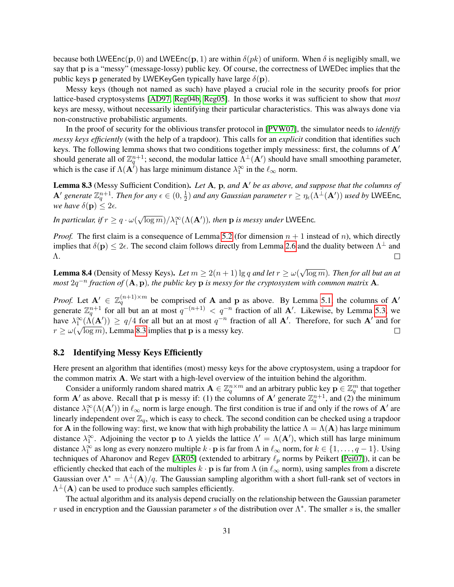because both LWEEnc(p, 0) and LWEEnc(p, 1) are within  $\delta(pk)$  of uniform. When  $\delta$  is negligibly small, we say that p is a "messy" (message-lossy) public key. Of course, the correctness of LWEDec implies that the public keys **p** generated by LWEKeyGen typically have large  $\delta(\mathbf{p})$ .

Messy keys (though not named as such) have played a crucial role in the security proofs for prior lattice-based cryptosystems [\[AD97,](#page-37-1) [Reg04b,](#page-40-0) [Reg05\]](#page-40-1). In those works it was sufficient to show that *most* keys are messy, without necessarily identifying their particular characteristics. This was always done via non-constructive probabilistic arguments.

In the proof of security for the oblivious transfer protocol in [\[PVW07\]](#page-40-3), the simulator needs to *identify messy keys efficiently* (with the help of a trapdoor). This calls for an *explicit* condition that identifies such keys. The following lemma shows that two conditions together imply messiness: first, the columns of  $A<sup>'</sup>$ should generate all of  $\mathbb{Z}_q^{n+1}$ ; second, the modular lattice  $\Lambda^\perp(\mathbf{A}')$  should have small smoothing parameter, which is the case if  $\Lambda(\mathbf{A}^i)$  has large minimum distance  $\lambda_1^{\infty}$  in the  $\ell_{\infty}$  norm.

<span id="page-30-1"></span>Lemma 8.3 (Messy Sufficient Condition). Let A, p, and A' be as above, and suppose that the columns of **A**<sup> $\prime$ </sup> generate  $\mathbb{Z}_q^{n+1}$ . Then for any  $\epsilon \in (0, \frac{1}{2})$  $\frac{1}{2}$ ) and any Gaussian parameter  $r \geq \eta_\epsilon(\Lambda^\perp(\mathbf{A}'))$  used by LWEEnc, *we have*  $\delta(\mathbf{p}) \leq 2\epsilon$ .

*In particular, if*  $r \geq q \cdot \omega($  $\sqrt{\log m}$ )/ $\lambda_1^{\infty}(\Lambda(\mathbf{A}'))$ , then **p** is messy under LWEEnc.

*Proof.* The first claim is a consequence of Lemma [5.2](#page-17-3) (for dimension  $n + 1$  instead of n), which directly implies that  $\delta(\mathbf{p}) \leq 2\epsilon$ . The second claim follows directly from Lemma [2.6](#page-9-2) and the duality between  $\Lambda^{\perp}$  and  $\Box$ Λ.

<span id="page-30-0"></span>**Lemma 8.4** (Density of Messy Keys). Let  $m \ge 2(n+1) \lg q$  and let  $r \ge \omega$ √ log m)*. Then for all but an at*  $m$ ost  $2q^{-n}$  fraction of  $(A, p)$ , the public key  $p$  is messy for the cryptosystem with common matrix  $A$ .

*Proof.* Let  $A' \in \mathbb{Z}_q^{(n+1)\times m}$  be comprised of A and p as above. By Lemma [5.1,](#page-17-1) the columns of A' generate  $\mathbb{Z}_q^{n+1}$  for all but an at most  $q^{-(n+1)} < q^{-n}$  fraction of all **A'**. Likewise, by Lemma [5.3,](#page-17-2) we have  $\lambda_1^{\infty}(\Lambda(\mathbf{A}')) \ge q/4$  for all but an at most  $q^{-n}$  fraction of all **A'**. Therefore, for such **A'** and for  $r \ge \omega(\sqrt{\log m})$ , Lemma [8.3](#page-30-1) implies that **p** is a messy key.  $\Box$ 

### 8.2 Identifying Messy Keys Efficiently

Here present an algorithm that identifies (most) messy keys for the above cryptosystem, using a trapdoor for the common matrix A. We start with a high-level overview of the intuition behind the algorithm.

Consider a uniformly random shared matrix  $A \in \mathbb{Z}_q^{n \times m}$  and an arbitrary public key  $p \in \mathbb{Z}_q^m$  that together form A' as above. Recall that p is messy if: (1) the columns of A' generate  $\mathbb{Z}_q^{n+1}$ , and (2) the minimum distance  $\lambda_1^{\infty}(\Lambda(\mathbf{A}'))$  in  $\ell_{\infty}$  norm is large enough. The first condition is true if and only if the rows of  $\mathbf{A}'$  are linearly independent over  $\mathbb{Z}_q$ , which is easy to check. The second condition can be checked using a trapdoor for **A** in the following way: first, we know that with high probability the lattice  $\Lambda = \Lambda(A)$  has large minimum distance  $\lambda_1^{\infty}$ . Adjoining the vector **p** to  $\Lambda$  yields the lattice  $\Lambda' = \Lambda(\mathbf{A}')$ , which still has large minimum distance  $\lambda_1^{\infty}$  as long as every nonzero multiple  $k \cdot \mathbf{p}$  is far from  $\Lambda$  in  $\ell_{\infty}$  norm, for  $k \in \{1, \ldots, q-1\}$ . Using techniques of Aharonov and Regev [\[AR05\]](#page-37-5) (extended to arbitrary  $\ell_p$  norms by Peikert [\[Pei07\]](#page-39-6)), it can be efficiently checked that each of the multiples  $k \cdot p$  is far from  $\Lambda$  (in  $\ell_{\infty}$  norm), using samples from a discrete Gaussian over  $\Lambda^* = \Lambda^{\perp}(\mathbf{A})/q$ . The Gaussian sampling algorithm with a short full-rank set of vectors in  $\Lambda^{\perp}({\bf A})$  can be used to produce such samples efficiently.

The actual algorithm and its analysis depend crucially on the relationship between the Gaussian parameter r used in encryption and the Gaussian parameter s of the distribution over  $\Lambda^*$ . The smaller s is, the smaller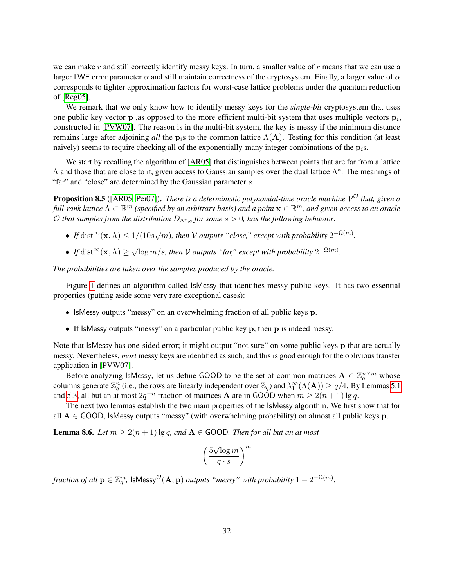we can make r and still correctly identify messy keys. In turn, a smaller value of r means that we can use a larger LWE error parameter  $\alpha$  and still maintain correctness of the cryptosystem. Finally, a larger value of  $\alpha$ corresponds to tighter approximation factors for worst-case lattice problems under the quantum reduction of [\[Reg05\]](#page-40-1).

We remark that we only know how to identify messy keys for the *single-bit* cryptosystem that uses one public key vector  $p$  , as opposed to the more efficient multi-bit system that uses multiple vectors  $p_i$ , constructed in [\[PVW07\]](#page-40-3). The reason is in the multi-bit system, the key is messy if the minimum distance remains large after adjoining *all* the p<sub>i</sub>s to the common lattice  $\Lambda(A)$ . Testing for this condition (at least naively) seems to require checking all of the exponentially-many integer combinations of the  $p_i$ s.

We start by recalling the algorithm of [\[AR05\]](#page-37-5) that distinguishes between points that are far from a lattice  $Λ$  and those that are close to it, given access to Gaussian samples over the dual lattice  $Λ<sup>*</sup>$ . The meanings of "far" and "close" are determined by the Gaussian parameter s.

<span id="page-31-0"></span>Proposition 8.5 ([\[AR05,](#page-37-5) [Pei07\]](#page-39-6)). *There is a deterministic polynomial-time oracle machine* V <sup>O</sup> *that, given a full-rank lattice* Λ ⊂ R <sup>m</sup> *(specified by an arbitrary basis) and a point* x ∈ R <sup>m</sup>*, and given access to an oracle* O that samples from the distribution  $D_{\Lambda^*,s}$  for some  $s > 0$ , has the following behavior:

- If  $\text{dist}^{\infty}(\mathbf{x}, \Lambda) \leq 1/(10s\sqrt{m})$ , then V outputs "close," except with probability  $2^{-\Omega(m)}$ .
- *If* dist<sup>∞</sup>(**x**,  $\Lambda$ )  $\geq \sqrt{\frac{1}{\Lambda}}$  $\overline{\log m}/s$ , then  $\cal V$  outputs "far," except with probability  $2^{-\Omega(m)}.$

*The probabilities are taken over the samples produced by the oracle.*

Figure [1](#page-32-0) defines an algorithm called IsMessy that identifies messy public keys. It has two essential properties (putting aside some very rare exceptional cases):

- IsMessy outputs "messy" on an overwhelming fraction of all public keys p.
- If IsMessy outputs "messy" on a particular public key p, then p is indeed messy.

Note that IsMessy has one-sided error; it might output "not sure" on some public keys p that are actually messy. Nevertheless, *most* messy keys are identified as such, and this is good enough for the oblivious transfer application in [\[PVW07\]](#page-40-3).

Before analyzing IsMessy, let us define GOOD to be the set of common matrices  $A \in \mathbb{Z}_q^{n \times m}$  whose columns generate  $\mathbb{Z}_q^n$  (i.e., the rows are linearly independent over  $\mathbb{Z}_q$ ) and  $\lambda_1^{\infty}(\Lambda(\mathbf{A})) \ge q/4$ . By Lemmas [5.1](#page-17-1) and [5.3,](#page-17-2) all but an at most  $2q^{-n}$  fraction of matrices **A** are in GOOD when  $m \ge 2(n+1) \lg q$ .

The next two lemmas establish the two main properties of the IsMessy algorithm. We first show that for all  $A \in GOOD$ , IsMessy outputs "messy" (with overwhelming probability) on almost all public keys p.

**Lemma 8.6.** *Let*  $m \ge 2(n + 1) \lg q$ , and  $A \in$  GOOD. *Then for all but an at most* 

$$
\left(\frac{5\sqrt{\log m}}{q \cdot s}\right)^m
$$

 $\textit{fraction of all } \mathbf{p} \in \mathbb{Z}_q^m, \ \mathsf{IsMessy}^{\mathcal{O}}(\mathbf{A}, \mathbf{p}) \ \textit{outputs \ ``mess''} \ \textit{with probability } 1 - 2^{-\Omega(m)}.$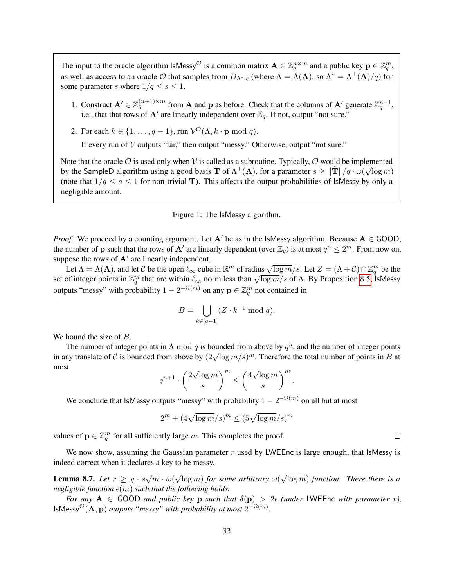The input to the oracle algorithm IsMessy<sup>O</sup> is a common matrix  $\mathbf{A} \in \mathbb{Z}_q^{n \times m}$  and a public key  $\mathbf{p} \in \mathbb{Z}_q^m$ , as well as access to an oracle  $O$  that samples from  $D_{\Lambda^*,s}$  (where  $\Lambda = \Lambda(\mathbf{A})$ , so  $\Lambda^* = \Lambda^{\perp}(\mathbf{A})/q$ ) for some parameter s where  $1/q \leq s \leq 1$ .

- 1. Construct  $\mathbf{A}' \in \mathbb{Z}_q^{(n+1)\times m}$  from  $\mathbf{A}$  and  $\mathbf{p}$  as before. Check that the columns of  $\mathbf{A}'$  generate  $\mathbb{Z}_q^{n+1}$ , i.e., that that rows of  $\mathbf{A}'$  are linearly independent over  $\mathbb{Z}_q$ . If not, output "not sure."
- 2. For each  $k \in \{1, \ldots, q-1\}$ , run  $\mathcal{V}^{\mathcal{O}}(\Lambda, k \cdot \mathbf{p} \mod q)$ .

If every run of  $V$  outputs "far," then output "messy." Otherwise, output "not sure."

Note that the oracle  $\mathcal O$  is used only when  $\mathcal V$  is called as a subroutine. Typically,  $\mathcal O$  would be implemented by the SampleD algorithm using a good basis T of  $\Lambda^{\perp}(A)$ , for a parameter  $s \geq ||\tilde{T}||/q \cdot \omega(\sqrt{\log m})$ (note that  $1/q \leq s \leq 1$  for non-trivial T). This affects the output probabilities of IsMessy by only a negligible amount.

#### <span id="page-32-0"></span>Figure 1: The IsMessy algorithm.

*Proof.* We proceed by a counting argument. Let A' be as in the IsMessy algorithm. Because  $A \in GOOD$ , the number of **p** such that the rows of **A'** are linearly dependent (over  $\mathbb{Z}_q$ ) is at most  $q^n \leq 2^m$ . From now on, suppose the rows of  $A'$  are linearly independent.

Let  $\Lambda = \Lambda(\mathbf{A})$ , and let C be the open  $\ell_{\infty}$  cube in  $\mathbb{R}^m$  of radius  $\sqrt{\log m}/s$ . Let  $Z = (\Lambda + C) \cap \mathbb{Z}_q^m$  be the Let  $\Lambda = \Lambda(A)$ , and let C be the open  $\ell_{\infty}$  cube in  $\mathbb{R}$  or radius  $\sqrt{\log m}/s$ . Let  $\Delta = (\Lambda + C) \log_{\ell} \log$  be the set of integer points in  $\mathbb{Z}_q^m$  that are within  $\ell_{\infty}$  norm less than  $\sqrt{\log m}/s$  of  $\Lambda$ . By Propos outputs "messy" with probability  $1 - 2^{-\Omega(m)}$  on any  $\mathbf{p} \in \mathbb{Z}_q^m$  not contained in

$$
B = \bigcup_{k \in [q-1]} (Z \cdot k^{-1} \bmod q).
$$

We bound the size of B.

The number of integer points in  $\Lambda$  mod q is bounded from above by  $q^n$ , and the number of integer points ine number of integer points in A mod q is bounded from above by q , and the number of integer points in B at in any translate of C is bounded from above by  $(2\sqrt{\log m}/s)^m$ . Therefore the total number of points in B at most √ √

$$
q^{n+1}\cdot \left(\frac{2\sqrt{\log m}}{s}\right)^m \le \left(\frac{4\sqrt{\log m}}{s}\right)^m.
$$

We conclude that IsMessy outputs "messy" with probability  $1 - 2^{-\Omega(m)}$  on all but at most

$$
2^m + (4\sqrt{\log m}/s)^m \le (5\sqrt{\log m}/s)^m
$$

values of  $\mathbf{p} \in \mathbb{Z}_q^m$  for all sufficiently large m. This completes the proof.

We now show, assuming the Gaussian parameter  $r$  used by LWEEnc is large enough, that IsMessy is indeed correct when it declares a key to be messy.

**Lemma 8.7.** *Let*  $r \geq q \cdot s\sqrt{m} \cdot \omega$ √ log m) *for some arbitrary* ω( √ log m) *function. There there is a negligible function*  $\epsilon(m)$  *such that the following holds.* 

*For any*  $A \in$  GOOD *and public key* **p** *such that*  $\delta(\mathbf{p}) > 2\epsilon$  *(under* LWEEnc *with parameter r)*, IsMessy ${}^{\mathcal{O}}(\mathbf{A}, \mathbf{p})$  *outputs "messy" with probability at most*  $2^{-\Omega(m)}$ .

 $\Box$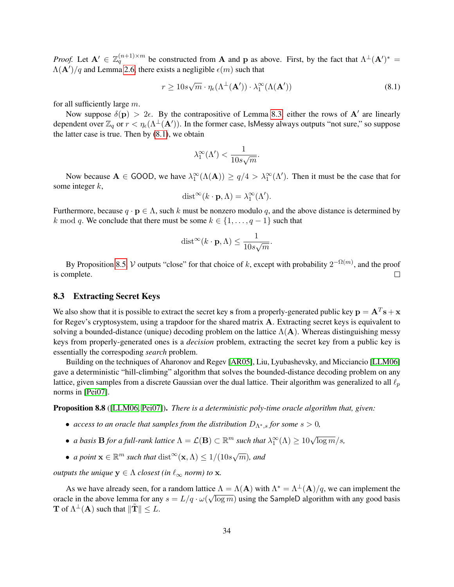*Proof.* Let  $\mathbf{A}' \in \mathbb{Z}_q^{(n+1)\times m}$  be constructed from **A** and **p** as above. First, by the fact that  $\Lambda^{\perp}(\mathbf{A}')^*$  =  $\Lambda(\mathbf{A}')/q$  and Lemma [2.6,](#page-9-2) there exists a negligible  $\epsilon(m)$  such that

<span id="page-33-0"></span>
$$
r \ge 10s\sqrt{m} \cdot \eta_{\epsilon}(\Lambda^{\perp}(\mathbf{A}')) \cdot \lambda_1^{\infty}(\Lambda(\mathbf{A}')) \tag{8.1}
$$

for all sufficiently large m.

Now suppose  $\delta(\mathbf{p}) > 2\epsilon$ . By the contrapositive of Lemma [8.3,](#page-30-1) either the rows of  $\mathbf{A}'$  are linearly dependent over  $\mathbb{Z}_q$  or  $r < \eta_\epsilon(\Lambda^\perp(\mathbf{A}'))$ . In the former case, IsMessy always outputs "not sure," so suppose the latter case is true. Then by [\(8.1\)](#page-33-0), we obtain

$$
\lambda_1^{\infty}(\Lambda') < \frac{1}{10s\sqrt{m}}.
$$

Now because  $A \in$  GOOD, we have  $\lambda_1^{\infty}(\Lambda(A)) \ge q/4 > \lambda_1^{\infty}(\Lambda')$ . Then it must be the case that for some integer  $k$ ,

$$
\text{dist}^{\infty}(k \cdot \mathbf{p}, \Lambda) = \lambda_1^{\infty}(\Lambda').
$$

Furthermore, because  $q \cdot \mathbf{p} \in \Lambda$ , such k must be nonzero modulo q, and the above distance is determined by k mod q. We conclude that there must be some  $k \in \{1, \ldots, q-1\}$  such that

$$
\text{dist}^{\infty}(k \cdot \mathbf{p}, \Lambda) \leq \frac{1}{10s\sqrt{m}}.
$$

By Proposition [8.5,](#page-31-0) V outputs "close" for that choice of k, except with probability  $2^{-\Omega(m)}$ , and the proof is complete.  $\Box$ 

#### 8.3 Extracting Secret Keys

We also show that it is possible to extract the secret key s from a properly-generated public key  $\mathbf{p} = \mathbf{A}^T \mathbf{s} + \mathbf{x}$ for Regev's cryptosystem, using a trapdoor for the shared matrix A. Extracting secret keys is equivalent to solving a bounded-distance (unique) decoding problem on the lattice  $\Lambda(A)$ . Whereas distinguishing messy keys from properly-generated ones is a *decision* problem, extracting the secret key from a public key is essentially the correspoding *search* problem.

Building on the techniques of Aharonov and Regev [\[AR05\]](#page-37-5), Liu, Lyubashevsky, and Micciancio [\[LLM06\]](#page-39-8) gave a deterministic "hill-climbing" algorithm that solves the bounded-distance decoding problem on any lattice, given samples from a discrete Gaussian over the dual lattice. Their algorithm was generalized to all  $\ell_p$ norms in [\[Pei07\]](#page-39-6).

<span id="page-33-1"></span>Proposition 8.8 ([\[LLM06,](#page-39-8) [Pei07\]](#page-39-6)). *There is a deterministic poly-time oracle algorithm that, given:*

- *access to an oracle that samples from the distribution*  $D_{\Lambda^*,s}$  *for some*  $s > 0$ *,*
- *a basis* **B** *for a full-rank lattice*  $\Lambda = \mathcal{L}(\mathbf{B}) \subset \mathbb{R}^m$  *such that*  $\lambda_1^{\infty}(\Lambda) \geq 10\sqrt{\log m}/s$ ,
- *a point*  $\mathbf{x} \in \mathbb{R}^m$  *such that*  $dist^{\infty}(\mathbf{x}, \Lambda) \leq 1/(10s\sqrt{m})$ *, and*

*outputs the unique*  $y \in \Lambda$  *closest (in*  $\ell_{\infty}$  *norm) to* x*.* 

<span id="page-33-2"></span>As we have already seen, for a random lattice  $\Lambda = \Lambda(\mathbf{A})$  with  $\Lambda^* = \Lambda^{\perp}(\mathbf{A})/q$ , we can implement the oracle in the above lemma for any  $s = L/q \cdot \omega(\sqrt{\log m})$  using the SampleD algorithm with any good basis **T** of  $\Lambda^{\perp}(A)$  such that  $\|\tilde{\mathbf{T}}\| \leq L$ .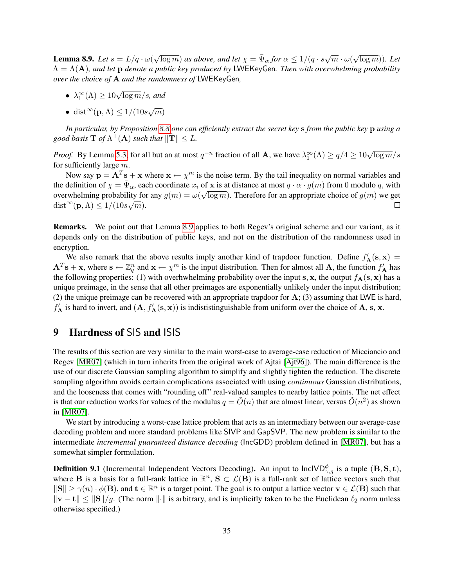**Lemma 8.9.** *Let*  $s = L/q \cdot \omega$  $\sqrt{\log m}$ ) *as above, and let*  $\chi = \bar{\Psi}_{\alpha}$  *for*  $\alpha \leq 1/(q \cdot s \sqrt{m} \cdot \omega)$ √  $\overline{\log m})$ ). Let Λ = Λ(A)*, and let* p *denote a public key produced by* LWEKeyGen*. Then with overwhelming probability over the choice of* A *and the randomness of* LWEKeyGen*,*

- $\lambda_1^{\infty}(\Lambda) \geq 10\sqrt{\log m}/s$ , and
- dist<sup>∞</sup>(**p**,  $\Lambda$ ) ≤ 1/(10s $\sqrt{m}$ )

*In particular, by Proposition [8.8](#page-33-1) one can efficiently extract the secret key* s *from the public key* p *using a good basis*  $\mathbf{T}$  *of*  $\Lambda^{\perp}( \mathbf{A})$  *such that*  $\Vert \tilde{\mathbf{T}} \Vert \leq L$ .

*Proof.* By Lemma [5.3,](#page-17-2) for all but an at most  $q^{-n}$  fraction of all **A**, we have  $\lambda_1^{\infty}(\Lambda) \ge q/4 \ge 10\sqrt{\log m}/s$ for sufficiently large  $m$ .

Now say  $\mathbf{p} = \mathbf{A}^T \mathbf{s} + \mathbf{x}$  where  $\mathbf{x} \leftarrow \chi^m$  is the noise term. By the tail inequality on normal variables and the definition of  $\chi = \bar{\Psi}_{\alpha}$ , each coordinate  $x_i$  of x is at distance at most  $q \cdot \alpha \cdot g(m)$  from 0 modulo q, with overwhelming probability for any  $g(m) = \omega(\sqrt{\log m})$ . Therefore for an appropriate choice of  $g(m)$  we get dist<sup>∞</sup> $(\mathbf{p}, \Lambda) \leq 1/(10s\sqrt{m}).$ П

Remarks. We point out that Lemma [8.9](#page-33-2) applies to both Regev's original scheme and our variant, as it depends only on the distribution of public keys, and not on the distribution of the randomness used in encryption.

We also remark that the above results imply another kind of trapdoor function. Define  $f'_{\mathbf{A}}(s, \mathbf{x}) =$  $A^T s + x$ , where  $s \leftarrow \mathbb{Z}_q^n$  and  $x \leftarrow \chi^m$  is the input distribution. Then for almost all A, the function  $f'_A$  has the following properties: (1) with overhwhelming probability over the input s, x, the output  $f_{\mathbf{A}}(\mathbf{s}, \mathbf{x})$  has a unique preimage, in the sense that all other preimages are exponentially unlikely under the input distribution; (2) the unique preimage can be recovered with an appropriate trapdoor for  $\mathbf{A}$ ; (3) assuming that LWE is hard,  $f'_A$  is hard to invert, and  $(A, f'_A(s, x))$  is indististinguishable from uniform over the choice of A, s, x.

## <span id="page-34-0"></span>9 Hardness of SIS and ISIS

The results of this section are very similar to the main worst-case to average-case reduction of Micciancio and Regev [\[MR07\]](#page-39-1) (which in turn inherits from the original work of Ajtai [\[Ajt96\]](#page-37-0)). The main difference is the use of our discrete Gaussian sampling algorithm to simplify and slightly tighten the reduction. The discrete sampling algorithm avoids certain complications associated with using *continuous* Gaussian distributions, and the looseness that comes with "rounding off" real-valued samples to nearby lattice points. The net effect is that our reduction works for values of the modulus  $q = \tilde{O}(n)$  that are almost linear, versus  $\tilde{O}(n^2)$  as shown in [\[MR07\]](#page-39-1).

We start by introducing a worst-case lattice problem that acts as an intermediary between our average-case decoding problem and more standard problems like SIVP and GapSVP. The new problem is similar to the intermediate *incremental guaranteed distance decoding* (IncGDD) problem defined in [\[MR07\]](#page-39-1), but has a somewhat simpler formulation.

**Definition 9.1** (Incremental Independent Vectors Decoding). An input to  $InclVD^{\phi}_{\gamma,g}$  is a tuple  $(\mathbf{B}, \mathbf{S}, \mathbf{t})$ , where **B** is a basis for a full-rank lattice in  $\mathbb{R}^n$ ,  $S \subset \mathcal{L}(B)$  is a full-rank set of lattice vectors such that  $||S|| \ge \gamma(n) \cdot \phi(B)$ , and  $t \in \mathbb{R}^n$  is a target point. The goal is to output a lattice vector  $v \in \mathcal{L}(B)$  such that  $\|\mathbf{v} - \mathbf{t}\| \leq \|\mathbf{S}\|/g$ . (The norm  $\|\cdot\|$  is arbitrary, and is implicitly taken to be the Euclidean  $\ell_2$  norm unless otherwise specified.)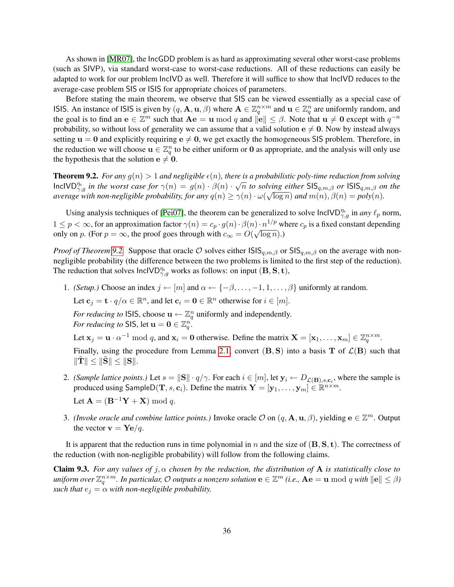As shown in [\[MR07\]](#page-39-1), the IncGDD problem is as hard as approximating several other worst-case problems (such as SIVP), via standard worst-case to worst-case reductions. All of these reductions can easily be adapted to work for our problem IncIVD as well. Therefore it will suffice to show that IncIVD reduces to the average-case problem SIS or ISIS for appropriate choices of parameters.

Before stating the main theorem, we observe that SIS can be viewed essentially as a special case of ISIS. An instance of ISIS is given by  $(q, \mathbf{A}, \mathbf{u}, \beta)$  where  $\mathbf{A} \in \mathbb{Z}_q^{n \times m}$  and  $\mathbf{u} \in \mathbb{Z}_q^n$  are uniformly random, and the goal is to find an  $\mathbf{e} \in \mathbb{Z}^m$  such that  $\mathbf{A}\mathbf{e} = \mathbf{u} \bmod q$  and  $\|\mathbf{e}\| \leq \beta$ . Note that  $\mathbf{u} \neq \mathbf{0}$  except with  $q^{-n}$ probability, so without loss of generality we can assume that a valid solution  $e \neq 0$ . Now by instead always setting  $u = 0$  and explicitly requiring  $e \neq 0$ , we get exactly the homogeneous SIS problem. Therefore, in the reduction we will choose  $\mathbf{u} \in \mathbb{Z}_q^n$  to be either uniform or **0** as appropriate, and the analysis will only use the hypothesis that the solution  $e \neq 0$ .

<span id="page-35-0"></span>**Theorem 9.2.** For any  $q(n) > 1$  and negligible  $\epsilon(n)$ , there is a probabilistic poly-time reduction from solving **Incolem 5.2.** For any  $g(n) > 1$  and negagible  $\epsilon(n)$ , there is a probabilistic poty-lime reduction from solving<br>lnclVD<sup>n<sub>e,g</sub> in the worst case for  $\gamma(n) = g(n) \cdot \beta(n) \cdot \sqrt{n}$  to solving either SIS<sub>q,m,</sub> $\beta$  or ISIS<sub>q,m, $\beta$ </sub> </sup> *average with non-negligible probability, for any*  $q(n) \geq \gamma(n) \cdot \omega(\sqrt{\log n})$  *and*  $m(n)$ ,  $\beta(n) = poly(n)$ .

Using analysis techniques of [\[Pei07\]](#page-39-6), the theorem can be generalized to solve  $InclVD^{\eta_{\epsilon}}_{\gamma,g}$  in *any*  $\ell_p$  norm,  $1 \leq p < \infty$ , for an approximation factor  $\gamma(n) = c_p \cdot g(n) \cdot \beta(n) \cdot n^{1/p}$  where  $c_p$  is a fixed constant depending only on p. (For  $p = \infty$ , the proof goes through with  $c_{\infty} = O(\sqrt{\log n})$ .)

*Proof of Theorem* [9.2.](#page-35-0) Suppose that oracle *O* solves either  $\text{ISI}_{q,m,\beta}$  or  $\text{IS}_{q,m,\beta}$  on the average with nonnegligible probability (the difference between the two problems is limited to the first step of the reduction). The reduction that solves  $\text{InclVD}_{\gamma,g}^{\eta_{\epsilon}}$  works as follows: on input  $(\mathbf{B}, \mathbf{S}, \mathbf{t})$ ,

1. *(Setup.)* Choose an index  $j \leftarrow [m]$  and  $\alpha \leftarrow \{-\beta, \dots, -1, 1, \dots, \beta\}$  uniformly at random. Let  $\mathbf{c}_j = \mathbf{t} \cdot q/\alpha \in \mathbb{R}^n$ , and let  $\mathbf{c}_i = \mathbf{0} \in \mathbb{R}^n$  otherwise for  $i \in [m]$ .

*For reducing to* ISIS, choose  $\mathbf{u} \leftarrow \mathbb{Z}_q^n$  uniformly and independently. *For reducing to* SIS, let  $\mathbf{u} = \mathbf{0} \in \mathbb{Z}_q^n$ .

Let  $\mathbf{x}_j = \mathbf{u} \cdot \alpha^{-1} \bmod q$ , and  $\mathbf{x}_i = \mathbf{0}$  otherwise. Define the matrix  $\mathbf{X} = [\mathbf{x}_1, \dots, \mathbf{x}_m] \in \mathbb{Z}_q^{n \times m}$ .

Finally, using the procedure from Lemma [2.1,](#page-8-2) convert  $(B, S)$  into a basis T of  $\mathcal{L}(B)$  such that  $\|\mathbf{T}\| \leq \|\mathbf{S}\| \leq \|\mathbf{S}\|.$ 

- 2. *(Sample lattice points.)* Let  $s = ||S|| \cdot q/\gamma$ . For each  $i \in [m]$ , let  $y_i \leftarrow D_{\mathcal{L}(\mathbf{B}), s, \mathbf{c}_i}$ , where the sample is produced using SampleD $(\mathbf{T},s,\mathbf{c}_i)$ . Define the matrix  $\mathbf{Y} = [\mathbf{y}_1,\ldots,\mathbf{y}_m] \in \widetilde{\mathbb{R}}^{n \times m}$ . Let  $\mathbf{A} = (\mathbf{B}^{-1}\mathbf{Y} + \mathbf{X}) \bmod q$ .
- 3. *(Invoke oracle and combine lattice points.)* Invoke oracle  $\mathcal O$  on  $(q, \mathbf A, \mathbf u, \beta)$ , yielding  $\mathbf e \in \mathbb Z^m$ . Output the vector  $\mathbf{v} = \mathbf{Y} \mathbf{e}/q$ .

It is apparent that the reduction runs in time polynomial in n and the size of  $(B, S, t)$ . The correctness of the reduction (with non-negligible probability) will follow from the following claims.

**Claim 9.3.** *For any values of*  $j, \alpha$  *chosen by the reduction, the distribution of* **A** *is statistically close to*  $\mu$  *uniform over*  $\mathbb{Z}_q^{n\times m}$ *. In particular,*  $\mathcal O$  *outputs a nonzero solution*  $\mathbf e\in\mathbb Z^m$  *(i.e.,*  $\mathbf A\mathbf e=\mathbf u\ \text{mod}\ q$  *with*  $\|\mathbf e\|\leq\beta$ *) such that*  $e_j = \alpha$  *with non-negligible probability.*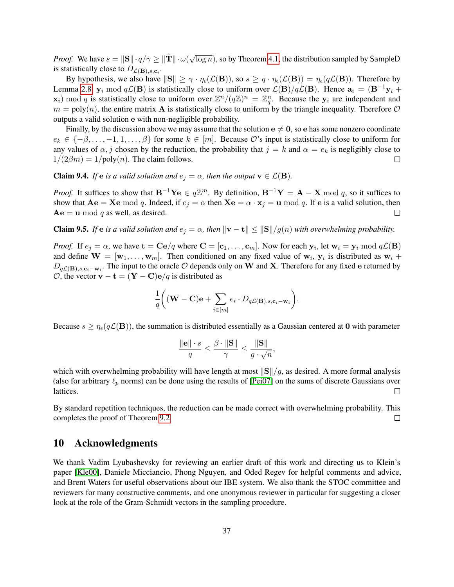*Proof.* We have  $s = ||\mathbf{S}|| \cdot q/\gamma \ge ||\tilde{\mathbf{T}}|| \cdot \omega(\sqrt{\gamma})$  $\overline{\log n}$ ), so by Theorem [4.1,](#page-13-0) the distribution sampled by SampleD is statistically close to  $D_{\mathcal{L}(\mathbf{B}),s,\mathbf{c}_i}$ .

By hypothesis, we also have  $||S|| \geq \gamma \cdot \eta_{\epsilon}(\mathcal{L}(\mathbf{B}))$ , so  $s \geq q \cdot \eta_{\epsilon}(\mathcal{L}(\mathbf{B})) = \eta_{\epsilon}(q\mathcal{L}(\mathbf{B}))$ . Therefore by Lemma [2.8,](#page-9-3)  $y_i \mod q\mathcal{L}(B)$  is statistically close to uniform over  $\mathcal{L}(B)/q\mathcal{L}(B)$ . Hence  $a_i = (B^{-1}y_i +$  $\mathbf{x}_i$ ) mod q is statistically close to uniform over  $\mathbb{Z}^n/(q\mathbb{Z})^n = \mathbb{Z}_q^n$ . Because the  $\mathbf{y}_i$  are independent and  $m = \text{poly}(n)$ , the entire matrix **A** is statistically close to uniform by the triangle inequality. Therefore O outputs a valid solution e with non-negligible probability.

Finally, by the discussion above we may assume that the solution  $e \neq 0$ , so e has some nonzero coordinate  $e_k \in \{-\beta, \ldots, -1, 1, \ldots, \beta\}$  for some  $k \in [m]$ . Because O's input is statistically close to uniform for any values of  $\alpha$ , j chosen by the reduction, the probability that  $j = k$  and  $\alpha = e_k$  is negligibly close to  $1/(2\beta m) = 1/\text{poly}(n)$ . The claim follows.  $\Box$ 

**Claim 9.4.** *If* e *is a valid solution and*  $e_j = \alpha$ *, then the output*  $\mathbf{v} \in \mathcal{L}(\mathbf{B})$ *.* 

*Proof.* It suffices to show that  $B^{-1}Ye \in q\mathbb{Z}^m$ . By definition,  $B^{-1}Y = A - X \bmod q$ , so it suffices to show that  $Ae = Xe \mod q$ . Indeed, if  $e_j = \alpha$  then  $Xe = \alpha \cdot x_j = u \mod q$ . If e is a valid solution, then  $Ae = u \mod q$  as well, as desired.

**Claim 9.5.** *If* e *is a valid solution and*  $e_i = \alpha$ , then  $\|\mathbf{v} - \mathbf{t}\| \leq ||\mathbf{S}||/g(n)$  *with overwhelming probability.* 

*Proof.* If  $e_j = \alpha$ , we have  $\mathbf{t} = \mathbf{C}\mathbf{e}/q$  where  $\mathbf{C} = [\mathbf{c}_1, \dots, \mathbf{c}_m]$ . Now for each  $\mathbf{y}_i$ , let  $\mathbf{w}_i = \mathbf{y}_i \bmod q\mathcal{L}(\mathbf{B})$ and define  $\mathbf{W} = [\mathbf{w}_1, \dots, \mathbf{w}_m]$ . Then conditioned on any fixed value of  $\mathbf{w}_i$ ,  $\mathbf{y}_i$  is distributed as  $\mathbf{w}_i$  +  $D_{q\mathcal{L}(\mathbf{B}),s,c_i-w_i}$ . The input to the oracle  $\mathcal O$  depends only on W and X. Therefore for any fixed e returned by  $\mathcal{O}$ , the vector **v** – **t** =  $(\mathbf{Y} - \mathbf{C})\mathbf{e}/q$  is distributed as

$$
\frac{1}{q}\bigg((\mathbf{W}-\mathbf{C})\mathbf{e}+\sum_{i\in[m]}e_i\cdot D_{q\mathcal{L}(\mathbf{B}),s,\mathbf{c}_i-\mathbf{w}_i}\bigg).
$$

Because  $s \geq \eta_{\epsilon}(q\mathcal{L}(\mathbf{B}))$ , the summation is distributed essentially as a Gaussian centered at 0 with parameter

$$
\frac{\|\mathbf{e}\| \cdot s}{q} \le \frac{\beta \cdot \|\mathbf{S}\|}{\gamma} \le \frac{\|\mathbf{S}\|}{g \cdot \sqrt{n}},
$$

which with overwhelming probability will have length at most  $||S||/g$ , as desired. A more formal analysis (also for arbitrary  $\ell_p$  norms) can be done using the results of [\[Pei07\]](#page-39-6) on the sums of discrete Gaussians over lattices.  $\Box$ 

By standard repetition techniques, the reduction can be made correct with overwhelming probability. This completes the proof of Theorem [9.2.](#page-35-0)  $\Box$ 

## 10 Acknowledgments

We thank Vadim Lyubashevsky for reviewing an earlier draft of this work and directing us to Klein's paper [\[Kle00\]](#page-38-4), Daniele Micciancio, Phong Nguyen, and Oded Regev for helpful comments and advice, and Brent Waters for useful observations about our IBE system. We also thank the STOC committee and reviewers for many constructive comments, and one anonymous reviewer in particular for suggesting a closer look at the role of the Gram-Schmidt vectors in the sampling procedure.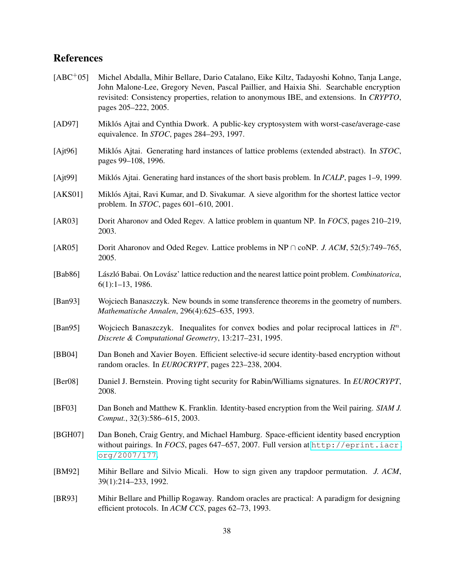# **References**

<span id="page-37-15"></span><span id="page-37-14"></span><span id="page-37-13"></span><span id="page-37-12"></span><span id="page-37-11"></span><span id="page-37-10"></span><span id="page-37-9"></span><span id="page-37-8"></span><span id="page-37-7"></span><span id="page-37-6"></span><span id="page-37-5"></span><span id="page-37-4"></span><span id="page-37-3"></span><span id="page-37-2"></span><span id="page-37-1"></span><span id="page-37-0"></span>

| $[ABC+05]$  | Michel Abdalla, Mihir Bellare, Dario Catalano, Eike Kiltz, Tadayoshi Kohno, Tanja Lange,<br>John Malone-Lee, Gregory Neven, Pascal Paillier, and Haixia Shi. Searchable encryption<br>revisited: Consistency properties, relation to anonymous IBE, and extensions. In CRYPTO,<br>pages 205–222, 2005. |
|-------------|--------------------------------------------------------------------------------------------------------------------------------------------------------------------------------------------------------------------------------------------------------------------------------------------------------|
| [AD97]      | Miklós Ajtai and Cynthia Dwork. A public-key cryptosystem with worst-case/average-case<br>equivalence. In <i>STOC</i> , pages 284–293, 1997.                                                                                                                                                           |
| [Ajt96]     | Miklós Ajtai. Generating hard instances of lattice problems (extended abstract). In STOC,<br>pages 99-108, 1996.                                                                                                                                                                                       |
| [Ajt99]     | Miklós Ajtai. Generating hard instances of the short basis problem. In <i>ICALP</i> , pages 1–9, 1999.                                                                                                                                                                                                 |
| [AKS01]     | Miklós Ajtai, Ravi Kumar, and D. Sivakumar. A sieve algorithm for the shortest lattice vector<br>problem. In <i>STOC</i> , pages 601–610, 2001.                                                                                                                                                        |
| [AR03]      | Dorit Aharonov and Oded Regev. A lattice problem in quantum NP. In FOCS, pages 210–219,<br>2003.                                                                                                                                                                                                       |
| [AR05]      | Dorit Aharonov and Oded Regev. Lattice problems in NP $\cap$ coNP. J. ACM, 52(5):749–765,<br>2005.                                                                                                                                                                                                     |
| [Bab86]     | László Babai. On Lovász' lattice reduction and the nearest lattice point problem. Combinatorica,<br>$6(1):1-13,1986.$                                                                                                                                                                                  |
| [Ban $93$ ] | Wojciech Banaszczyk. New bounds in some transference theorems in the geometry of numbers.<br>Mathematische Annalen, 296(4):625-635, 1993.                                                                                                                                                              |
| [Ban $95$ ] | Wojciech Banaszczyk. Inequalities for convex bodies and polar reciprocal lattices in $\mathbb{R}^n$ .<br>Discrete & Computational Geometry, 13:217-231, 1995.                                                                                                                                          |
| [BB04]      | Dan Boneh and Xavier Boyen. Efficient selective-id secure identity-based encryption without<br>random oracles. In EUROCRYPT, pages 223-238, 2004.                                                                                                                                                      |
| [Ber08]     | Daniel J. Bernstein. Proving tight security for Rabin/Williams signatures. In EUROCRYPT,<br>2008.                                                                                                                                                                                                      |
| [BF03]      | Dan Boneh and Matthew K. Franklin. Identity-based encryption from the Weil pairing. SIAM J.<br>Comput., 32(3):586-615, 2003.                                                                                                                                                                           |
| [BGH07]     | Dan Boneh, Craig Gentry, and Michael Hamburg. Space-efficient identity based encryption<br>without pairings. In FOCS, pages 647-657, 2007. Full version at http://eprint.iacr.<br>org/2007/177.                                                                                                        |
| [BM92]      | Mihir Bellare and Silvio Micali. How to sign given any trapdoor permutation. J. ACM,<br>39(1):214-233, 1992.                                                                                                                                                                                           |
| [BR93]      | Mihir Bellare and Phillip Rogaway. Random oracles are practical: A paradigm for designing<br>efficient protocols. In ACM CCS, pages 62-73, 1993.                                                                                                                                                       |
|             |                                                                                                                                                                                                                                                                                                        |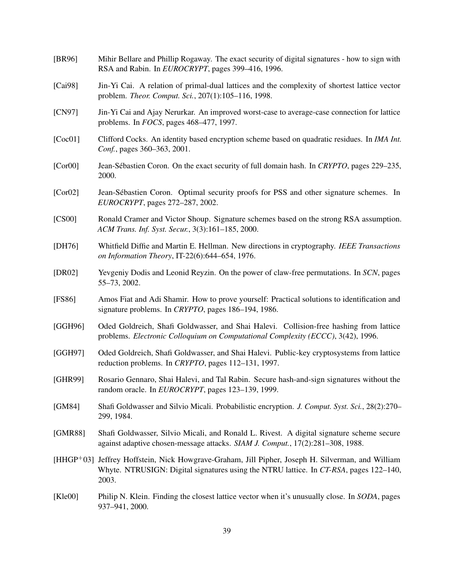<span id="page-38-16"></span><span id="page-38-15"></span><span id="page-38-14"></span><span id="page-38-13"></span><span id="page-38-12"></span><span id="page-38-11"></span><span id="page-38-10"></span><span id="page-38-9"></span><span id="page-38-8"></span><span id="page-38-7"></span><span id="page-38-6"></span><span id="page-38-5"></span><span id="page-38-4"></span><span id="page-38-3"></span><span id="page-38-2"></span><span id="page-38-1"></span><span id="page-38-0"></span>

| [BR96]  | Mihir Bellare and Phillip Rogaway. The exact security of digital signatures - how to sign with<br>RSA and Rabin. In EUROCRYPT, pages 399-416, 1996.                                                |
|---------|----------------------------------------------------------------------------------------------------------------------------------------------------------------------------------------------------|
| [Cai98] | Jin-Yi Cai. A relation of primal-dual lattices and the complexity of shortest lattice vector<br>problem. Theor. Comput. Sci., 207(1):105-116, 1998.                                                |
| [CN97]  | Jin-Yi Cai and Ajay Nerurkar. An improved worst-case to average-case connection for lattice<br>problems. In $FOCS$ , pages 468–477, 1997.                                                          |
| [Coc01] | Clifford Cocks. An identity based encryption scheme based on quadratic residues. In IMA Int.<br>Conf., pages 360–363, 2001.                                                                        |
| [Cor00] | Jean-Sébastien Coron. On the exact security of full domain hash. In CRYPTO, pages 229–235,<br>2000.                                                                                                |
| [Cor02] | Jean-Sébastien Coron. Optimal security proofs for PSS and other signature schemes. In<br>EUROCRYPT, pages 272-287, 2002.                                                                           |
| [CS00]  | Ronald Cramer and Victor Shoup. Signature schemes based on the strong RSA assumption.<br>ACM Trans. Inf. Syst. Secur., 3(3):161–185, 2000.                                                         |
| [DH76]  | Whitfield Diffie and Martin E. Hellman. New directions in cryptography. IEEE Transactions<br>on Information Theory, IT-22(6):644-654, 1976.                                                        |
| [DR02]  | Yevgeniy Dodis and Leonid Reyzin. On the power of claw-free permutations. In SCN, pages<br>55-73, 2002.                                                                                            |
| [FS86]  | Amos Fiat and Adi Shamir. How to prove yourself: Practical solutions to identification and<br>signature problems. In CRYPTO, pages 186-194, 1986.                                                  |
| [GGH96] | Oded Goldreich, Shafi Goldwasser, and Shai Halevi. Collision-free hashing from lattice<br>problems. Electronic Colloquium on Computational Complexity (ECCC), 3(42), 1996.                         |
| [GGH97] | Oded Goldreich, Shafi Goldwasser, and Shai Halevi. Public-key cryptosystems from lattice<br>reduction problems. In CRYPTO, pages 112-131, 1997.                                                    |
| [GHR99] | Rosario Gennaro, Shai Halevi, and Tal Rabin. Secure hash-and-sign signatures without the<br>random oracle. In EUROCRYPT, pages 123-139, 1999.                                                      |
| [GM84]  | Shafi Goldwasser and Silvio Micali. Probabilistic encryption. J. Comput. Syst. Sci., 28(2):270–<br>299, 1984.                                                                                      |
| [GMR88] | Shafi Goldwasser, Silvio Micali, and Ronald L. Rivest. A digital signature scheme secure<br>against adaptive chosen-message attacks. SIAM J. Comput., 17(2):281-308, 1988.                         |
|         | [HHGP+03] Jeffrey Hoffstein, Nick Howgrave-Graham, Jill Pipher, Joseph H. Silverman, and William<br>Whyte. NTRUSIGN: Digital signatures using the NTRU lattice. In CT-RSA, pages 122–140,<br>2003. |
| [Kle00] | Philip N. Klein. Finding the closest lattice vector when it's unusually close. In SODA, pages<br>937-941, 2000.                                                                                    |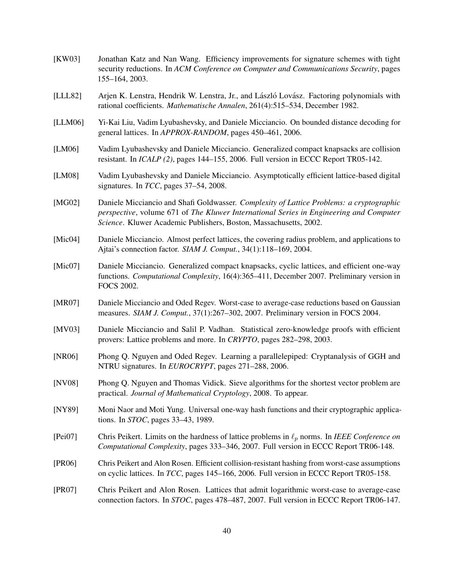<span id="page-39-15"></span><span id="page-39-14"></span><span id="page-39-13"></span><span id="page-39-12"></span><span id="page-39-11"></span><span id="page-39-10"></span><span id="page-39-9"></span><span id="page-39-8"></span><span id="page-39-7"></span><span id="page-39-6"></span><span id="page-39-5"></span><span id="page-39-4"></span><span id="page-39-3"></span><span id="page-39-2"></span><span id="page-39-1"></span><span id="page-39-0"></span>[KW03] Jonathan Katz and Nan Wang. Efficiency improvements for signature schemes with tight security reductions. In *ACM Conference on Computer and Communications Security*, pages 155–164, 2003. [LLL82] Arjen K. Lenstra, Hendrik W. Lenstra, Jr., and László Lovász. Factoring polynomials with rational coefficients. *Mathematische Annalen*, 261(4):515–534, December 1982. [LLM06] Yi-Kai Liu, Vadim Lyubashevsky, and Daniele Micciancio. On bounded distance decoding for general lattices. In *APPROX-RANDOM*, pages 450–461, 2006. [LM06] Vadim Lyubashevsky and Daniele Micciancio. Generalized compact knapsacks are collision resistant. In *ICALP (2)*, pages 144–155, 2006. Full version in ECCC Report TR05-142. [LM08] Vadim Lyubashevsky and Daniele Micciancio. Asymptotically efficient lattice-based digital signatures. In *TCC*, pages 37–54, 2008. [MG02] Daniele Micciancio and Shafi Goldwasser. *Complexity of Lattice Problems: a cryptographic perspective*, volume 671 of *The Kluwer International Series in Engineering and Computer Science*. Kluwer Academic Publishers, Boston, Massachusetts, 2002. [Mic04] Daniele Micciancio. Almost perfect lattices, the covering radius problem, and applications to Ajtai's connection factor. *SIAM J. Comput.*, 34(1):118–169, 2004. [Mic07] Daniele Micciancio. Generalized compact knapsacks, cyclic lattices, and efficient one-way functions. *Computational Complexity*, 16(4):365–411, December 2007. Preliminary version in FOCS 2002. [MR07] Daniele Micciancio and Oded Regev. Worst-case to average-case reductions based on Gaussian measures. *SIAM J. Comput.*, 37(1):267–302, 2007. Preliminary version in FOCS 2004. [MV03] Daniele Micciancio and Salil P. Vadhan. Statistical zero-knowledge proofs with efficient provers: Lattice problems and more. In *CRYPTO*, pages 282–298, 2003. [NR06] Phong Q. Nguyen and Oded Regev. Learning a parallelepiped: Cryptanalysis of GGH and NTRU signatures. In *EUROCRYPT*, pages 271–288, 2006. [NV08] Phong Q. Nguyen and Thomas Vidick. Sieve algorithms for the shortest vector problem are practical. *Journal of Mathematical Cryptology*, 2008. To appear. [NY89] Moni Naor and Moti Yung. Universal one-way hash functions and their cryptographic applications. In *STOC*, pages 33–43, 1989. [Pei07] Chris Peikert. Limits on the hardness of lattice problems in  $\ell_p$  norms. In *IEEE Conference on Computational Complexity*, pages 333–346, 2007. Full version in ECCC Report TR06-148. [PR06] Chris Peikert and Alon Rosen. Efficient collision-resistant hashing from worst-case assumptions on cyclic lattices. In *TCC*, pages 145–166, 2006. Full version in ECCC Report TR05-158. [PR07] Chris Peikert and Alon Rosen. Lattices that admit logarithmic worst-case to average-case connection factors. In *STOC*, pages 478–487, 2007. Full version in ECCC Report TR06-147.